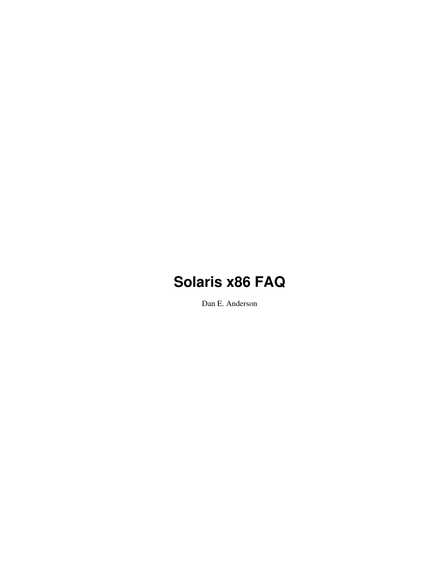Dan E. Anderson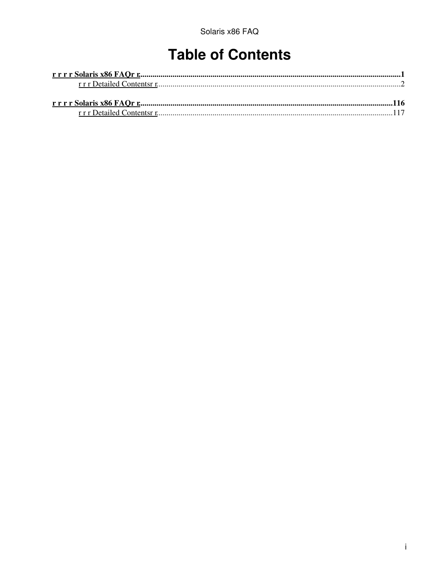# **Table of Contents**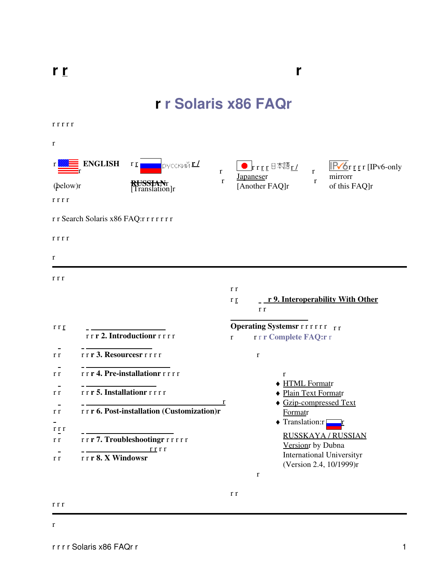**r**

# **r r Solaris x86 FAQr**

<span id="page-2-0"></span>r r r r r

| 1 1 1 1 1    |                                                                   |                                                                                                                                       |
|--------------|-------------------------------------------------------------------|---------------------------------------------------------------------------------------------------------------------------------------|
| r            |                                                                   |                                                                                                                                       |
|              | <b>ENGLISH</b><br>русский <u>г./</u><br>$r_{\text{I}}$<br>$\bf r$ | $\begin{array}{ c c } \hline \textbf{r} & \textbf{r} & \textbf{r} & \textbf{r} \end{array}$<br>$IPV6r$ r r [IPv6-only<br>$\mathbf{r}$ |
| (below)r     | $\mathbf r$<br>KUSSIANT<br>[Translation]r                         | mirrorr<br><b>Japaneser</b><br>$\mathbf r$<br>[Another FAQ]r<br>of this FAQ]r                                                         |
| rrrr         | r r Search Solaris x86 FAQ:r r r r r r r                          |                                                                                                                                       |
|              |                                                                   |                                                                                                                                       |
| rrr          |                                                                   |                                                                                                                                       |
| r            |                                                                   |                                                                                                                                       |
| r r r        |                                                                   | r r<br>r 9. Interoperability With Other<br>r r<br>r r                                                                                 |
| r r <u>r</u> | rrr 2. Introductionrrrrr                                          | <b>Operating Systemsr</b> r r r r r r r<br>rrr Complete FAQ:rr<br>$\mathbf{r}$                                                        |
| r r          | rrr 3. Resourcesrrrrr                                             | $\bf r$                                                                                                                               |
| r r          | rrr 4. Pre-installationrrrrr                                      | $\bf r$                                                                                                                               |
| r r          | rrr 5. Installationrrrrr                                          | ◆ HTML Formatr<br>◆ Plain Text Formatr                                                                                                |
| r r<br>r r r | r<br>rrr 6. Post-installation (Customization)r                    | ♦ Gzip-compressed Text<br>Formatr<br>◆ Translation:r                                                                                  |
| r r          | rrr7. Troubleshootingrrrrrr<br>r r r r                            | <b>RUSSKAYA/RUSSIAN</b><br>Version by Dubna                                                                                           |
| r r          | rrr 8. X Windowsr                                                 | <b>International Universityr</b><br>(Version 2.4, 10/1999)r<br>$\bf r$                                                                |
|              |                                                                   |                                                                                                                                       |

r r

r r r

r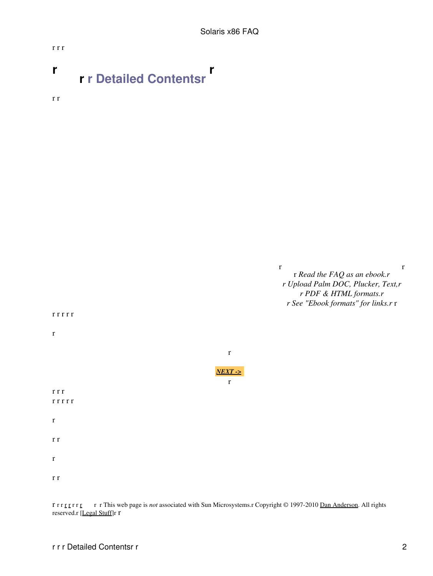# <span id="page-3-0"></span>**r r r Detailed Contentsr r**

r r

r r r



r r r [r r](http://www.opensolaris.org) r r [r r](http://www.cdt.org/speech/) r This web page is *not* associated with Sun Microsystems.r Copyright © 1997-2010 [Dan Anderson](http://dan.drydog.com/). All rights reserved.r [[Legal Stuff\]](http://www.yosemite.ca.us/legal.html)r r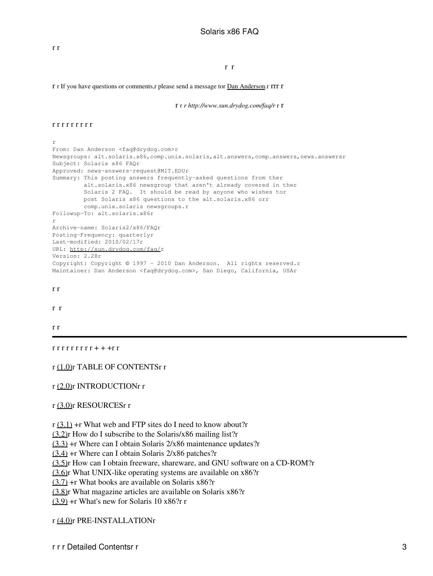#### r r

r r If you have questions or comments,r please send a message tor [Dan Anderson](http://dan.drydog.com/comment.html).r rrr r

r r *r http://www.sun.drydog.com/faq/r* r r

#### r r r r r r r r r

#### r

```
From: Dan Anderson <faq@drydog.com>r
Newsgroups: alt.solaris.x86,comp.unix.solaris,alt.answers,comp.answers,news.answersr
Subject: Solaris x86 FAQr
Approved: news-answers-request@MIT.EDUr
Summary: This posting answers frequently-asked questions from ther
         alt.solaris.x86 newsgroup that aren't already covered in ther
          Solaris 2 FAQ. It should be read by anyone who wishes tor
         post Solaris x86 questions to the alt.solaris.x86 orr
         comp.unix.solaris newsgroups.r
Followup-To: alt.solaris.x86r
r
Archive-name: Solaris2/x86/FAQr
Posting-Frequency: quarterlyr
Last-modified: 2010/02/17r
URL: http://sun.drydog.com/faq/r
Version: 2.28r
Copyright: Copyright © 1997 - 2010 Dan Anderson. All rights reserved.r
Maintainer: Dan Anderson <faq@drydog.com>, San Diego, California, USAr
```
#### r r

r r

#### r r

 $rrrrrrrr+++rr$ 

#### r (1.0)r TABLE OF CONTENTSr r

#### r [\(2.0\)r](#page-9-1) INTRODUCTIONr r

#### r [\(3.0\)r](#page-10-1) RESOURCESr r

 $r$  [\(3.1\)](#page-10-1) +r What web and FTP sites do I need to know about?r

[\(3.2\)](#page-12-0)r How do I subscribe to the Solaris/x86 mailing list?r

[\(3.3\)](#page-13-0) +r Where can I obtain Solaris 2/x86 maintenance updates?r

 $(3.4)$  +r Where can I obtain Solaris 2/x86 patches?r

[\(3.5\)](#page-13-2)r How can I obtain freeware, shareware, and GNU software on a CD-ROM?r

[\(3.6\)](#page-14-0)r What UNIX-like operating systems are available on x86?r

 $(3.7)$  +r What books are available on Solaris x86?r

[\(3.8\)](#page-15-0)r What magazine articles are available on Solaris x86?r

 $(3.9)$  +r What's new for Solaris 10 x86?r r

r [\(4.0\)r](#page-16-1) PRE-INSTALLATIONr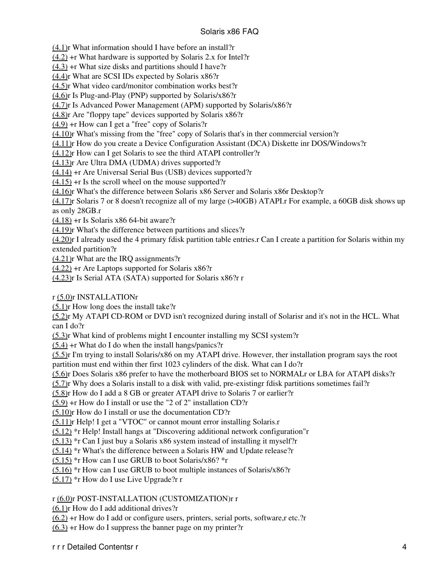[\(4.1\)](#page-16-2)r What information should I have before an install?r

[\(4.2\)](#page-17-0) +r What hardware is supported by Solaris 2.x for Intel?r

[\(4.3\)](#page-17-1) +r What size disks and partitions should I have?r

[\(4.4\)](#page-18-0)r What are SCSI IDs expected by Solaris x86?r

[\(4.5\)](#page-18-1)r What video card/monitor combination works best?r

[\(4.6\)](#page-19-0)r Is Plug-and-Play (PNP) supported by Solaris/x86?r

[\(4.7\)](#page-21-0)r Is Advanced Power Management (APM) supported by Solaris/x86?r

[\(4.8\)](#page-21-1)r Are "floppy tape" devices supported by Solaris x86?r

[\(4.9\)](#page-21-2) +r How can I get a "free" copy of Solaris?r

[\(4.10\)r](#page-22-0) What's missing from the "free" copy of Solaris that's in ther commercial version?r

[\(4.11\)r](#page-22-1) How do you create a Device Configuration Assistant (DCA) Diskette inr DOS/Windows?r

[\(4.12\)r](#page-23-0) How can I get Solaris to see the third ATAPI controller?r

[\(4.13\)r](#page-23-1) Are Ultra DMA (UDMA) drives supported?r

[\(4.14\)](#page-24-0) +r Are Universal Serial Bus (USB) devices supported?r

 $(4.15)$  +r Is the scroll wheel on the mouse supported?r

[\(4.16\)r](#page-25-1) What's the difference between Solaris x86 Server and Solaris x86r Desktop?r

[\(4.17\)r](#page-25-2) Solaris 7 or 8 doesn't recognize all of my large (>40GB) ATAPI.r For example, a 60GB disk shows up as only 28GB.r

[\(4.18\)](#page-26-0) +r Is Solaris x86 64-bit aware?r

[\(4.19\)r](#page-26-1) What's the difference between partitions and slices?r

[\(4.20\)r](#page-27-0) I already used the 4 primary fdisk partition table entries.r Can I create a partition for Solaris within my extended partition?r

[\(4.21\)r](#page-27-1) What are the IRQ assignments?r

[\(4.22\)](#page-28-1) +r Are Laptops supported for Solaris x86?r

[\(4.23\)r](#page-28-2) Is Serial ATA (SATA) supported for Solaris x86?r r

r [\(5.0\)r](#page-28-3) INSTALLATIONr

[\(5.1\)](#page-28-4)r How long does the install take?r

[\(5.2\)](#page-29-0)r My ATAPI CD-ROM or DVD isn't recognized during install of Solarisr and it's not in the HCL. What can I do?r

[\(5.3\)](#page-29-1)r What kind of problems might I encounter installing my SCSI system?r

 $(5.4)$  +r What do I do when the install hangs/panics?r

[\(5.5\)](#page-31-0)r I'm trying to install Solaris/x86 on my ATAPI drive. However, ther installation program says the root partition must end within ther first 1023 cylinders of the disk. What can I do?r

[\(5.6\)](#page-32-0)r Does Solaris x86 prefer to have the motherboard BIOS set to NORMALr or LBA for ATAPI disks?r

[\(5.7\)](#page-32-1)r Why does a Solaris install to a disk with valid, pre-existingr fdisk partitions sometimes fail?r

[\(5.8\)](#page-33-0)r How do I add a 8 GB or greater ATAPI drive to Solaris 7 or earlier?r

[\(5.9\)](#page-34-0) +r How do I install or use the "2 of 2" installation CD?r

[\(5.10\)r](#page-34-1) How do I install or use the documentation CD?r

[\(5.11\)r](#page-35-0) Help! I get a "VTOC" or cannot mount error installing Solaris.r

[\(5.12\)](#page-35-1) \*r Help! Install hangs at "Discovering additional network configuration"r

[\(5.13\)](#page-35-2) \*r Can I just buy a Solaris x86 system instead of installing it myself?r

[\(5.14\)](#page-36-0) \*r What's the difference between a Solaris HW and Update release?r

 $(5.15)$  \*r How can I use GRUB to boot Solaris/x86? \*r

 $(5.16)$  \*r How can I use GRUB to boot multiple instances of Solaris/x86?r

[\(5.17\)](#page-37-1) \*r How do I use Live Upgrade?r r

## r [\(6.0\)r](#page-38-1) POST-INSTALLATION (CUSTOMIZATION)r r

[\(6.1\)](#page-38-2)r How do I add additional drives?r

 $(6.2)$  +r How do I add or configure users, printers, serial ports, software, r etc.?r

 $(6.3)$  +r How do I suppress the banner page on my printer?r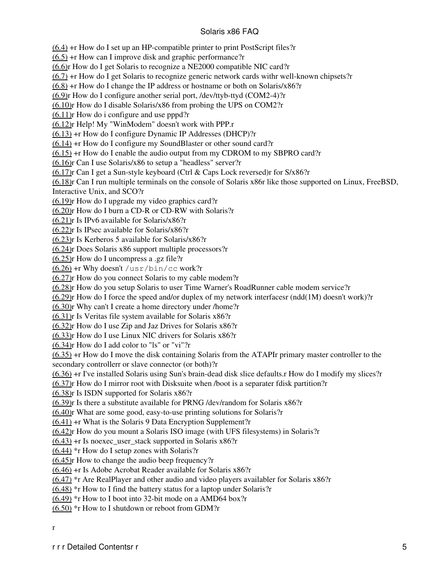$(6.4)$  +r How do I set up an HP-compatible printer to print PostScript files?r

[\(6.5\)](#page-41-0) +r How can I improve disk and graphic performance?r

[\(6.6\)](#page-42-0)r How do I get Solaris to recognize a NE2000 compatible NIC card?r

 $(6.7)$  +r How do I get Solaris to recognize generic network cards with well-known chipsets?r

 $(6.8)$  +r How do I change the IP address or hostname or both on Solaris/x86?r

[\(6.9\)](#page-46-0)r How do I configure another serial port, /dev/ttyb-ttyd (COM2-4)?r

[\(6.10\)r](#page-47-0) How do I disable Solaris/x86 from probing the UPS on COM2?r

[\(6.11\)r](#page-48-0) How do i configure and use pppd?r

[\(6.12\)r](#page-51-0) Help! My "WinModem" doesn't work with PPP.r

[\(6.13\)](#page-52-0) +r How do I configure Dynamic IP Addresses (DHCP)?r

[\(6.14\)](#page-52-1) +r How do I configure my SoundBlaster or other sound card?r

 $(6.15)$  +r How do I enable the audio output from my CDROM to my SBPRO card?r

[\(6.16\)r](#page-54-1) Can I use Solaris/x86 to setup a "headless" server?r

[\(6.17\)r](#page-56-0) Can I get a Sun-style keyboard (Ctrl & Caps Lock reversed)r for S/x86?r

[\(6.18\)r](#page-56-1) Can I run multiple terminals on the console of Solaris x86r like those supported on Linux, FreeBSD, Interactive Unix, and SCO?r

[\(6.19\)r](#page-56-2) How do I upgrade my video graphics card?r

[\(6.20\)r](#page-57-0) How do I burn a CD-R or CD-RW with Solaris?r

[\(6.21\)r](#page-57-1) Is IPv6 available for Solaris/x86?r

[\(6.22\)r](#page-57-2) Is IPsec available for Solaris/x86?r

[\(6.23\)r](#page-58-0) Is Kerberos 5 available for Solaris/x86?r

[\(6.24\)r](#page-58-1) Does Solaris x86 support multiple processors?r

[\(6.25\)r](#page-58-2) How do I uncompress a .gz file?r

[\(6.26\)](#page-59-0) +r Why doesn't /usr/bin/cc work?r

[\(6.27\)r](#page-59-1) How do you connect Solaris to my cable modem?r

[\(6.28\)r](#page-60-0) How do you setup Solaris to user Time Warner's RoadRunner cable modem service?r

[\(6.29\)r](#page-61-0) How do I force the speed and/or duplex of my network interfacesr (ndd(1M) doesn't work)?r

[\(6.30\)r](#page-61-1) Why can't I create a home directory under /home?r

[\(6.31\)r](#page-62-0) Is Veritas file system available for Solaris x86?r

[\(6.32\)r](#page-63-0) How do I use Zip and Jaz Drives for Solaris x86?r

[\(6.33\)r](#page-63-1) How do I use Linux NIC drivers for Solaris x86?r

[\(6.34\)r](#page-63-2) How do I add color to "ls" or "vi"?r

[\(6.35\)](#page-64-0) +r How do I move the disk containing Solaris from the ATAPIr primary master controller to the secondary controllerr or slave connector (or both)?r

[\(6.36\)](#page-65-0) +r I've installed Solaris using Sun's brain-dead disk slice defaults.r How do I modify my slices?r

[\(6.37\)r](#page-66-0) How do I mirror root with Disksuite when /boot is a separater fdisk partition?r

[\(6.38\)r](#page-66-1) Is ISDN supported for Solaris x86?r

[\(6.39\)r](#page-67-0) Is there a substitute available for PRNG /dev/random for Solaris x86?r

[\(6.40\)r](#page-67-1) What are some good, easy-to-use printing solutions for Solaris?r

 $(6.41)$  +r What is the Solaris 9 Data Encryption Supplement?r

[\(6.42\)r](#page-70-0) How do you mount a Solaris ISO image (with UFS filesystems) in Solaris?r

 $(6.43)$  +r Is noexec user stack supported in Solaris x86?r

 $(6.44)$  \*r How do I setup zones with Solaris?r

[\(6.45\)r](#page-71-0) How to change the audio beep frequency?r

[\(6.46\)](#page-72-0) +r Is Adobe Acrobat Reader available for Solaris x86?r

[\(6.47\)](#page-72-1) \*r Are RealPlayer and other audio and video players availabler for Solaris x86?r

 $(6.48)$  \*r How to I find the battery status for a laptop under Solaris?r

 $(6.49)$  \*r How to I boot into 32-bit mode on a AMD64 box?r

 $(6.50)$  \*r How to I shutdown or reboot from GDM?r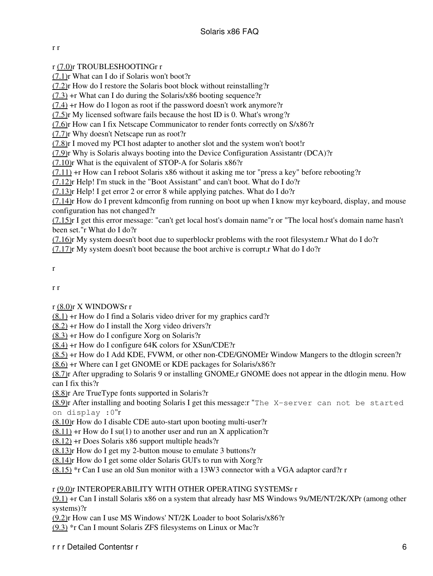### r r

## r [\(7.0\)r](#page-74-2) TROUBLESHOOTINGr r

[\(7.1\)](#page-74-3)r What can I do if Solaris won't boot?r

[\(7.2\)](#page-75-0)r How do I restore the Solaris boot block without reinstalling?r

[\(7.3\)](#page-75-1) +r What can I do during the Solaris/x86 booting sequence?r

[\(7.4\)](#page-77-0) +r How do I logon as root if the password doesn't work anymore?r

[\(7.5\)](#page-78-0)r My licensed software fails because the host ID is 0. What's wrong?r

[\(7.6\)](#page-79-0)r How can I fix Netscape Communicator to render fonts correctly on S/x86?r

[\(7.7\)](#page-79-1)r Why doesn't Netscape run as root?r

[\(7.8\)](#page-79-2)r I moved my PCI host adapter to another slot and the system won't boot!r

[\(7.9\)](#page-80-0)r Why is Solaris always booting into the Device Configuration Assistantr (DCA)?r

[\(7.10\)r](#page-81-0) What is the equivalent of STOP-A for Solaris x86?r

 $(7.11)$  +r How can I reboot Solaris x86 without it asking me tor "press a key" before rebooting?r

[\(7.12\)r](#page-82-1) Help! I'm stuck in the "Boot Assistant" and can't boot. What do I do?r

[\(7.13\)r](#page-82-2) Help! I get error 2 or error 8 while applying patches. What do I do?r

 $(7.14)$ r How do I prevent kdmconfig from running on boot up when I know myr keyboard, display, and mouse configuration has not changed?r

[\(7.15\)r](#page-83-0) I get this error message: "can't get local host's domain name"r or "The local host's domain name hasn't been set."r What do I do?r

[\(7.16\)r](#page-83-1) My system doesn't boot due to superblockr problems with the root filesystem.r What do I do?r

 $(7.17)$ r My system doesn't boot because the boot archive is corrupt.r What do I do?r

#### r

r r

r [\(8.0\)r](#page-85-0) X WINDOWSr r

 $(8.1)$  +r How do I find a Solaris video driver for my graphics card?r

 $(8.2)$  +r How do I install the Xorg video drivers?r

[\(8.3\)](#page-86-0) +r How do I configure Xorg on Solaris?r

[\(8.4\)](#page-86-1) +r How do I configure 64K colors for XSun/CDE?r

[\(8.5\)](#page-86-2) +r How do I Add KDE, FVWM, or other non-CDE/GNOMEr Window Mangers to the dtlogin screen?r

[\(8.6\)](#page-87-0) +r Where can I get GNOME or KDE packages for Solaris/x86?r

[\(8.7\)](#page-87-1)r After upgrading to Solaris 9 or installing GNOME,r GNOME does not appear in the dtlogin menu. How can I fix this?r

[\(8.8\)](#page-88-0)r Are TrueType fonts supported in Solaris?r

[\(8.9\)](#page-88-1)r After installing and booting Solaris I get this message:r "The X-server can not be started on display :0"r

[\(8.10\)r](#page-88-2) How do I disable CDE auto-start upon booting multi-user?r

 $(8.11)$  +r How do I su(1) to another user and run an X application?r

[\(8.12\)](#page-89-0) +r Does Solaris x86 support multiple heads?r

[\(8.13\)r](#page-89-1) How do I get my 2-button mouse to emulate 3 buttons?r

[\(8.14\)r](#page-90-1) How do I get some older Solaris GUI's to run with Xorg?r

[\(8.15\)](#page-90-2) \*r Can I use an old Sun monitor with a 13W3 connector with a VGA adaptor card?r r

## r [\(9.0\)r](#page-90-3) INTEROPERABILITY WITH OTHER OPERATING SYSTEMSr r

[\(9.1\)](#page-90-4) +r Can I install Solaris x86 on a system that already hasr MS Windows 9x/ME/NT/2K/XPr (among other systems)?r

[\(9.2\)](#page-91-0)r How can I use MS Windows' NT/2K Loader to boot Solaris/x86?r

[\(9.3\)](#page-92-0) \*r Can I mount Solaris ZFS filesystems on Linux or Mac?r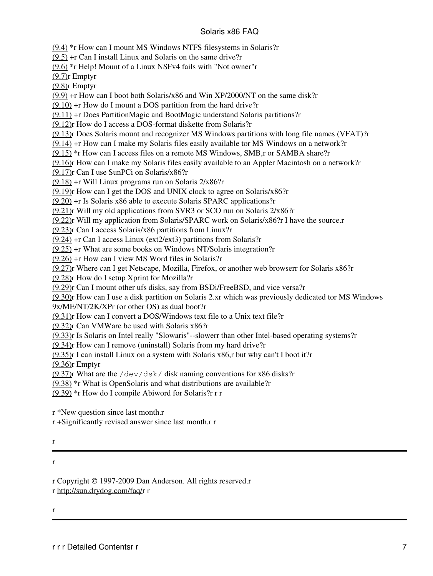[\(9.4\)](#page-92-1) \*r How can I mount MS Windows NTFS filesystems in Solaris?r

[\(9.5\)](#page-93-0) +r Can I install Linux and Solaris on the same drive?r

[\(9.6\)](#page-94-0) \*r Help! Mount of a Linux NSFv4 fails with "Not owner"r

[\(9.7\)](#page-94-1)r Emptyr

[\(9.8\)](#page-94-2)r Emptyr

[\(9.9\)](#page-94-3) +r How can I boot both Solaris/x86 and Win XP/2000/NT on the same disk?r

 $(9.10)$  +r How do I mount a DOS partition from the hard drive?r

[\(9.11\)](#page-96-0) +r Does PartitionMagic and BootMagic understand Solaris partitions?r

[\(9.12\)r](#page-97-0) How do I access a DOS-format diskette from Solaris?r

[\(9.13\)r](#page-98-0) Does Solaris mount and recognizer MS Windows partitions with long file names (VFAT)?r

 $(9.14)$  +r How can I make my Solaris files easily available tor MS Windows on a network?

[\(9.15\)](#page-99-0) \*r How can I access files on a remote MS Windows, SMB,r or SAMBA share?r

[\(9.16\)r](#page-99-1) How can I make my Solaris files easily available to an Appler Macintosh on a network?r

[\(9.17\)r](#page-99-2) Can I use SunPCi on Solaris/x86?r

 $(9.18)$  +r Will Linux programs run on Solaris  $2/x86$ ?r

[\(9.19\)r](#page-101-0) How can I get the DOS and UNIX clock to agree on Solaris/x86?r

[\(9.20\)](#page-101-1) +r Is Solaris x86 able to execute Solaris SPARC applications?r

[\(9.21\)r](#page-101-2) Will my old applications from SVR3 or SCO run on Solaris 2/x86?r

[\(9.22\)r](#page-102-0) Will my application from Solaris/SPARC work on Solaris/x86?r I have the source.r

[\(9.23\)r](#page-102-1) Can I access Solaris/x86 partitions from Linux?r

[\(9.24\)](#page-103-0) +r Can I access Linux (ext2/ext3) partitions from Solaris?r

[\(9.25\)](#page-106-0) +r What are some books on Windows NT/Solaris integration?r

[\(9.26\)](#page-106-1) +r How can I view MS Word files in Solaris?r

[\(9.27\)r](#page-107-0) Where can I get Netscape, Mozilla, Firefox, or another web browserr for Solaris x86?r

[\(9.28\)r](#page-107-1) How do I setup Xprint for Mozilla?r

[\(9.29\)r](#page-108-0) Can I mount other ufs disks, say from BSDi/FreeBSD, and vice versa?r

[\(9.30\)r](#page-108-1) How can I use a disk partition on Solaris 2.xr which was previously dedicated tor MS Windows 9x/ME/NT/2K/XPr (or other OS) as dual boot?r

[\(9.31\)r](#page-109-0) How can I convert a DOS/Windows text file to a Unix text file?r

[\(9.32\)r](#page-109-1) Can VMWare be used with Solaris x86?r

[\(9.33\)r](#page-111-0) Is Solaris on Intel really "Slowaris"--slowerr than other Intel-based operating systems?r

[\(9.34\)r](#page-112-0) How can I remove (uninstall) Solaris from my hard drive?r

 $(9.35)$ r I can install Linux on a system with Solaris x86,r but why can't I boot it?r

[\(9.36\)r](#page-113-0) Emptyr

[\(9.37\)r](#page-113-1) What are the  $/$  dev/dsk/ disk naming conventions for x86 disks?r

[\(9.38\)](#page-114-0) \*r What is OpenSolaris and what distributions are available?r

[\(9.39\)](#page-115-0) \*r How do I compile Abiword for Solaris?r r r

r \*New question since last month.r

r +Significantly revised answer since last month.r r

#### r

#### r

r Copyright © 1997-2009 Dan Anderson. All rights reserved.r

r [http://sun.drydog.com/faq/r](http://sun.drydog.com/faq/) r

r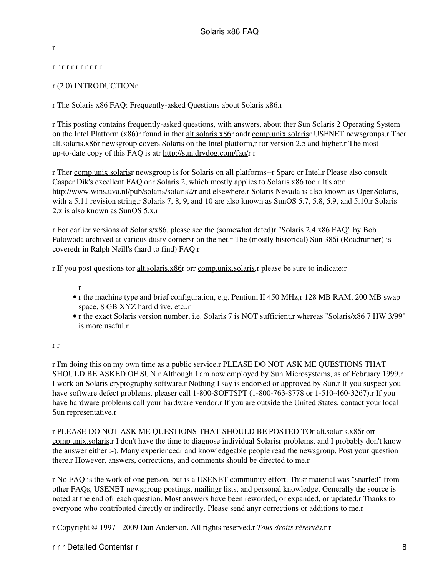<span id="page-9-0"></span>r

#### <span id="page-9-1"></span>r r r r r r r r r r r

## r (2.0) INTRODUCTIONr

r The Solaris x86 FAQ: Frequently-asked Questions about Solaris x86.r

r This posting contains frequently-asked questions, with answers, about ther Sun Solaris 2 Operating System on the Intel Platform (x86)r found in ther alt.solaris.x86r andr comp.unix.solarisr USENET newsgroups.r Ther alt.solaris.x86r newsgroup covers Solaris on the Intel platform,r for version 2.5 and higher.r The most up-to-date copy of this FAQ is atr <http://sun.drydog.com/faq/>r r

r Ther comp.unix.solarisr newsgroup is for Solaris on all platforms--r Sparc or Intel.r Please also consult Casper Dik's excellent FAQ onr Solaris 2, which mostly applies to Solaris x86 too.r It's at:r <http://www.wins.uva.nl/pub/solaris/solaris2/>r and elsewhere.r Solaris Nevada is also known as OpenSolaris, with a 5.11 revision string.r Solaris 7, 8, 9, and 10 are also known as SunOS 5.7, 5.8, 5.9, and 5.10.r Solaris 2.x is also known as SunOS 5.x.r

r For earlier versions of Solaris/x86, please see the (somewhat dated)r "Solaris 2.4 x86 FAQ" by Bob Palowoda archived at various dusty cornersr on the net.r The (mostly historical) Sun 386i (Roadrunner) is coveredr in Ralph Neill's (hard to find) FAQ.r

r If you post questions tor alt.solaris.x86r orr comp.unix.solaris,r please be sure to indicate:r

- r
- r the machine type and brief configuration, e.g. Pentium II 450 MHz, r 128 MB RAM, 200 MB swap space, 8 GB XYZ hard drive, etc.,r
- r the exact Solaris version number, i.e. Solaris 7 is NOT sufficient,r whereas "Solaris/x86 7 HW 3/99" is more useful r

#### r r

r I'm doing this on my own time as a public service.r PLEASE DO NOT ASK ME QUESTIONS THAT SHOULD BE ASKED OF SUN.r Although I am now employed by Sun Microsystems, as of February 1999,r I work on Solaris cryptography software.r Nothing I say is endorsed or approved by Sun.r If you suspect you have software defect problems, pleaser call 1-800-SOFTSPT (1-800-763-8778 or 1-510-460-3267).r If you have hardware problems call your hardware vendor.r If you are outside the United States, contact your local Sun representative.r

r PLEASE DO NOT ASK ME QUESTIONS THAT SHOULD BE POSTED TOr alt.solaris.x86r orr comp.unix.solaris.r I don't have the time to diagnose individual Solarisr problems, and I probably don't know the answer either :-). Many experiencedr and knowledgeable people read the newsgroup. Post your question there.r However, answers, corrections, and comments should be directed to me.r

r No FAQ is the work of one person, but is a USENET community effort. Thisr material was "snarfed" from other FAQs, USENET newsgroup postings, mailingr lists, and personal knowledge. Generally the source is noted at the end ofr each question. Most answers have been reworded, or expanded, or updated.r Thanks to everyone who contributed directly or indirectly. Please send anyr corrections or additions to me.r

r Copyright © 1997 - 2009 Dan Anderson. All rights reserved.r *Tous droits réservés.*r r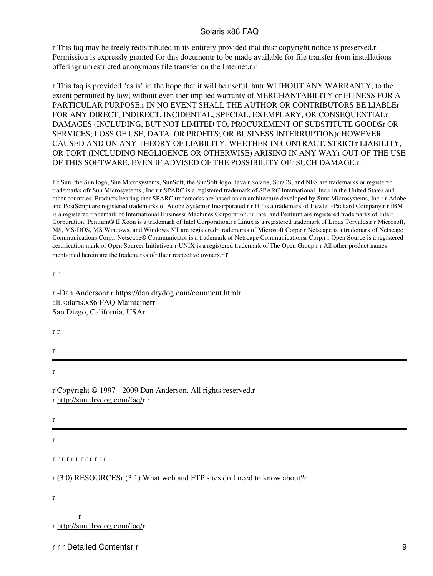r This faq may be freely redistributed in its entirety provided that thisr copyright notice is preserved.r Permission is expressly granted for this documentr to be made available for file transfer from installations offeringr unrestricted anonymous file transfer on the Internet.r r

r This faq is provided "as is" in the hope that it will be useful, butr WITHOUT ANY WARRANTY, to the extent permitted by law; without even ther implied warranty of MERCHANTABILITY or FITNESS FOR A PARTICULAR PURPOSE.r IN NO EVENT SHALL THE AUTHOR OR CONTRIBUTORS BE LIABLEr FOR ANY DIRECT, INDIRECT, INCIDENTAL, SPECIAL, EXEMPLARY, OR CONSEQUENTIALr DAMAGES (INCLUDING, BUT NOT LIMITED TO, PROCUREMENT OF SUBSTITUTE GOODSr OR SERVICES; LOSS OF USE, DATA, OR PROFITS; OR BUSINESS INTERRUPTION)r HOWEVER CAUSED AND ON ANY THEORY OF LIABILITY, WHETHER IN CONTRACT, STRICTr LIABILITY, OR TORT (INCLUDING NEGLIGENCE OR OTHERWISE) ARISING IN ANY WAYr OUT OF THE USE OF THIS SOFTWARE, EVEN IF ADVISED OF THE POSSIBILITY OFr SUCH DAMAGE.r r

r r Sun, the Sun logo, Sun Microsystems, SunSoft, the SunSoft logo, Java,r Solaris, SunOS, and NFS are trademarks or registered trademarks ofr Sun Microsystems., Inc.r r SPARC is a registered trademark of SPARC International, Inc.r in the United States and other countries. Products bearing ther SPARC trademarks are based on an architecture developed by Sunr Microsystems, Inc.r r Adobe and PostScript are registered trademarks of Adobe Systemsr Incorporated.r r HP is a trademark of Hewlett-Packard Company.r r IBM is a registered trademark of International Businessr Machines Corporation.r r Intel and Pentium are registered trademarks of Intelr Corporation. Pentium® II Xeon is a trademark of Intel Corporation.r r Linux is a registered trademark of Linus Torvalds.r r Microsoft, MS, MS-DOS, MS Windows, and Windows NT are registeredr trademarks of Microsoft Corp.r r Netscape is a trademark of Netscape Communications Corp.r Netscape® Communicator is a trademark of Netscape Communicationsr Corp.r r Open Source is a registered certification mark of Open Sourcer Initiative.r r UNIX is a registered trademark of The Open Group.r r All other product names mentioned herein are the trademarks ofr their respective owners.r r

r r

r -Dan Andersonr [r https://dan.drydog.com/comment.htmlr](http://dan.drydog.com/comment.html) alt.solaris.x86 FAQ Maintainerr San Diego, California, USAr

r r

r

r

r Copyright © 1997 - 2009 Dan Anderson. All rights reserved.r r [http://sun.drydog.com/faq/r](http://sun.drydog.com/faq/) r

r

<span id="page-10-0"></span>r

<span id="page-10-1"></span>r r r r r r r r r r r r

r (3.0) RESOURCESr (3.1) What web and FTP sites do I need to know about?r

r

r r [http://sun.drydog.com/faq/r](http://sun.drydog.com/faq/)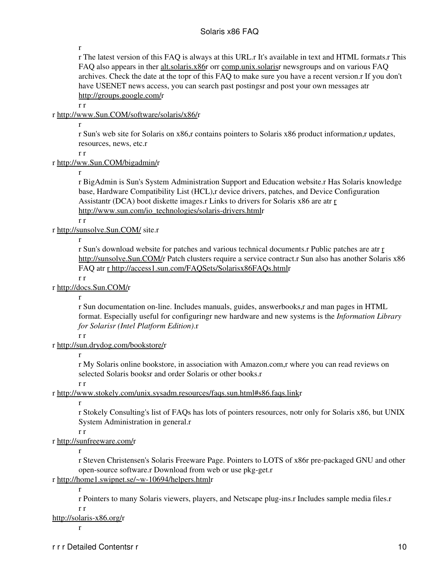r

r The latest version of this FAQ is always at this URL.r It's available in text and HTML formats.r This FAQ also appears in ther alt.solaris.x86r orr comp.unix.solarisr newsgroups and on various FAQ archives. Check the date at the topr of this FAQ to make sure you have a recent version.r If you don't have USENET news access, you can search past postingsr and post your own messages atr [http://groups.google.com/r](http://groups.google.com/)

r r

## r [http://www.Sun.COM/software/solaris/x86/r](http://www.Sun.COM/software/solaris/x86/)

r

r Sun's web site for Solaris on x86,r contains pointers to Solaris x86 product information,r updates, resources, news, etc.r

r r

#### r [http://ww.Sun.COM/bigadmin/r](http://www.Sun.COM/bigadmin/)

r

r BigAdmin is Sun's System Administration Support and Education website.r Has Solaris knowledge base, Hardware Compatibility List (HCL),r device drivers, patches, and Device Configuration Assistantr (DCA) boot diskette images.r Links to drivers for Solaris x86 are atr [r](http://www.sun.com/io_technologies/solaris-drivers.html) [http://www.sun.com/io\\_technologies/solaris-drivers.htmlr](http://www.sun.com/io_technologies/solaris-drivers.html)

r r

#### r<http://sunsolve.Sun.COM/>site.r

r

r Sun's download website for patches and various technical documents.r Public patches are atr [r](http://sunsolve.Sun.COM/) [http://sunsolve.Sun.COM/r](http://sunsolve.Sun.COM/) Patch clusters require a service contract.r Sun also has another Solaris x86 FAQ atr [r http://access1.sun.com/FAQSets/Solarisx86FAQs.htmlr](http://access1.sun.com/FAQSets/Solarisx86FAQs.html)

r r

#### r [http://docs.Sun.COM/r](http://docs.Sun.COM/)

r

r Sun documentation on-line. Includes manuals, guides, answerbooks,r and man pages in HTML format. Especially useful for configuringr new hardware and new systems is the *Information Library for Solarisr (Intel Platform Edition)*.r

# r r

# r<http://sun.drydog.com/bookstore/>r

r

r My Solaris online bookstore, in association with Amazon.com,r where you can read reviews on selected Solaris booksr and order Solaris or other books.r

r r

## r [http://www.stokely.com/unix.sysadm.resources/faqs.sun.html#s86.faqs.linkr](http://www.stokely.com/unix.sysadm.resources/faqs.sun.html#s86.faqs.link)

r

r Stokely Consulting's list of FAQs has lots of pointers resources, notr only for Solaris x86, but UNIX System Administration in general.r

r r

r<http://sunfreeware.com/>r

r

r Steven Christensen's Solaris Freeware Page. Pointers to LOTS of x86r pre-packaged GNU and other open-source software.r Download from web or use pkg-get.r

# r<http://home1.swipnet.se/~w-10694/helpers.html>r

r

r Pointers to many Solaris viewers, players, and Netscape plug-ins.r Includes sample media files.r r r

[http://solaris-x86.org/r](http://solaris-x86.org/)

r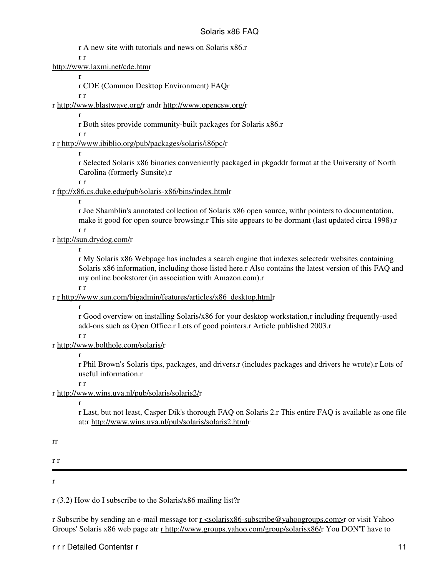r A new site with tutorials and news on Solaris x86.r

r r

<http://www.laxmi.net/cde.htm>r

r

r CDE (Common Desktop Environment) FAQr

r r

r [http://www.blastwave.org/r](http://www.blastwave.org/) andr<http://www.opencsw.org/>r

r Both sites provide community-built packages for Solaris x86.r

r r

r

r [r http://www.ibiblio.org/pub/packages/solaris/i86pc/](http://www.ibiblio.org/pub/packages/solaris/i86pc/)r

r

r Selected Solaris x86 binaries conveniently packaged in pkgaddr format at the University of North Carolina (formerly Sunsite).r

r r

r<ftp://x86.cs.duke.edu/pub/solaris-x86/bins/index.html>r

r

r Joe Shamblin's annotated collection of Solaris x86 open source, withr pointers to documentation, make it good for open source browsing.r This site appears to be dormant (last updated circa 1998).r r r

r [http://sun.drydog.com/r](http://sun.drydog.com/bookstore/)

r

r My Solaris x86 Webpage has includes a search engine that indexes selectedr websites containing Solaris x86 information, including those listed here.r Also contains the latest version of this FAQ and my online bookstorer (in association with Amazon.com).r

r r

r [r http://www.sun.com/bigadmin/features/articles/x86\\_desktop.html](http://www.sun.com/bigadmin/features/articles/x86_desktop.html)r

r

r Good overview on installing Solaris/x86 for your desktop workstation,r including frequently-used add-ons such as Open Office.r Lots of good pointers.r Article published 2003.r

r r

# r [http://www.bolthole.com/solaris/r](http://www.bolthole.com/solaris/)

r

r Phil Brown's Solaris tips, packages, and drivers.r (includes packages and drivers he wrote).r Lots of useful information.r

r r

r [http://www.wins.uva.nl/pub/solaris/solaris2/r](http://www.wins.uva.nl/pub/solaris/solaris2/)

r

r Last, but not least, Casper Dik's thorough FAQ on Solaris 2.r This entire FAQ is available as one file at:r<http://www.wins.uva.nl/pub/solaris/solaris2.html>r

rr

r r

<span id="page-12-0"></span>r

r (3.2) How do I subscribe to the Solaris/x86 mailing list?r

r Subscribe by sending an e-mail message tor [r <solarisx86-subscribe@yahoogroups.com>](mailto:solarisx86-subscribe@yahoogroups.com)r or visit Yahoo Groups' Solaris x86 web page atr [r http://www.groups.yahoo.com/group/solarisx86/](http://www.groups.yahoo.com/group/solarisx86/)r You DON'T have to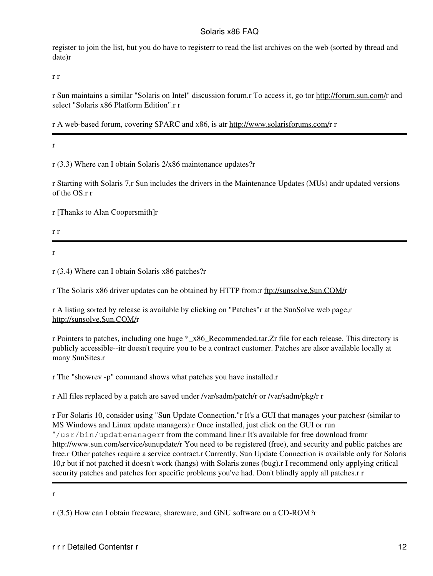register to join the list, but you do have to registerr to read the list archives on the web (sorted by thread and date)r

r r

r Sun maintains a similar "Solaris on Intel" discussion forum.r To access it, go tor<http://forum.sun.com/>r and select "Solaris x86 Platform Edition".r r

r A web-based forum, covering SPARC and x86, is atr [http://www.solarisforums.com/r](http://www.solarisforums.com/) r

<span id="page-13-0"></span>r

r (3.3) Where can I obtain Solaris 2/x86 maintenance updates?r

r Starting with Solaris 7,r Sun includes the drivers in the Maintenance Updates (MUs) andr updated versions of the OS.r r

r [Thanks to Alan Coopersmith]r

r r

<span id="page-13-1"></span>r

r (3.4) Where can I obtain Solaris x86 patches?r

r The Solaris x86 driver updates can be obtained by HTTP from:r [ftp://sunsolve.Sun.COM/r](ftp://sunsolve.Sun.COM/)

r A listing sorted by release is available by clicking on "Patches"r at the SunSolve web page,r [http://sunsolve.Sun.COM/r](http://sunsolve.Sun.COM/)

r Pointers to patches, including one huge \*\_x86\_Recommended.tar.Zr file for each release. This directory is publicly accessible--itr doesn't require you to be a contract customer. Patches are alsor available locally at many SunSites.r

r The "showrev -p" command shows what patches you have installed.r

r All files replaced by a patch are saved under /var/sadm/patch/r or /var/sadm/pkg/r r

r For Solaris 10, consider using "Sun Update Connection."r It's a GUI that manages your patchesr (similar to MS Windows and Linux update managers).r Once installed, just click on the GUI or run "/usr/bin/updatemanagerr from the command line.r It's available for free download fromr http://www.sun.com/service/sunupdate/r You need to be registered (free), and security and public patches are free.r Other patches require a service contract.r Currently, Sun Update Connection is available only for Solaris 10,r but if not patched it doesn't work (hangs) with Solaris zones (bug).r I recommend only applying critical security patches and patches forr specific problems you've had. Don't blindly apply all patches.r r

<span id="page-13-2"></span>r

r (3.5) How can I obtain freeware, shareware, and GNU software on a CD-ROM?r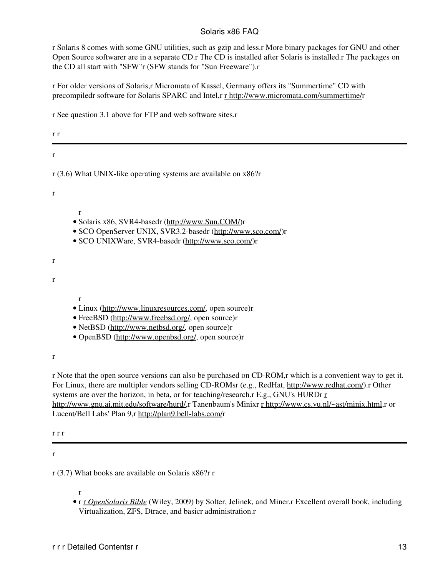r Solaris 8 comes with some GNU utilities, such as gzip and less.r More binary packages for GNU and other Open Source softwarer are in a separate CD.r The CD is installed after Solaris is installed.r The packages on the CD all start with "SFW"r (SFW stands for "Sun Freeware").r

r For older versions of Solaris,r Micromata of Kassel, Germany offers its "Summertime" CD with precompiledr software for Solaris SPARC and Intel,r [r http://www.micromata.com/summertime/r](http://www.micromata.com/summertime/)

r See question 3.1 above for FTP and web software sites.r

<span id="page-14-0"></span>

| r r                                                                                                                                                                                                                                 |  |
|-------------------------------------------------------------------------------------------------------------------------------------------------------------------------------------------------------------------------------------|--|
| r                                                                                                                                                                                                                                   |  |
| $r(3.6)$ What UNIX-like operating systems are available on $x86$ ? $r$                                                                                                                                                              |  |
| $\mathbf r$                                                                                                                                                                                                                         |  |
| $\mathbf{r}$<br>· Solaris x86, SVR4-basedr (http://www.Sun.COM/)r<br>• SCO OpenServer UNIX, SVR3.2-basedr (http://www.sco.com/)r<br>· SCO UNIXWare, SVR4-basedr (http://www.sco.com/)r                                              |  |
| r                                                                                                                                                                                                                                   |  |
| $\mathbf{r}$                                                                                                                                                                                                                        |  |
| $\mathbf{r}$<br>• Linux (http://www.linuxresources.com/, open source)r<br>• FreeBSD (http://www.freebsd.org/, open source)r<br>• NetBSD (http://www.netbsd.org/, open source)r<br>• OpenBSD (http://www.openbsd.org/, open source)r |  |
| r                                                                                                                                                                                                                                   |  |

r Note that the open source versions can also be purchased on CD-ROM,r which is a convenient way to get it. For Linux, there are multipler vendors selling CD-ROMsr (e.g., RedHat,<http://www.redhat.com/>).r Other systems are over the horizon, in beta, or for teaching/research.r E.g., GNU's HURDr [r](http://www.gnu.ai.mit.edu/software/hurd/) <http://www.gnu.ai.mit.edu/software/hurd/>,r Tanenbaum's Minixr [r http://www.cs.vu.nl/~ast/minix.html](http://www.cs.vu.nl/~ast/minix.html),r or Lucent/Bell Labs' Plan 9,r [http://plan9.bell-labs.com/r](http://plan9.bell-labs.com/)

r r r

<span id="page-14-1"></span>r

r (3.7) What books are available on Solaris x86?r r

r

r r *[OpenSolaris Bible](http://www.amazon.com/exec/obidos/ASIN/0470385480/yosemitewebindex/)* (Wiley, 2009) by Solter, Jelinek, and Miner.r Excellent overall book, including • Virtualization, ZFS, Dtrace, and basicr administration.r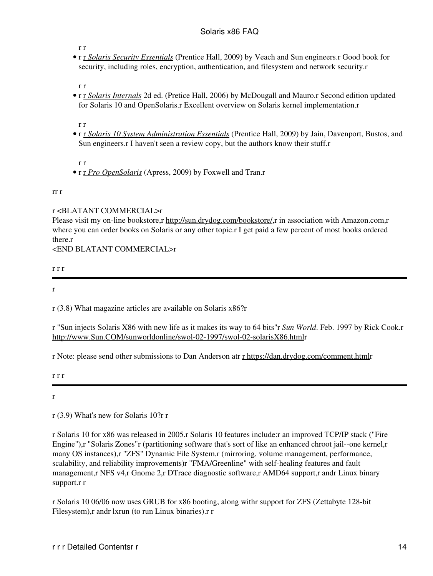r r

r r *[Solaris Security Essentials](http://www.amazon.com/exec/obidos/ASIN/0137012330/yosemitewebindex/)* (Prentice Hall, 2009) by Veach and Sun engineers.r Good book for • security, including roles, encryption, authentication, and filesystem and network security.r

r r

r r *[Solaris Internals](http://www.amazon.com/exec/obidos/ASIN/0131482098/yosemitewebindex/)* 2d ed. (Pretice Hall, 2006) by McDougall and Mauro.r Second edition updated • for Solaris 10 and OpenSolaris.r Excellent overview on Solaris kernel implementation.r

r r

r r *[Solaris 10 System Administration Essentials](http://www.amazon.com/exec/obidos/ASIN/013700009X/yosemitewebindex/)* (Prentice Hall, 2009) by Jain, Davenport, Bustos, and • Sun engineers.r I haven't seen a review copy, but the authors know their stuff.r

r r

• r r *[Pro OpenSolaris](http://www.amazon.com/exec/obidos/ASIN/1430218916/yosemitewebindex/)* (Apress, 2009) by Foxwell and Tran.r

rr r

## r <BLATANT COMMERCIAL>r

Please visit my on-line bookstore,r <http://sun.drydog.com/bookstore/>,r in association with Amazon.com,r where you can order books on Solaris or any other topic.r I get paid a few percent of most books ordered there.r

<END BLATANT COMMERCIAL>r

r r r

<span id="page-15-0"></span>r

r (3.8) What magazine articles are available on Solaris x86?r

r "Sun injects Solaris X86 with new life as it makes its way to 64 bits"r *Sun World*. Feb. 1997 by Rick Cook.r <http://www.Sun.COM/sunworldonline/swol-02-1997/swol-02-solarisX86.html>r

r Note: please send other submissions to Dan Anderson atr [r https://dan.drydog.com/comment.html](http://dan.drydog.com/comment.html)r

r r r

<span id="page-15-1"></span>r

r (3.9) What's new for Solaris 10?r r

r Solaris 10 for x86 was released in 2005.r Solaris 10 features include:r an improved TCP/IP stack ("Fire Engine"),r "Solaris Zones"r (partitioning software that's sort of like an enhanced chroot jail--one kernel,r many OS instances),r "ZFS" Dynamic File System,r (mirroring, volume management, performance, scalability, and reliability improvements)r "FMA/Greenline" with self-healing features and fault management,r NFS v4,r Gnome 2,r DTrace diagnostic software,r AMD64 support,r andr Linux binary support.r r

r Solaris 10 06/06 now uses GRUB for x86 booting, along withr support for ZFS (Zettabyte 128-bit Filesystem),r andr lxrun (to run Linux binaries).r r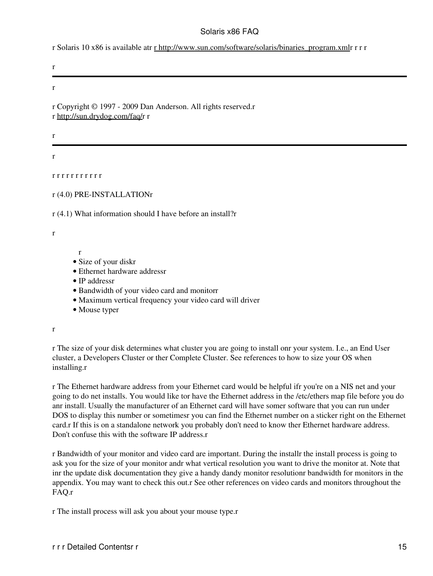r Solaris 10 x86 is available atr [r http://www.sun.com/software/solaris/binaries\\_program.xml](http://www.sun.com/software/solaris/binaries_program.xml)r r r r

r

r

r Copyright © 1997 - 2009 Dan Anderson. All rights reserved.r r [http://sun.drydog.com/faq/r](http://sun.drydog.com/faq/) r

r

<span id="page-16-0"></span>r

<span id="page-16-1"></span>r r r r r r r r r r r

r

<span id="page-16-2"></span>r (4.0) PRE-INSTALLATIONr

r (4.1) What information should I have before an install?r

r

- Size of your diskr
- Ethernet hardware addressr
- IP addressr
- Bandwidth of your video card and monitorr
- Maximum vertical frequency your video card will driver
- Mouse typer

r

r The size of your disk determines what cluster you are going to install onr your system. I.e., an End User cluster, a Developers Cluster or ther Complete Cluster. See references to how to size your OS when installing.r

r The Ethernet hardware address from your Ethernet card would be helpful ifr you're on a NIS net and your going to do net installs. You would like tor have the Ethernet address in the /etc/ethers map file before you do anr install. Usually the manufacturer of an Ethernet card will have somer software that you can run under DOS to display this number or sometimesr you can find the Ethernet number on a sticker right on the Ethernet card.r If this is on a standalone network you probably don't need to know ther Ethernet hardware address. Don't confuse this with the software IP address.r

r Bandwidth of your monitor and video card are important. During the installr the install process is going to ask you for the size of your monitor andr what vertical resolution you want to drive the monitor at. Note that inr the update disk documentation they give a handy dandy monitor resolutionr bandwidth for monitors in the appendix. You may want to check this out.r See other references on video cards and monitors throughout the FAQ.r

r The install process will ask you about your mouse type.r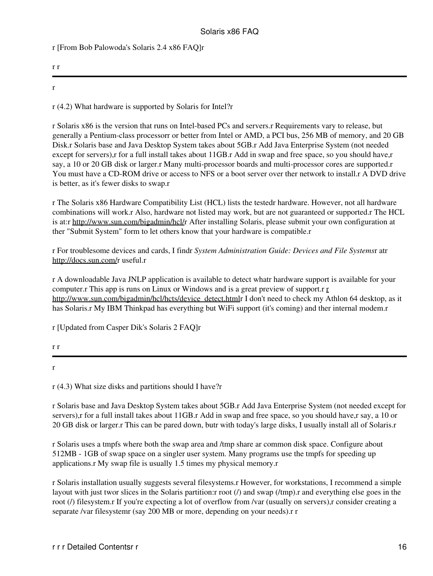r [From Bob Palowoda's Solaris 2.4 x86 FAQ]r

| r r |  |  |  |
|-----|--|--|--|
| 44  |  |  |  |

<span id="page-17-0"></span>r (4.2) What hardware is supported by Solaris for Intel?r

r Solaris x86 is the version that runs on Intel-based PCs and servers.r Requirements vary to release, but generally a Pentium-class processorr or better from Intel or AMD, a PCI bus, 256 MB of memory, and 20 GB Disk.r Solaris base and Java Desktop System takes about 5GB.r Add Java Enterprise System (not needed except for servers),r for a full install takes about 11GB.r Add in swap and free space, so you should have,r say, a 10 or 20 GB disk or larger.r Many multi-processor boards and multi-processor cores are supported.r You must have a CD-ROM drive or access to NFS or a boot server over ther network to install.r A DVD drive is better, as it's fewer disks to swap.r

r The Solaris x86 Hardware Compatibility List (HCL) lists the testedr hardware. However, not all hardware combinations will work.r Also, hardware not listed may work, but are not guaranteed or supported.r The HCL is at:r [http://www.sun.com/bigadmin/hcl/r](http://www.sun.com/bigadmin/hcl/) After installing Solaris, please submit your own configuration at ther "Submit System" form to let others know that your hardware is compatible.r

r For troublesome devices and cards, I findr *System Administration Guide: Devices and File Systems*r atr <http://docs.sun.com/>r useful.r

r A downloadable Java JNLP application is available to detect whatr hardware support is available for your computer.r This app is runs on Linux or Windows and is a great preview of support.r [r](http://www.sun.com/bigadmin/hcl/hcts/device_detect.html) [http://www.sun.com/bigadmin/hcl/hcts/device\\_detect.html](http://www.sun.com/bigadmin/hcl/hcts/device_detect.html)r I don't need to check my Athlon 64 desktop, as it has Solaris.r My IBM Thinkpad has everything but WiFi support (it's coming) and ther internal modem.r

r [Updated from Casper Dik's Solaris 2 FAQ]r

<span id="page-17-1"></span>r

r (4.3) What size disks and partitions should I have?r

r Solaris base and Java Desktop System takes about 5GB.r Add Java Enterprise System (not needed except for servers),r for a full install takes about 11GB.r Add in swap and free space, so you should have,r say, a 10 or 20 GB disk or larger.r This can be pared down, butr with today's large disks, I usually install all of Solaris.r

r Solaris uses a tmpfs where both the swap area and /tmp share ar common disk space. Configure about 512MB - 1GB of swap space on a singler user system. Many programs use the tmpfs for speeding up applications.r My swap file is usually 1.5 times my physical memory.r

r Solaris installation usually suggests several filesystems.r However, for workstations, I recommend a simple layout with just twor slices in the Solaris partition: root (*l*) and swap (*l*tmp). r and everything else goes in the root (*I*) filesystem.r If you're expecting a lot of overflow from /var (usually on servers),r consider creating a separate /var filesystemr (say 200 MB or more, depending on your needs).r r

r r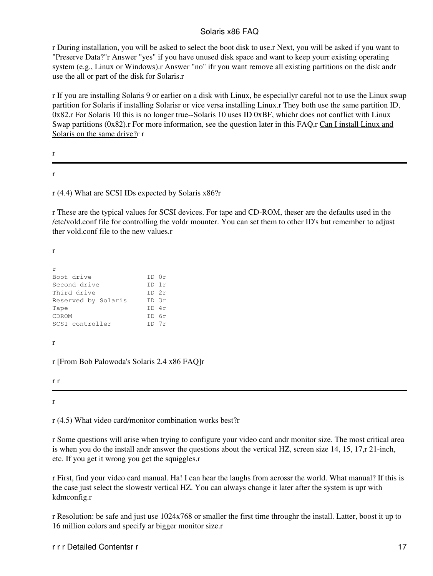r During installation, you will be asked to select the boot disk to use.r Next, you will be asked if you want to "Preserve Data?"r Answer "yes" if you have unused disk space and want to keep yourr existing operating system (e.g., Linux or Windows).r Answer "no" ifr you want remove all existing partitions on the disk andr use the all or part of the disk for Solaris.r

r If you are installing Solaris 9 or earlier on a disk with Linux, be especiallyr careful not to use the Linux swap partition for Solaris if installing Solarisr or vice versa installing Linux.r They both use the same partition ID, 0x82.r For Solaris 10 this is no longer true--Solaris 10 uses ID 0xBF, whichr does not conflict with Linux Swap partitions (0x82).r For more information, see the question later in this FAQ,r Can I install Linux and Solaris on the same drive?r r

r

<span id="page-18-0"></span>r

r (4.4) What are SCSI IDs expected by Solaris x86?r

r These are the typical values for SCSI devices. For tape and CD-ROM, theser are the defaults used in the /etc/vold.conf file for controlling the voldr mounter. You can set them to other ID's but remember to adjust ther vold.conf file to the new values.r

r

| r                   |            |  |
|---------------------|------------|--|
| Boot drive          | ID Or      |  |
| Second drive        | $ID$ 1 $r$ |  |
| Third drive         | $TD$ $2r$  |  |
| Reserved by Solaris | $ID \; 3r$ |  |
| Tape                | $TD$ 4r    |  |
| CDROM               | TD 6r      |  |
| SCSI controller     | TDZr       |  |

r

r [From Bob Palowoda's Solaris 2.4 x86 FAQ]r

r r

<span id="page-18-1"></span>r

r (4.5) What video card/monitor combination works best?r

r Some questions will arise when trying to configure your video card andr monitor size. The most critical area is when you do the install andr answer the questions about the vertical HZ, screen size 14, 15, 17,r 21-inch, etc. If you get it wrong you get the squiggles.r

r First, find your video card manual. Ha! I can hear the laughs from acrossr the world. What manual? If this is the case just select the slowestr vertical HZ. You can always change it later after the system is upr with kdmconfig.r

r Resolution: be safe and just use 1024x768 or smaller the first time throughr the install. Latter, boost it up to 16 million colors and specify ar bigger monitor size.r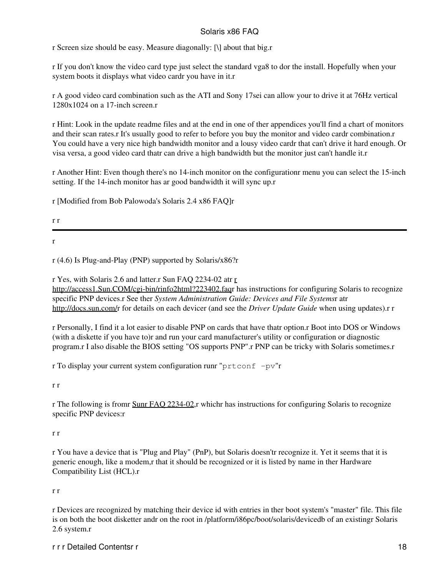r Screen size should be easy. Measure diagonally: [\] about that big.r

r If you don't know the video card type just select the standard vga8 to dor the install. Hopefully when your system boots it displays what video cardr you have in it.r

r A good video card combination such as the ATI and Sony 17sei can allow your to drive it at 76Hz vertical 1280x1024 on a 17-inch screen.r

r Hint: Look in the update readme files and at the end in one of ther appendices you'll find a chart of monitors and their scan rates.r It's usually good to refer to before you buy the monitor and video cardr combination.r You could have a very nice high bandwidth monitor and a lousy video cardr that can't drive it hard enough. Or visa versa, a good video card thatr can drive a high bandwidth but the monitor just can't handle it.r

r Another Hint: Even though there's no 14-inch monitor on the configurationr menu you can select the 15-inch setting. If the 14-inch monitor has ar good bandwidth it will sync up.r

r [Modified from Bob Palowoda's Solaris 2.4 x86 FAQ]r

- r r
- <span id="page-19-0"></span>r

r (4.6) Is Plug-and-Play (PNP) supported by Solaris/x86?r

r Yes, with Solaris 2.6 and latter.r Sun FAQ 2234-02 atr [r](http://access1.Sun.COM/cgi-bin/rinfo2html?223402.faq) [http://access1.Sun.COM/cgi-bin/rinfo2html?223402.faqr](http://access1.Sun.COM/cgi-bin/rinfo2html?223402.faq) has instructions for configuring Solaris to recognize specific PNP devices.r See ther *System Administration Guide: Devices and File Systems*r atr <http://docs.sun.com/>r for details on each devicer (and see the *Driver Update Guide* when using updates).r r

r Personally, I find it a lot easier to disable PNP on cards that have thatr option.r Boot into DOS or Windows (with a diskette if you have to)r and run your card manufacturer's utility or configuration or diagnostic program.r I also disable the BIOS setting "OS supports PNP".r PNP can be tricky with Solaris sometimes.r

r To display your current system configuration runr "prtconf  $-pv$ "r

r r

r The following is fromr [Sunr FAQ 2234-02,](http://access1.Sun.COM/cgi-bin/rinfo2html?223402.faq)r whichr has instructions for configuring Solaris to recognize specific PNP devices:r

#### r r

r You have a device that is "Plug and Play" (PnP), but Solaris doesn'tr recognize it. Yet it seems that it is generic enough, like a modem,r that it should be recognized or it is listed by name in ther Hardware Compatibility List (HCL).r

#### r r

r Devices are recognized by matching their device id with entries in ther boot system's "master" file. This file is on both the boot disketter andr on the root in /platform/i86pc/boot/solaris/devicedb of an existingr Solaris 2.6 system.r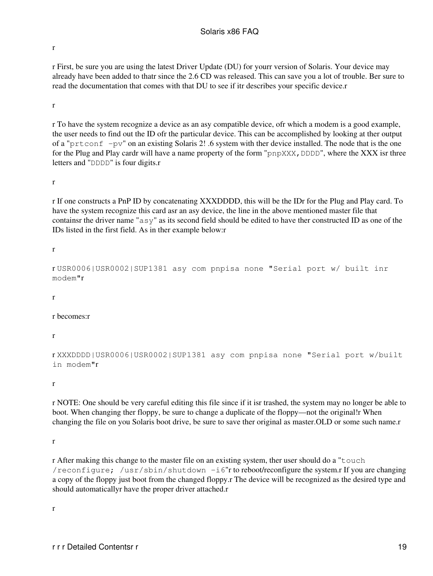r

r First, be sure you are using the latest Driver Update (DU) for yourr version of Solaris. Your device may already have been added to thatr since the 2.6 CD was released. This can save you a lot of trouble. Ber sure to read the documentation that comes with that DU to see if itr describes your specific device.r

r

r To have the system recognize a device as an asy compatible device, ofr which a modem is a good example, the user needs to find out the ID ofr the particular device. This can be accomplished by looking at ther output of a "prtconf -pv" on an existing Solaris 2! .6 system with ther device installed. The node that is the one for the Plug and Play cardr will have a name property of the form "pnpXXX, DDDD", where the XXX isr three letters and "DDDD" is four digits.r

r

r If one constructs a PnP ID by concatenating XXXDDDD, this will be the IDr for the Plug and Play card. To have the system recognize this card asr an asy device, the line in the above mentioned master file that containsr the driver name "asy" as its second field should be edited to have ther constructed ID as one of the IDs listed in the first field. As in ther example below:r

r

r USR0006|USR0002|SUP1381 asy com pnpisa none "Serial port w/ built inr modem"r

r

r becomes:r

r

r XXXDDDD|USR0006|USR0002|SUP1381 asy com pnpisa none "Serial port w/built in modem"r

r

r NOTE: One should be very careful editing this file since if it isr trashed, the system may no longer be able to boot. When changing ther floppy, be sure to change a duplicate of the floppy—not the original!r When changing the file on you Solaris boot drive, be sure to save ther original as master.OLD or some such name.r

r

r After making this change to the master file on an existing system, ther user should do a "touch /reconfigure: /usr/sbin/shutdown  $-i6$ "r to reboot/reconfigure the system.r If you are changing a copy of the floppy just boot from the changed floppy.r The device will be recognized as the desired type and should automaticallyr have the proper driver attached.r

r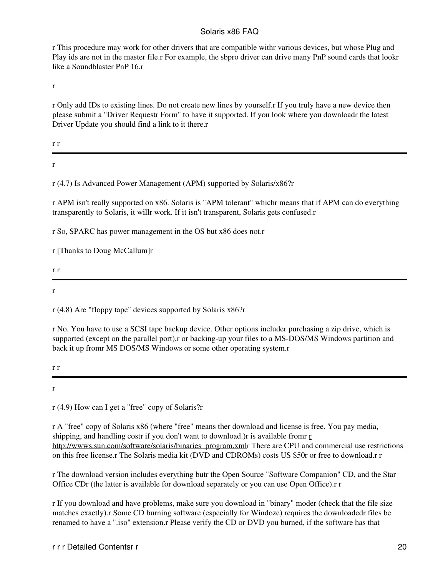r This procedure may work for other drivers that are compatible withr various devices, but whose Plug and Play ids are not in the master file.r For example, the sbpro driver can drive many PnP sound cards that lookr like a Soundblaster PnP 16.r

r

r Only add IDs to existing lines. Do not create new lines by yourself.r If you truly have a new device then please submit a "Driver Requestr Form" to have it supported. If you look where you downloadr the latest Driver Update you should find a link to it there.r

r r

<span id="page-21-0"></span>r

r (4.7) Is Advanced Power Management (APM) supported by Solaris/x86?r

r APM isn't really supported on x86. Solaris is "APM tolerant" whichr means that if APM can do everything transparently to Solaris, it willr work. If it isn't transparent, Solaris gets confused.r

r So, SPARC has power management in the OS but x86 does not.r

r [Thanks to Doug McCallum]r

r r

<span id="page-21-1"></span>r

r (4.8) Are "floppy tape" devices supported by Solaris x86?r

r No. You have to use a SCSI tape backup device. Other options includer purchasing a zip drive, which is supported (except on the parallel port),r or backing-up your files to a MS-DOS/MS Windows partition and back it up fromr MS DOS/MS Windows or some other operating system.r

r r

<span id="page-21-2"></span>r

r (4.9) How can I get a "free" copy of Solaris?r

r A "free" copy of Solaris x86 (where "free" means ther download and license is free. You pay media, shipping, and handling costr if you don't want to download.) [r](http://wwws.sun.com/software/solaris/binaries_program.xml) is available from  $r$ [http://wwws.sun.com/software/solaris/binaries\\_program.xml](http://wwws.sun.com/software/solaris/binaries_program.xml)r There are CPU and commercial use restrictions on this free license.r The Solaris media kit (DVD and CDROMs) costs US \$50r or free to download.r r

r The download version includes everything butr the Open Source "Software Companion" CD, and the Star Office CDr (the latter is available for download separately or you can use Open Office).r r

r If you download and have problems, make sure you download in "binary" moder (check that the file size matches exactly).r Some CD burning software (especially for Windoze) requires the downloadedr files be renamed to have a ".iso" extension.r Please verify the CD or DVD you burned, if the software has that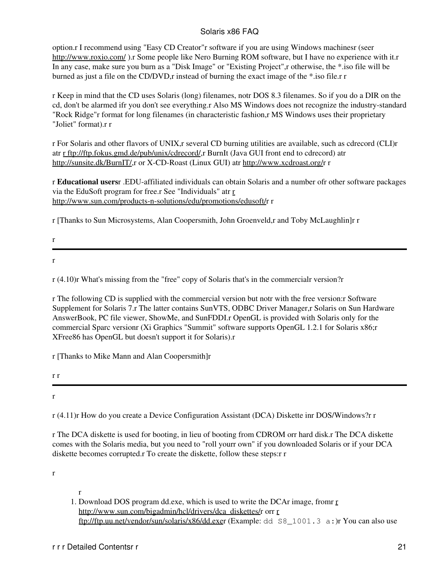option.r I recommend using "Easy CD Creator"r software if you are using Windows machinesr (seer <http://www.roxio.com/>).r Some people like Nero Burning ROM software, but I have no experience with it.r In any case, make sure you burn as a "Disk Image" or "Existing Project",r otherwise, the \*.iso file will be burned as just a file on the CD/DVD,r instead of burning the exact image of the \*.iso file.r r

r Keep in mind that the CD uses Solaris (long) filenames, notr DOS 8.3 filenames. So if you do a DIR on the cd, don't be alarmed ifr you don't see everything.r Also MS Windows does not recognize the industry-standard "Rock Ridge"r format for long filenames (in characteristic fashion,r MS Windows uses their proprietary "Joliet" format).r r

r For Solaris and other flavors of UNIX,r several CD burning utilities are available, such as cdrecord (CLI)r atr [r ftp://ftp.fokus.gmd.de/pub/unix/cdrecord/,](ftp://ftp.fokus.gmd.de/pub/unix/cdrecord/)r BurnIt (Java GUI front end to cdrecord) atr <http://sunsite.dk/BurnIT/>,r or X-CD-Roast (Linux GUI) atr <http://www.xcdroast.org/>r r

r **Educational users**r .EDU-affiliated individuals can obtain Solaris and a number ofr other software packages via the EduSoft program for free.r See "Individuals" atr [r](http://www.sun.com/products-n-solutions/edu/promotions/edusoft/) [http://www.sun.com/products-n-solutions/edu/promotions/edusoft/r](http://www.sun.com/products-n-solutions/edu/promotions/edusoft/) r

r [Thanks to Sun Microsystems, Alan Coopersmith, John Groenveld,r and Toby McLaughlin]r r

r

<span id="page-22-0"></span>r

r (4.10)r What's missing from the "free" copy of Solaris that's in the commercialr version?r

r The following CD is supplied with the commercial version but notr with the free version:r Software Supplement for Solaris 7.r The latter contains SunVTS, ODBC Driver Manager,r Solaris on Sun Hardware AnswerBook, PC file viewer, ShowMe, and SunFDDI.r OpenGL is provided with Solaris only for the commercial Sparc versionr (Xi Graphics "Summit" software supports OpenGL 1.2.1 for Solaris x86;r XFree86 has OpenGL but doesn't support it for Solaris).r

r [Thanks to Mike Mann and Alan Coopersmith]r

r r

<span id="page-22-1"></span>r

r (4.11)r How do you create a Device Configuration Assistant (DCA) Diskette inr DOS/Windows?r r

r The DCA diskette is used for booting, in lieu of booting from CDROM orr hard disk.r The DCA diskette comes with the Solaris media, but you need to "roll yourr own" if you downloaded Solaris or if your DCA diskette becomes corrupted.r To create the diskette, follow these steps:r r

r

1. Download DOS program dd.exe, which is used to write the DCAr image, fromr *r* [http://www.sun.com/bigadmin/hcl/drivers/dca\\_diskettes/r](http://www.sun.com/bigadmin/hcl/drivers/dca_diskettes/) o[r](ftp://ftp.uu.net/vendor/sun/solaris/x86/dd.exe)r r [ftp://ftp.uu.net/vendor/sun/solaris/x86/dd.exer](ftp://ftp.uu.net/vendor/sun/solaris/x86/dd.exe) (Example: dd S8\_1001.3 a:)r You can also use

r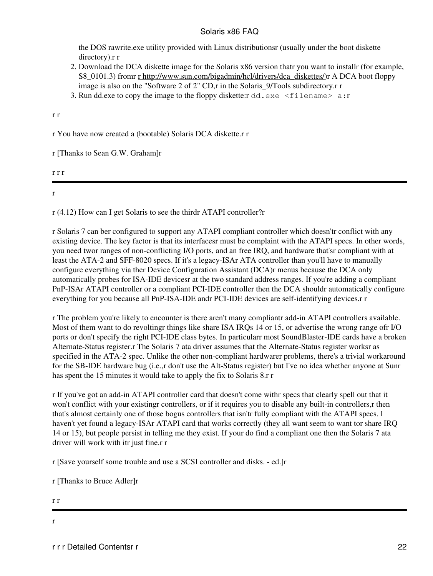the DOS rawrite.exe utility provided with Linux distributionsr (usually under the boot diskette directory).r r

- 2. Download the DCA diskette image for the Solaris x86 version thatr you want to installr (for example, S8\_0101.3) from [r http://www.sun.com/bigadmin/hcl/drivers/dca\\_diskettes/\)](http://www.sun.com/bigadmin/hcl/drivers/dca_diskettes/)r A DCA boot floppy image is also on the "Software 2 of 2" CD,r in the Solaris\_9/Tools subdirectory.r r
- 3. Run dd.exe to copy the image to the floppy diskette:  $rdd$ .exe  $\leq$  filename  $> a$ : r

r r

r You have now created a (bootable) Solaris DCA diskette.r r

r [Thanks to Sean G.W. Graham]r

r r r

<span id="page-23-0"></span>r

r (4.12) How can I get Solaris to see the thirdr ATAPI controller?r

r Solaris 7 can ber configured to support any ATAPI compliant controller which doesn'tr conflict with any existing device. The key factor is that its interfacesr must be complaint with the ATAPI specs. In other words, you need twor ranges of non-conflicting I/O ports, and an free IRQ, and hardware that'sr compliant with at least the ATA-2 and SFF-8020 specs. If it's a legacy-ISAr ATA controller than you'll have to manually configure everything via ther Device Configuration Assistant (DCA)r menus because the DCA only automatically probes for ISA-IDE devicesr at the two standard address ranges. If you're adding a compliant PnP-ISAr ATAPI controller or a compliant PCI-IDE controller then the DCA shouldr automatically configure everything for you because all PnP-ISA-IDE andr PCI-IDE devices are self-identifying devices.r r

r The problem you're likely to encounter is there aren't many compliantr add-in ATAPI controllers available. Most of them want to do revoltingr things like share ISA IRQs 14 or 15, or advertise the wrong range ofr I/O ports or don't specify the right PCI-IDE class bytes. In particularr most SoundBlaster-IDE cards have a broken Alternate-Status register.r The Solaris 7 ata driver assumes that the Alternate-Status register worksr as specified in the ATA-2 spec. Unlike the other non-compliant hardwarer problems, there's a trivial workaround for the SB-IDE hardware bug (i.e.,r don't use the Alt-Status register) but I've no idea whether anyone at Sunr has spent the 15 minutes it would take to apply the fix to Solaris 8.r r

r If you've got an add-in ATAPI controller card that doesn't come withr specs that clearly spell out that it won't conflict with your existingr controllers, or if it requires you to disable any built-in controllers, r then that's almost certainly one of those bogus controllers that isn'tr fully compliant with the ATAPI specs. I haven't yet found a legacy-ISAr ATAPI card that works correctly (they all want seem to want tor share IRQ 14 or 15), but people persist in telling me they exist. If your do find a compliant one then the Solaris 7 ata driver will work with itr just fine.r r

r [Save yourself some trouble and use a SCSI controller and disks. - ed.]r

r [Thanks to Bruce Adler]r

r r

<span id="page-23-1"></span>r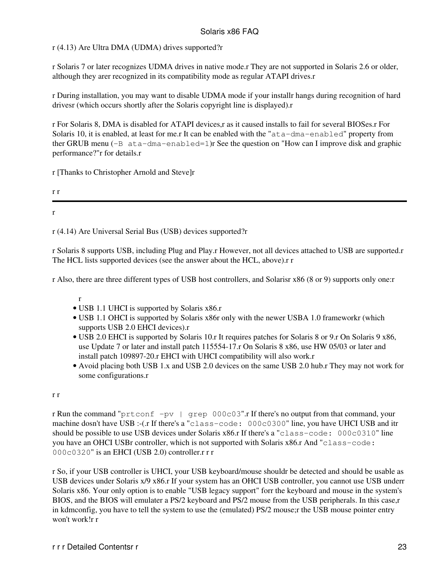## r (4.13) Are Ultra DMA (UDMA) drives supported?r

r Solaris 7 or later recognizes UDMA drives in native mode.r They are not supported in Solaris 2.6 or older, although they arer recognized in its compatibility mode as regular ATAPI drives.r

r During installation, you may want to disable UDMA mode if your installr hangs during recognition of hard drivesr (which occurs shortly after the Solaris copyright line is displayed).r

r For Solaris 8, DMA is disabled for ATAPI devices,r as it caused installs to fail for several BIOSes.r For Solaris 10, it is enabled, at least for me.r It can be enabled with the "ata-dma-enabled" property from ther GRUB menu (-B ata-dma-enabled=1)r See the question on "How can I improve disk and graphic performance?"r for details.r

r [Thanks to Christopher Arnold and Steve]r

r r

<span id="page-24-0"></span>r

r (4.14) Are Universal Serial Bus (USB) devices supported?r

r Solaris 8 supports USB, including Plug and Play.r However, not all devices attached to USB are supported.r The HCL lists supported devices (see the answer about the HCL, above).r r

r Also, there are three different types of USB host controllers, and Solarisr x86 (8 or 9) supports only one:r

r

- USB 1.1 UHCI is supported by Solaris x86.r
- USB 1.1 OHCI is supported by Solaris x86r only with the newer USBA 1.0 frameworkr (which supports USB 2.0 EHCI devices).r
- USB 2.0 EHCI is supported by Solaris 10.r It requires patches for Solaris 8 or 9.r On Solaris 9 x86, use Update 7 or later and install patch 115554-17.r On Solaris 8 x86, use HW 05/03 or later and install patch 109897-20.r EHCI with UHCI compatibility will also work.r
- Avoid placing both USB 1.x and USB 2.0 devices on the same USB 2.0 hub.r They may not work for some configurations.r

#### r r

r Run the command "prtconf -pv | grep 000c03".r If there's no output from that command, your machine dosn't have USB :-(.r If there's a "class-code: 000c0300" line, you have UHCI USB and itr should be possible to use USB devices under Solaris x86.r If there's a "class-code: 000c0310" line you have an OHCI USBr controller, which is not supported with Solaris x86.r And "class-code: 000c0320" is an EHCI (USB 2.0) controller.r r r

r So, if your USB controller is UHCI, your USB keyboard/mouse shouldr be detected and should be usable as USB devices under Solaris x/9 x86.r If your system has an OHCI USB controller, you cannot use USB underr Solaris x86. Your only option is to enable "USB legacy support" forr the keyboard and mouse in the system's BIOS, and the BIOS will emulater a PS/2 keyboard and PS/2 mouse from the USB peripherals. In this case, r in kdmconfig, you have to tell the system to use the (emulated) PS/2 mouse;r the USB mouse pointer entry won't work!r r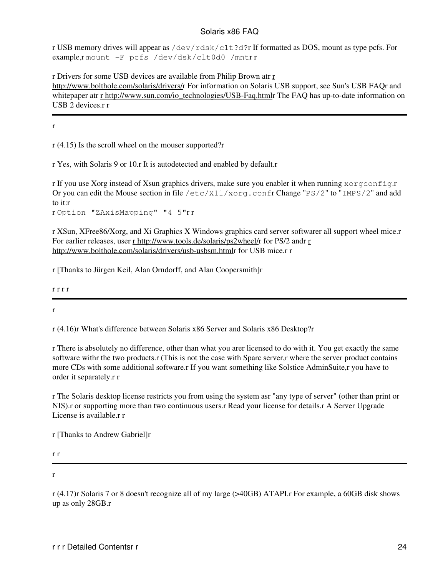r USB memory drives will appear as /dev/rdsk/c1t?d?r If formatted as DOS, mount as type pcfs. For example,r mount -F pcfs /dev/dsk/clt0d0 /mntr r

r Drivers for some USB devices are available from Philip Brown atr [r](http://www.bolthole.com/solaris/drivers/) <http://www.bolthole.com/solaris/drivers/>r For information on Solaris USB support, see Sun's USB FAQr and whitepaper atr [r http://www.sun.com/io\\_technologies/USB-Faq.html](http://www.sun.com/io_technologies/USB-Faq.html)r The FAQ has up-to-date information on USB 2 devices.r r

<span id="page-25-0"></span>r

r (4.15) Is the scroll wheel on the mouser supported?r

r Yes, with Solaris 9 or 10.r It is autodetected and enabled by default.r

r If you use Xorg instead of Xsun graphics drivers, make sure you enabler it when running xorgconfig.r Or you can edit the Mouse section in file  $/etc/X11/xorg.com$  fr Change "PS/2" to "IMPS/2" and add to it:r

r Option "ZAxisMapping" "4 5"r r

r XSun, XFree86/Xorg, and Xi Graphics X Windows graphics card server softwarer all support wheel mice.r For earlier releases, user [r http://www.tools.de/solaris/ps2wheel/r](http://www.tools.de/solaris/ps2wheel/) for PS/2 andr [r](http://www.bolthole.com/solaris/drivers/usb-usbsm.html) <http://www.bolthole.com/solaris/drivers/usb-usbsm.html>r for USB mice.r r

r [Thanks to Jürgen Keil, Alan Orndorff, and Alan Coopersmith]r

r r r r

<span id="page-25-1"></span>r

r (4.16)r What's difference between Solaris x86 Server and Solaris x86 Desktop?r

r There is absolutely no difference, other than what you arer licensed to do with it. You get exactly the same software withr the two products.r (This is not the case with Sparc server,r where the server product contains more CDs with some additional software.r If you want something like Solstice AdminSuite,r you have to order it separately.r r

r The Solaris desktop license restricts you from using the system asr "any type of server" (other than print or NIS).r or supporting more than two continuous users.r Read your license for details.r A Server Upgrade License is available.r r

r [Thanks to Andrew Gabriel]r

r r

r

<span id="page-25-2"></span>r (4.17)r Solaris 7 or 8 doesn't recognize all of my large (>40GB) ATAPI.r For example, a 60GB disk shows up as only 28GB.r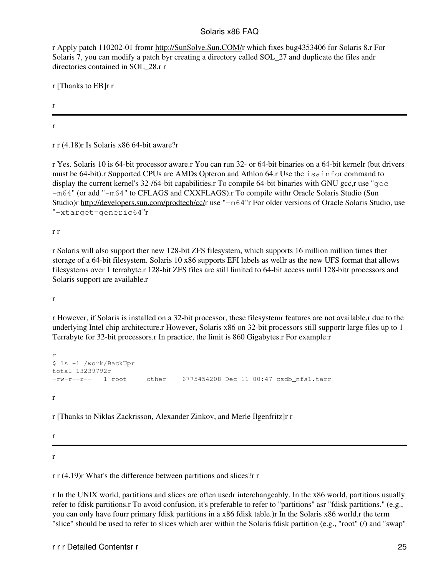r Apply patch 110202-01 fromr [http://SunSolve.Sun.COM/r](http://SunSolve.Sun.COM/) which fixes bug4353406 for Solaris 8.r For Solaris 7, you can modify a patch byr creating a directory called SOL\_27 and duplicate the files andr directories contained in SOL\_28.r r

r [Thanks to EB]r r

r

<span id="page-26-0"></span>r

r r (4.18)r Is Solaris x86 64-bit aware?r

r Yes. Solaris 10 is 64-bit processor aware.r You can run 32- or 64-bit binaries on a 64-bit kernelr (but drivers must be 64-bit).r Supported CPUs are AMDs Opteron and Athlon 64.r Use the isainfor command to display the current kernel's 32-/64-bit capabilities.r To compile 64-bit binaries with GNU gcc,r use "gcc -m64" (or add "-m64" to CFLAGS and CXXFLAGS).r To compile withr Oracle Solaris Studio (Sun Studio)r [http://developers.sun.com/prodtech/cc/r](http://developers.sun.com/prodtech/cc/) use "-m64"r For older versions of Oracle Solaris Studio, use "-xtarget=generic64"r

r r

r Solaris will also support ther new 128-bit ZFS filesystem, which supports 16 million million times ther storage of a 64-bit filesystem. Solaris 10 x86 supports EFI labels as wellr as the new UFS format that allows filesystems over 1 terrabyte.r 128-bit ZFS files are still limited to 64-bit access until 128-bitr processors and Solaris support are available.r

r

r However, if Solaris is installed on a 32-bit processor, these filesystemr features are not available,r due to the underlying Intel chip architecture.r However, Solaris x86 on 32-bit processors still supportr large files up to 1 Terrabyte for 32-bit processors.r In practice, the limit is 860 Gigabytes.r For example:r

```
r
$ ls -l /work/BackUpr
total 13239792r
-rw-r--r-- 1 root other 6775454208 Dec 11 00:47 csdb nfs1.tarr
r
```
r [Thanks to Niklas Zackrisson, Alexander Zinkov, and Merle Ilgenfritz]r r

r

<span id="page-26-1"></span>r

r r (4.19)r What's the difference between partitions and slices?r r

r In the UNIX world, partitions and slices are often usedr interchangeably. In the x86 world, partitions usually refer to fdisk partitions.r To avoid confusion, it's preferable to refer to "partitions" asr "fdisk partitions." (e.g., you can only have fourr primary fdisk partitions in a x86 fdisk table.)r In the Solaris x86 world,r the term "slice" should be used to refer to slices which arer within the Solaris fdisk partition (e.g., "root" (/) and "swap"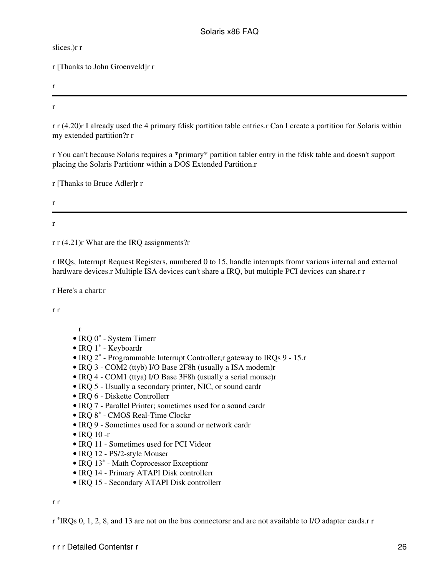slices.)r r

r [Thanks to John Groenveld]r r

r

<span id="page-27-0"></span>r

r r (4.20)r I already used the 4 primary fdisk partition table entries.r Can I create a partition for Solaris within my extended partition?r r

r You can't because Solaris requires a \*primary\* partition tabler entry in the fdisk table and doesn't support placing the Solaris Partitionr within a DOS Extended Partition.r

r [Thanks to Bruce Adler]r r

r r

<span id="page-27-1"></span>r r (4.21)r What are the IRQ assignments?r

r IRQs, Interrupt Request Registers, numbered 0 to 15, handle interrupts fromr various internal and external hardware devices.r Multiple ISA devices can't share a IRQ, but multiple PCI devices can share.r r

r Here's a chart:r

r r

- r
- $\bullet$  IRQ 0 $*$  System Timerr
- $\bullet$  IRQ 1 $*$  Keyboardr
- $\bullet$  IRQ  $2^*$  Programmable Interrupt Controller; gateway to IRQs 9 15.r
- IRQ 3 COM2 (ttyb) I/O Base 2F8h (usually a ISA modem)r
- IRQ 4 COM1 (ttya) I/O Base 3F8h (usually a serial mouse)r
- IRQ 5 Usually a secondary printer, NIC, or sound cardr
- IRQ 6 Diskette Controllerr
- IRQ 7 Parallel Printer; sometimes used for a sound cardr
- IRQ 8\* CMOS Real-Time Clockr
- IRQ 9 Sometimes used for a sound or network cardr
- IRO 10-r
- IRQ 11 Sometimes used for PCI Videor
- IRQ 12 PS/2-style Mouser
- $\bullet$  IRQ 13 $\ast$  Math Coprocessor Exceptionr
- IRQ 14 Primary ATAPI Disk controllerr
- IRQ 15 Secondary ATAPI Disk controllerr

r r

r \*IRQs 0, 1, 2, 8, and 13 are not on the bus connectorsr and are not available to I/O adapter cards.r r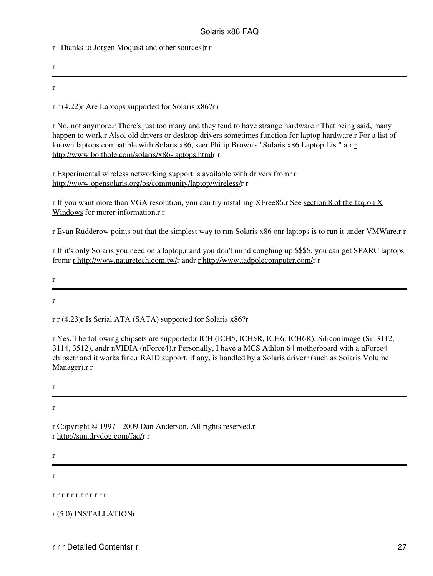r [Thanks to Jorgen Moquist and other sources]r r

r

<span id="page-28-1"></span>r

r r (4.22)r Are Laptops supported for Solaris x86?r r

r No, not anymore.r There's just too many and they tend to have strange hardware.r That being said, many happen to work.r Also, old drivers or desktop drivers sometimes function for laptop hardware.r For a list of known laptops compatible with Solaris x86, seer Philip Brown's "Solaris x86 Laptop List" atr [r](http://www.bolthole.com/solaris/x86-laptops.html) <http://www.bolthole.com/solaris/x86-laptops.html>r r

r Experimental wireless networking support is available with drivers fromr [r](http://www.opensolaris.org/os/community/laptop/wireless/) <http://www.opensolaris.org/os/community/laptop/wireless/>r r

r If you want more than VGA resolution, you can try installing XFree86.r See [section 8 of the faq on X](#page-84-0) [Windows](#page-84-0) for morer information.r r

r Evan Rudderow points out that the simplest way to run Solaris x86 onr laptops is to run it under VMWare.r r

r If it's only Solaris you need on a laptop,r and you don't mind coughing up \$\$\$\$, you can get SPARC laptops fromr [r http://www.naturetech.com.tw/](http://www.naturetech.com.tw/)r andr [r http://www.tadpolecomputer.com/](http://www.tadpolecomputer.com/)r r

r

r

<span id="page-28-2"></span>r r (4.23)r Is Serial ATA (SATA) supported for Solaris x86?r

r Yes. The following chipsets are supported:r ICH (ICH5, ICH5R, ICH6, ICH6R), SiliconImage (Sil 3112, 3114, 3512), andr nVIDIA (nForce4).r Personally, I have a MCS Athlon 64 motherboard with a nForce4 chipsetr and it works fine.r RAID support, if any, is handled by a Solaris driverr (such as Solaris Volume Manager).r r

r

r

r Copyright © 1997 - 2009 Dan Anderson. All rights reserved.r r [http://sun.drydog.com/faq/r](http://sun.drydog.com/faq/) r

r

r

<span id="page-28-3"></span><span id="page-28-0"></span>r r r r r r r r r r r r

<span id="page-28-4"></span>r (5.0) INSTALLATIONr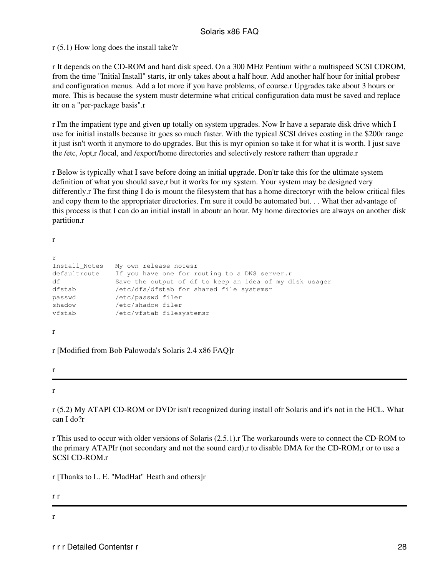r (5.1) How long does the install take?r

r It depends on the CD-ROM and hard disk speed. On a 300 MHz Pentium withr a multispeed SCSI CDROM, from the time "Initial Install" starts, itr only takes about a half hour. Add another half hour for initial probesr and configuration menus. Add a lot more if you have problems, of course.r Upgrades take about 3 hours or more. This is because the system mustr determine what critical configuration data must be saved and replace itr on a "per-package basis".r

r I'm the impatient type and given up totally on system upgrades. Now Ir have a separate disk drive which I use for initial installs because itr goes so much faster. With the typical SCSI drives costing in the \$200r range it just isn't worth it anymore to do upgrades. But this is myr opinion so take it for what it is worth. I just save the /etc, /opt,r /local, and /export/home directories and selectively restore ratherr than upgrade.r

r Below is typically what I save before doing an initial upgrade. Don'tr take this for the ultimate system definition of what you should save,r but it works for my system. Your system may be designed very differently.r The first thing I do is mount the filesystem that has a home directoryr with the below critical files and copy them to the appropriater directories. I'm sure it could be automated but. . . What ther advantage of this process is that I can do an initial install in aboutr an hour. My home directories are always on another disk partition.r

r

| r             |                                                         |
|---------------|---------------------------------------------------------|
| Install Notes | My own release notesr                                   |
| defaultroute  | If you have one for routing to a DNS server.r           |
| df            | Save the output of df to keep an idea of my disk usager |
| dfstab        | /etc/dfs/dfstab for shared file systemsr                |
| passwd        | /etc/passwd filer                                       |
| shadow        | /etc/shadow filer                                       |
| vfstab        | /etc/vfstab filesystemsr                                |
|               |                                                         |

r

r [Modified from Bob Palowoda's Solaris 2.4 x86 FAQ]r

r

<span id="page-29-0"></span>r

r (5.2) My ATAPI CD-ROM or DVDr isn't recognized during install ofr Solaris and it's not in the HCL. What can I do?r

r This used to occur with older versions of Solaris (2.5.1).r The workarounds were to connect the CD-ROM to the primary ATAPIr (not secondary and not the sound card),r to disable DMA for the CD-ROM,r or to use a SCSI CD-ROM.r

r [Thanks to L. E. "MadHat" Heath and others]r

r r

<span id="page-29-1"></span>r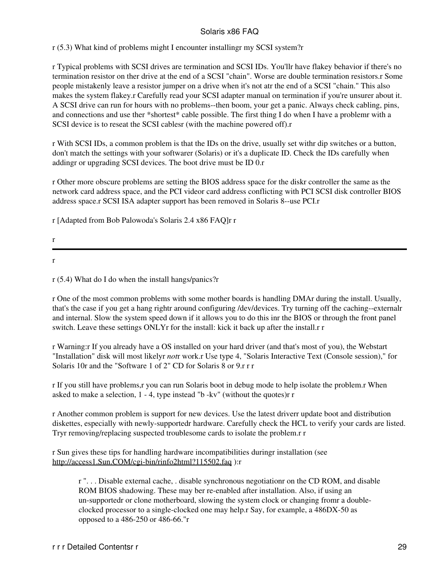r (5.3) What kind of problems might I encounter installingr my SCSI system?r

r Typical problems with SCSI drives are termination and SCSI IDs. You'llr have flakey behavior if there's no termination resistor on ther drive at the end of a SCSI "chain". Worse are double termination resistors.r Some people mistakenly leave a resistor jumper on a drive when it's not atr the end of a SCSI "chain." This also makes the system flakey.r Carefully read your SCSI adapter manual on termination if you're unsurer about it. A SCSI drive can run for hours with no problems--then boom, your get a panic. Always check cabling, pins, and connections and use ther \*shortest\* cable possible. The first thing I do when I have a problemr with a SCSI device is to reseat the SCSI cablesr (with the machine powered off).r

r With SCSI IDs, a common problem is that the IDs on the drive, usually set withr dip switches or a button, don't match the settings with your softwarer (Solaris) or it's a duplicate ID. Check the IDs carefully when addingr or upgrading SCSI devices. The boot drive must be ID 0.r

r Other more obscure problems are setting the BIOS address space for the diskr controller the same as the network card address space, and the PCI videor card address conflicting with PCI SCSI disk controller BIOS address space.r SCSI ISA adapter support has been removed in Solaris 8--use PCI.r

r [Adapted from Bob Palowoda's Solaris 2.4 x86 FAQ]r r

r

<span id="page-30-0"></span>r

r (5.4) What do I do when the install hangs/panics?r

r One of the most common problems with some mother boards is handling DMAr during the install. Usually, that's the case if you get a hang rightr around configuring /dev/devices. Try turning off the caching--externalr and internal. Slow the system speed down if it allows you to do this inr the BIOS or through the front panel switch. Leave these settings ONLYr for the install: kick it back up after the install.r r

r Warning:r If you already have a OS installed on your hard driver (and that's most of you), the Webstart "Installation" disk will most likelyr *not*r work.r Use type 4, "Solaris Interactive Text (Console session)," for Solaris 10r and the "Software 1 of 2" CD for Solaris 8 or 9.r r r

r If you still have problems,r you can run Solaris boot in debug mode to help isolate the problem.r When asked to make a selection, 1 - 4, type instead "b -kv" (without the quotes)r r

r Another common problem is support for new devices. Use the latest driverr update boot and distribution diskettes, especially with newly-supportedr hardware. Carefully check the HCL to verify your cards are listed. Tryr removing/replacing suspected troublesome cards to isolate the problem.r r

r Sun gives these tips for handling hardware incompatibilities duringr installation (see <http://access1.Sun.COM/cgi-bin/rinfo2html?115502.faq>):r

r ". . . Disable external cache, . disable synchronous negotiationr on the CD ROM, and disable ROM BIOS shadowing. These may ber re-enabled after installation. Also, if using an un-supportedr or clone motherboard, slowing the system clock or changing fromr a doubleclocked processor to a single-clocked one may help.r Say, for example, a 486DX-50 as opposed to a 486-250 or 486-66."r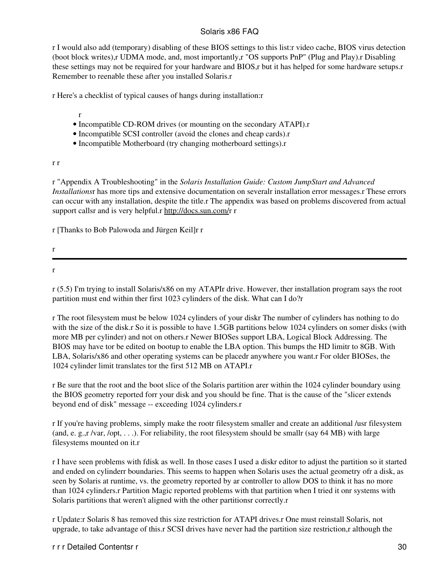r I would also add (temporary) disabling of these BIOS settings to this list:r video cache, BIOS virus detection (boot block writes),r UDMA mode, and, most importantly,r "OS supports PnP" (Plug and Play).r Disabling these settings may not be required for your hardware and BIOS,r but it has helped for some hardware setups.r Remember to reenable these after you installed Solaris.r

r Here's a checklist of typical causes of hangs during installation:r

r

- Incompatible CD-ROM drives (or mounting on the secondary ATAPI).r
- Incompatible SCSI controller (avoid the clones and cheap cards).r
- Incompatible Motherboard (try changing motherboard settings).r

r r

r "Appendix A Troubleshooting" in the *Solaris Installation Guide: Custom JumpStart and Advanced Installations*r has more tips and extensive documentation on severalr installation error messages.r These errors can occur with any installation, despite the title.r The appendix was based on problems discovered from actual support callsr and is very helpful.r [http://docs.sun.com/r](http://docs.sun.com/) r

r [Thanks to Bob Palowoda and Jürgen Keil]r r

r

<span id="page-31-0"></span>r

r (5.5) I'm trying to install Solaris/x86 on my ATAPIr drive. However, ther installation program says the root partition must end within ther first 1023 cylinders of the disk. What can I do?r

r The root filesystem must be below 1024 cylinders of your diskr The number of cylinders has nothing to do with the size of the disk.r So it is possible to have 1.5GB partitions below 1024 cylinders on somer disks (with more MB per cylinder) and not on others.r Newer BIOSes support LBA, Logical Block Addressing. The BIOS may have tor be edited on bootup to enable the LBA option. This bumps the HD limitr to 8GB. With LBA, Solaris/x86 and other operating systems can be placedr anywhere you want.r For older BIOSes, the 1024 cylinder limit translates tor the first 512 MB on ATAPI.r

r Be sure that the root and the boot slice of the Solaris partition arer within the 1024 cylinder boundary using the BIOS geometry reported forr your disk and you should be fine. That is the cause of the "slicer extends beyond end of disk" message -- exceeding 1024 cylinders.r

r If you're having problems, simply make the rootr filesystem smaller and create an additional /usr filesystem (and, e. g.,r /var, /opt, . . .). For reliability, the root filesystem should be smallr (say 64 MB) with large filesystems mounted on it.r

r I have seen problems with fdisk as well. In those cases I used a diskr editor to adjust the partition so it started and ended on cylinderr boundaries. This seems to happen when Solaris uses the actual geometry ofr a disk, as seen by Solaris at runtime, vs. the geometry reported by ar controller to allow DOS to think it has no more than 1024 cylinders.r Partition Magic reported problems with that partition when I tried it onr systems with Solaris partitions that weren't aligned with the other partitionsr correctly.r

r Update:r Solaris 8 has removed this size restriction for ATAPI drives.r One must reinstall Solaris, not upgrade, to take advantage of this.r SCSI drives have never had the partition size restriction,r although the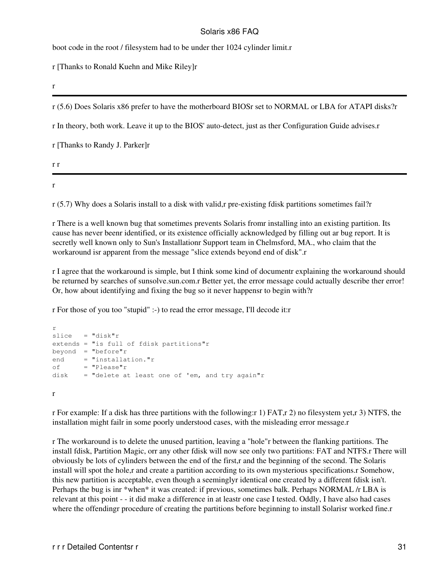boot code in the root / filesystem had to be under ther 1024 cylinder limit.r

r [Thanks to Ronald Kuehn and Mike Riley]r

r

<span id="page-32-0"></span>r (5.6) Does Solaris x86 prefer to have the motherboard BIOSr set to NORMAL or LBA for ATAPI disks?r

r In theory, both work. Leave it up to the BIOS' auto-detect, just as ther Configuration Guide advises.r

r [Thanks to Randy J. Parker]r

r r

<span id="page-32-1"></span>r

r (5.7) Why does a Solaris install to a disk with valid,r pre-existing fdisk partitions sometimes fail?r

r There is a well known bug that sometimes prevents Solaris fromr installing into an existing partition. Its cause has never beenr identified, or its existence officially acknowledged by filling out ar bug report. It is secretly well known only to Sun's Installationr Support team in Chelmsford, MA., who claim that the workaround isr apparent from the message "slice extends beyond end of disk".r

r I agree that the workaround is simple, but I think some kind of documentr explaining the workaround should be returned by searches of sunsolve.sun.com.r Better yet, the error message could actually describe ther error! Or, how about identifying and fixing the bug so it never happens to begin with?r

r For those of you too "stupid" :-) to read the error message, I'll decode it:r

```
r
slice = "disk"r
extends = "is full of fdisk partitions"r
beyond = "before" rend = "installation."r
of = "Please"disk = "delete at least one of 'em, and try again"r
r
```
r For example: If a disk has three partitions with the following:r 1) FAT,r 2) no filesystem yet,r 3) NTFS, the installation might failr in some poorly understood cases, with the misleading error message.r

r The workaround is to delete the unused partition, leaving a "hole"r between the flanking partitions. The install fdisk, Partition Magic, orr any other fdisk will now see only two partitions: FAT and NTFS.r There will obviously be lots of cylinders between the end of the first,r and the beginning of the second. The Solaris install will spot the hole,r and create a partition according to its own mysterious specifications.r Somehow, this new partition is acceptable, even though a seeminglyr identical one created by a different fdisk isn't. Perhaps the bug is inr \*when\* it was created: if previous, sometimes balk. Perhaps NORMAL /r LBA is relevant at this point - - it did make a difference in at leastr one case I tested. Oddly, I have also had cases where the offendingr procedure of creating the partitions before beginning to install Solarisr worked fine.r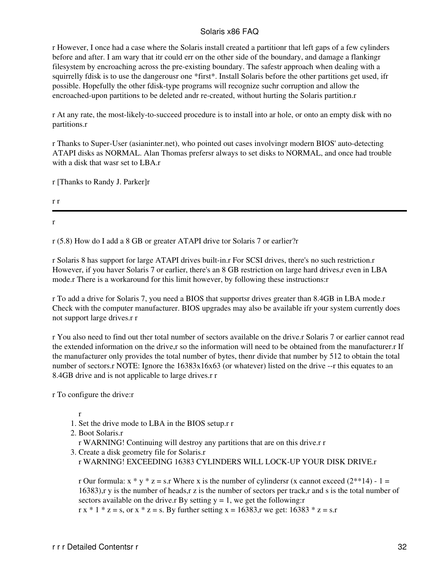r However, I once had a case where the Solaris install created a partitionr that left gaps of a few cylinders before and after. I am wary that itr could err on the other side of the boundary, and damage a flankingr filesystem by encroaching across the pre-existing boundary. The safestr approach when dealing with a squirrelly fdisk is to use the dangerousr one \*first\*. Install Solaris before the other partitions get used, ifr possible. Hopefully the other fdisk-type programs will recognize suchr corruption and allow the encroached-upon partitions to be deleted andr re-created, without hurting the Solaris partition.r

r At any rate, the most-likely-to-succeed procedure is to install into ar hole, or onto an empty disk with no partitions.r

r Thanks to Super-User (asianinter.net), who pointed out cases involvingr modern BIOS' auto-detecting ATAPI disks as NORMAL. Alan Thomas prefersr always to set disks to NORMAL, and once had trouble with a disk that wasr set to LBA.r

r [Thanks to Randy J. Parker]r

r r

<span id="page-33-0"></span>r

r (5.8) How do I add a 8 GB or greater ATAPI drive tor Solaris 7 or earlier?r

r Solaris 8 has support for large ATAPI drives built-in.r For SCSI drives, there's no such restriction.r However, if you haver Solaris 7 or earlier, there's an 8 GB restriction on large hard drives, r even in LBA mode.r There is a workaround for this limit however, by following these instructions:r

r To add a drive for Solaris 7, you need a BIOS that supportsr drives greater than 8.4GB in LBA mode.r Check with the computer manufacturer. BIOS upgrades may also be available ifr your system currently does not support large drives.r r

r You also need to find out ther total number of sectors available on the drive.r Solaris 7 or earlier cannot read the extended information on the drive,r so the information will need to be obtained from the manufacturer.r If the manufacturer only provides the total number of bytes, thenr divide that number by 512 to obtain the total number of sectors.r NOTE: Ignore the  $16383x16x63$  (or whatever) listed on the drive --r this equates to an 8.4GB drive and is not applicable to large drives.r r

r To configure the drive:r

r

- 1. Set the drive mode to LBA in the BIOS setup.r r
- Boot Solaris.r 2.

r WARNING! Continuing will destroy any partitions that are on this drive.r r

- 3. Create a disk geometry file for Solaris.r
	- r WARNING! EXCEEDING 16383 CYLINDERS WILL LOCK-UP YOUR DISK DRIVE.r

r Our formula:  $x * y * z = s$ .r Where x is the number of cylindersr (x cannot exceed  $(2^{*} * 14) - 1 =$ 16383),r y is the number of heads,r z is the number of sectors per track,r and s is the total number of sectors available on the drive.r By setting  $y = 1$ , we get the following:r  $r x * 1 * z = s$ , or  $x * z = s$ . By further setting  $x = 16383$ , we get:  $16383 * z = s$ .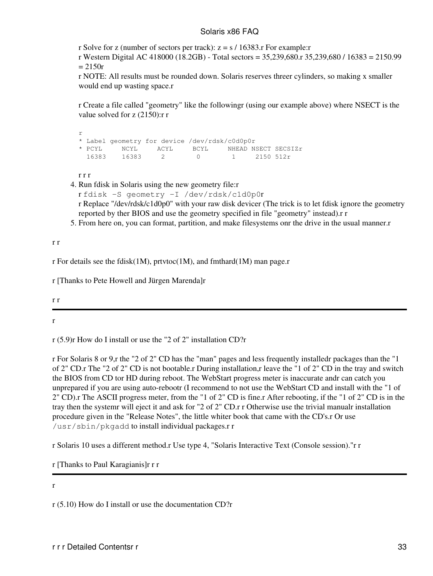r Solve for z (number of sectors per track):  $z = s / 16383$ .r For example:r

r Western Digital AC 418000 (18.2GB) - Total sectors = 35,239,680.r 35,239,680 / 16383 = 2150.99  $= 2150r$ 

r NOTE: All results must be rounded down. Solaris reserves threer cylinders, so making x smaller would end up wasting space.r

r Create a file called "geometry" like the followingr (using our example above) where NSECT is the value solved for z (2150):r r

```
r
* Label geometry for device /dev/rdsk/c0d0p0r
* PCYL NCYL ACYL BCYL NHEAD NSECT SECSIZr
              2 0 1 2150 512r
```
r r r

4. Run fdisk in Solaris using the new geometry file:r

```
r fdisk -S geometry -I /dev/rdsk/c1d0p0r
```
r Replace "/dev/rdsk/c1d0p0" with your raw disk devicer (The trick is to let fdisk ignore the geometry reported by ther BIOS and use the geometry specified in file "geometry" instead).r r

5. From here on, you can format, partition, and make filesystems onr the drive in the usual manner.r

r r

r For details see the fdisk(1M), prtvtoc(1M), and fmthard(1M) man page.r

r [Thanks to Pete Howell and Jürgen Marenda]r

r r

r

<span id="page-34-0"></span>r (5.9)r How do I install or use the "2 of 2" installation CD?r

r For Solaris 8 or 9,r the "2 of 2" CD has the "man" pages and less frequently installedr packages than the "1 of 2" CD.r The "2 of 2" CD is not bootable.r During installation,r leave the "1 of 2" CD in the tray and switch the BIOS from CD tor HD during reboot. The WebStart progress meter is inaccurate andr can catch you unprepared if you are using auto-rebootr (I recommend to not use the WebStart CD and install with the "1 of 2" CD).r The ASCII progress meter, from the "1 of 2" CD is fine.r After rebooting, if the "1 of 2" CD is in the tray then the systemr will eject it and ask for "2 of 2" CD.r r Otherwise use the trivial manualr installation procedure given in the "Release Notes", the little whiter book that came with the CD's.r Or use /usr/sbin/pkgadd to install individual packages.r r

r Solaris 10 uses a different method.r Use type 4, "Solaris Interactive Text (Console session)."r r

r [Thanks to Paul Karagianis]r r r

<span id="page-34-1"></span>r

r (5.10) How do I install or use the documentation CD?r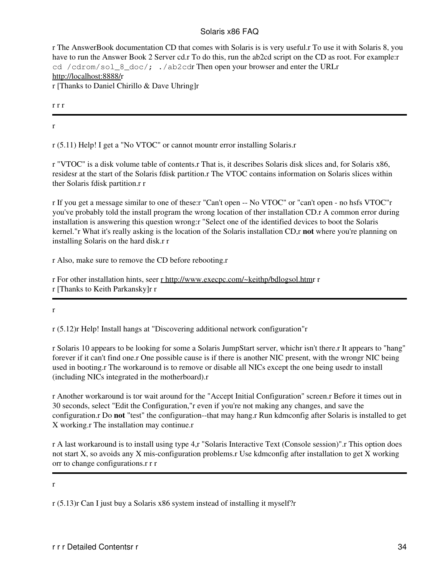r The AnswerBook documentation CD that comes with Solaris is is very useful.r To use it with Solaris 8, you have to run the Answer Book 2 Server cd.r To do this, run the ab2cd script on the CD as root. For example:r cd /cdrom/sol\_8\_doc/; ./ab2cdr Then open your browser and enter the URLr <http://localhost:8888/>r r [Thanks to Daniel Chirillo & Dave Uhring]r

r r r

<span id="page-35-0"></span>r

r (5.11) Help! I get a "No VTOC" or cannot mountr error installing Solaris.r

r "VTOC" is a disk volume table of contents.r That is, it describes Solaris disk slices and, for Solaris x86, residesr at the start of the Solaris fdisk partition.r The VTOC contains information on Solaris slices within ther Solaris fdisk partition.r r

r If you get a message similar to one of these:r "Can't open -- No VTOC" or "can't open - no hsfs VTOC"r you've probably told the install program the wrong location of ther installation CD.r A common error during installation is answering this question wrong:r "Select one of the identified devices to boot the Solaris kernel."r What it's really asking is the location of the Solaris installation CD,r **not** where you're planning on installing Solaris on the hard disk.r r

r Also, make sure to remove the CD before rebooting.r

r For other installation hints, seer [r http://www.execpc.com/~keithp/bdlogsol.htmr](http://www.execpc.com/~keithp/bdlogsol.htm) r r [Thanks to Keith Parkansky]r r

<span id="page-35-1"></span>r

r (5.12)r Help! Install hangs at "Discovering additional network configuration"r

r Solaris 10 appears to be looking for some a Solaris JumpStart server, whichr isn't there.r It appears to "hang" forever if it can't find one.r One possible cause is if there is another NIC present, with the wrongr NIC being used in booting.r The workaround is to remove or disable all NICs except the one being usedr to install (including NICs integrated in the motherboard).r

r Another workaround is tor wait around for the "Accept Initial Configuration" screen.r Before it times out in 30 seconds, select "Edit the Configuration,"r even if you're not making any changes, and save the configuration.r Do **not** "test" the configuration--that may hang.r Run kdmconfig after Solaris is installed to get X working.r The installation may continue.r

r A last workaround is to install using type 4,r "Solaris Interactive Text (Console session)".r This option does not start X, so avoids any X mis-configuration problems.r Use kdmconfig after installation to get X working orr to change configurations.r r r

#### <span id="page-35-2"></span>r

r (5.13)r Can I just buy a Solaris x86 system instead of installing it myself?r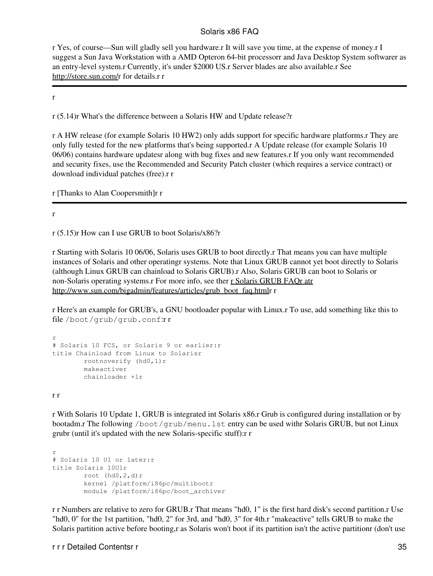r Yes, of course—Sun will gladly sell you hardware.r It will save you time, at the expense of money.r I suggest a Sun Java Workstation with a AMD Opteron 64-bit processorr and Java Desktop System softwarer as an entry-level system.r Currently, it's under \$2000 US.r Server blades are also available.r See <http://store.sun.com/>r for details.r r

r

r (5.14)r What's the difference between a Solaris HW and Update release?r

r A HW release (for example Solaris 10 HW2) only adds support for specific hardware platforms.r They are only fully tested for the new platforms that's being supported.r A Update release (for example Solaris 10 06/06) contains hardware updatesr along with bug fixes and new features.r If you only want recommended and security fixes, use the Recommended and Security Patch cluster (which requires a service contract) or download individual patches (free).r r

r [Thanks to Alan Coopersmith]r r

r

r (5.15)r How can I use GRUB to boot Solaris/x86?r

r Starting with Solaris 10 06/06, Solaris uses GRUB to boot directly.r That means you can have multiple instances of Solaris and other operatingr systems. Note that Linux GRUB cannot yet boot directly to Solaris (although Linux GRUB can chainload to Solaris GRUB).r Also, Solaris GRUB can boot to Solaris or non-Solaris operating systems.r For more info, see ther [r Solaris GRUB FAQr atr](http://www.sun.com/bigadmin/features/articles/grub_boot_faq.html) [http://www.sun.com/bigadmin/features/articles/grub\\_boot\\_faq.htmlr](http://www.sun.com/bigadmin/features/articles/grub_boot_faq.html) r

r Here's an example for GRUB's, a GNU bootloader popular with Linux.r To use, add something like this to file /boot/grub/grub.conf:r r

```
r
# Solaris 10 FCS, or Solaris 9 or earlier:r
title Chainload from Linux to Solarisr
        rootnoverify (hd0,1)r
         makeactiver
         chainloader +1r
```
r r

r With Solaris 10 Update 1, GRUB is integrated int Solaris x86.r Grub is configured during installation or by bootadm.r The following /boot/grub/menu.lst entry can be used withr Solaris GRUB, but not Linux grubr (until it's updated with the new Solaris-specific stuff):r r

```
r
# Solaris 10 U1 or later:r
title Solaris 10U1r
       root (hd0, 2, d)r
         kernel /platform/i86pc/multibootr
         module /platform/i86pc/boot_archiver
```
r r Numbers are relative to zero for GRUB.r That means "hd0, 1" is the first hard disk's second partition.r Use "hd0, 0" for the 1st partition, "hd0, 2" for 3rd, and "hd0, 3" for 4th.r "makeactive" tells GRUB to make the Solaris partition active before booting,r as Solaris won't boot if its partition isn't the active partitionr (don't use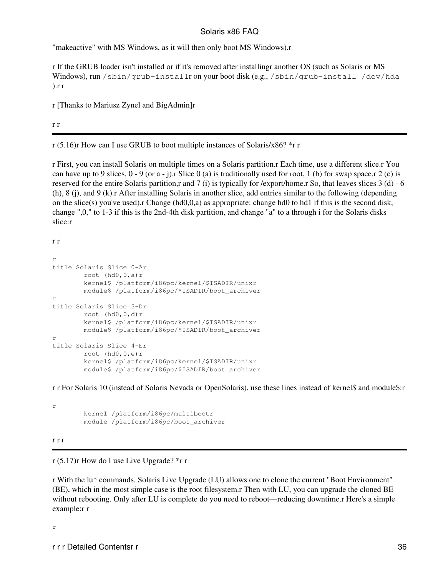"makeactive" with MS Windows, as it will then only boot MS Windows).r

r If the GRUB loader isn't installed or if it's removed after installingr another OS (such as Solaris or MS Windows), run /sbin/grub-installr on your boot disk (e.g., /sbin/grub-install /dev/hda  $\ln r$ 

r [Thanks to Mariusz Zynel and BigAdmin]r

r r

r (5.16)r How can I use GRUB to boot multiple instances of Solaris/x86? \*r r

r First, you can install Solaris on multiple times on a Solaris partition.r Each time, use a different slice.r You can have up to 9 slices,  $0 - 9$  (or a - j). Slice 0 (a) is traditionally used for root, 1 (b) for swap space,r 2 (c) is reserved for the entire Solaris partition,r and 7 (i) is typically for /export/home.r So, that leaves slices 3 (d) - 6 (h), 8 (j), and 9 (k).r After installing Solaris in another slice, add entries similar to the following (depending on the slice(s) you've used).r Change (hd0,0,a) as appropriate: change hd0 to hd1 if this is the second disk, change ",0," to 1-3 if this is the 2nd-4th disk partition, and change "a" to a through i for the Solaris disks slice:r

r r

```
r
title Solaris Slice 0-Ar
        root (hd0, 0, a)r kernel$ /platform/i86pc/kernel/$ISADIR/unixr
         module$ /platform/i86pc/$ISADIR/boot_archiver
r
title Solaris Slice 3-Dr
        root (hd0, 0, d)r
         kernel$ /platform/i86pc/kernel/$ISADIR/unixr
         module$ /platform/i86pc/$ISADIR/boot_archiver
r
title Solaris Slice 4-Er
         root (hd0,0,e)r
         kernel$ /platform/i86pc/kernel/$ISADIR/unixr
         module$ /platform/i86pc/$ISADIR/boot_archiver
```
r r For Solaris 10 (instead of Solaris Nevada or OpenSolaris), use these lines instead of kernel\$ and module\$:r

 kernel /platform/i86pc/multibootr module /platform/i86pc/boot\_archiver

#### r r r

r

r (5.17)r How do I use Live Upgrade? \*r r

r With the lu\* commands. Solaris Live Upgrade (LU) allows one to clone the current "Boot Environment" (BE), which in the most simple case is the root filesystem.r Then with LU, you can upgrade the cloned BE without rebooting. Only after LU is complete do you need to reboot—reducing downtime.r Here's a simple example:r r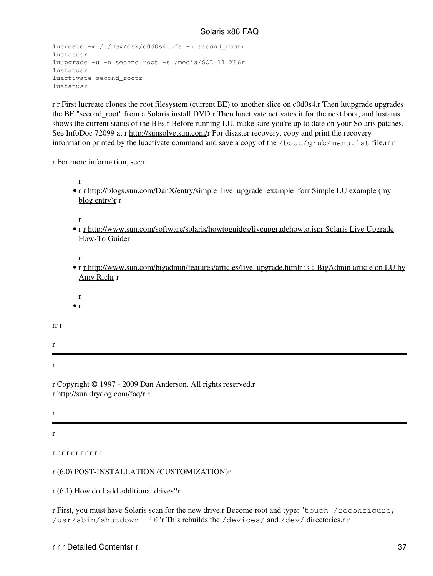```
lucreate -m /:/dev/dsk/c0d0s4:ufs -n second_rootr
lustatusr
luupgrade -u -n second_root -s /media/SOL_11_X86r
lustatusr
luactivate second_rootr
lustatusr
```
r r First lucreate clones the root filesystem (current BE) to another slice on c0d0s4.r Then luupgrade upgrades the BE "second\_root" from a Solaris install DVD.r Then luactivate activates it for the next boot, and lustatus shows the current status of the BEs.r Before running LU, make sure you're up to date on your Solaris patches. See InfoDoc 72099 at r [http://sunsolve.sun.com/r](http://sunsolve.sun.com/) For disaster recovery, copy and print the recovery information printed by the luactivate command and save a copy of the  $/$ boot $/$ grub/menu.lst file.rr r

r For more information, see:r

• r r http://blogs.sun.com/DanX/entry/simple live upgrade example forr Simple LU example (my blog entry)**r** r

r

r

• r [r http://www.sun.com/software/solaris/howtoguides/liveupgradehowto.jspr Solaris Live Upgrade](http://www.sun.com/software/solaris/howtoguides/liveupgradehowto.jsp) [How-To Guider](http://www.sun.com/software/solaris/howtoguides/liveupgradehowto.jsp)

r

- r [r http://www.sun.com/bigadmin/features/articles/live\\_upgrade.htmlr is a BigAdmin article on LU by](http://www.sun.com/bigadmin/features/articles/live_upgrade.html) [Amy Richr](http://www.sun.com/bigadmin/features/articles/live_upgrade.html) r
- r
- $\bullet$  r

rr r

r

r

r Copyright © 1997 - 2009 Dan Anderson. All rights reserved.r r [http://sun.drydog.com/faq/r](http://sun.drydog.com/faq/) r

r

r

#### r r r r r r r r r r r

#### r (6.0) POST-INSTALLATION (CUSTOMIZATION)r

r (6.1) How do I add additional drives?r

r First, you must have Solaris scan for the new drive.r Become root and type: "touch /reconfigure; /usr/sbin/shutdown  $-i6$ "r This rebuilds the /devices/ and /dev/ directories.r r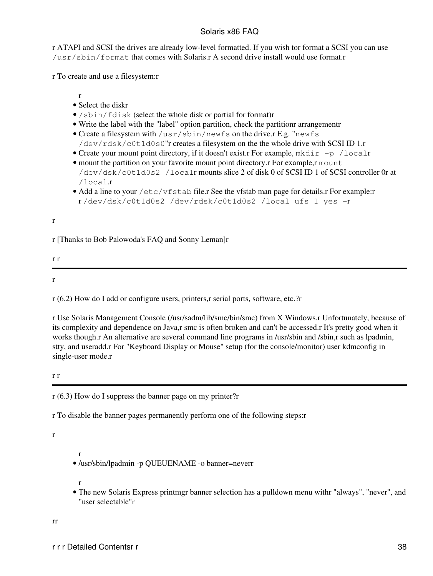r ATAPI and SCSI the drives are already low-level formatted. If you wish tor format a SCSI you can use /usr/sbin/format that comes with Solaris.r A second drive install would use format.r

r To create and use a filesystem:r

r • Select the diskr

- /sbin/fdisk (select the whole disk or partial for format)r
- Write the label with the "label" option partition, check the partitionr arrangementr
- Create a filesystem with /usr/sbin/newfs on the drive.r E.g. "newfs /dev/rdsk/c0t1d0s0"r creates a filesystem on the the whole drive with SCSI ID 1.r
- Create your mount point directory, if it doesn't exist.r For example,  $mkdir -p /localr$
- mount the partition on your favorite mount point directory.r For example,r mount /dev/dsk/c0t1d0s2 /localr mounts slice 2 of disk 0 of SCSI ID 1 of SCSI controller 0r at /local.r
- Add a line to your /etc/vfstab file.r See the vfstab man page for details.r For example:r r /dev/dsk/c0t1d0s2 /dev/rdsk/c0t1d0s2 /local ufs 1 yes -r

r

r [Thanks to Bob Palowoda's FAQ and Sonny Leman]r

r r

r

r (6.2) How do I add or configure users, printers,r serial ports, software, etc.?r

r Use Solaris Management Console (/usr/sadm/lib/smc/bin/smc) from X Windows.r Unfortunately, because of its complexity and dependence on Java,r smc is often broken and can't be accessed.r It's pretty good when it works though.r An alternative are several command line programs in /usr/sbin and /sbin,r such as lpadmin, stty, and useradd.r For "Keyboard Display or Mouse" setup (for the console/monitor) user kdmconfig in single-user mode.r

r r

r (6.3) How do I suppress the banner page on my printer?r

r To disable the banner pages permanently perform one of the following steps:r

r

• /usr/sbin/lpadmin -p QUEUENAME -o banner=neverr

r

r

The new Solaris Express printmgr banner selection has a pulldown menu withr "always", "never", and • "user selectable"r

rr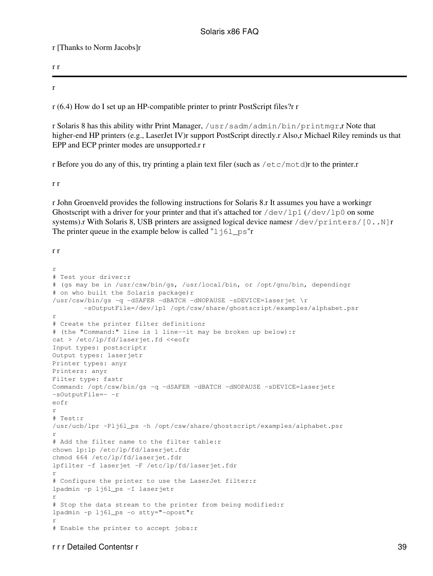r [Thanks to Norm Jacobs]r

r r

r

r (6.4) How do I set up an HP-compatible printer to printr PostScript files?r r

r Solaris 8 has this ability withr Print Manager, /usr/sadm/admin/bin/printmgr,r Note that higher-end HP printers (e.g., LaserJet IV)r support PostScript directly.r Also,r Michael Riley reminds us that EPP and ECP printer modes are unsupported.r r

r Before you do any of this, try printing a plain text filer (such as /etc/motd)r to the printer.r

r r

r John Groenveld provides the following instructions for Solaris 8.r It assumes you have a workingr Ghostscript with a driver for your printer and that it's attached tor /dev/lp1 (/dev/lp0 on some systems).r With Solaris 8, USB printers are assigned logical device namesr /dev/printers/[0..N]r The printer queue in the example below is called " $1 \overline{1}61 \text{ p}$ s"r

r r

```
r
# Test your driver:r
# (gs may be in /usr/csw/bin/gs, /usr/local/bin, or /opt/gnu/bin, dependingr
# on who built the Solaris package)r
/usr/csw/bin/gs -q -dSAFER -dBATCH -dNOPAUSE -sDEVICE=laserjet \r
         -sOutputFile=/dev/lp1 /opt/csw/share/ghostscript/examples/alphabet.psr
r
# Create the printer filter definitionr
# (the "Command:" line is 1 line--it may be broken up below):r
cat > /etc/lp/fd/laserjet.fd <<eofr
Input types: postscriptr
Output types: laserjetr
Printer types: anyr
Printers: anyr
Filter type: fastr
Command: /opt/csw/bin/gs -q -dSAFER -dBATCH -dNOPAUSE -sDEVICE=laserjetr
-sOutputFile=- -r
eofr
r
# Test:r
/usr/ucb/lpr -Plj6l_ps -h /opt/csw/share/ghostscript/examples/alphabet.psr
r
# Add the filter name to the filter table:r
chown lp:lp /etc/lp/fd/laserjet.fdr
chmod 664 /etc/lp/fd/laserjet.fdr
lpfilter -f laserjet -F /etc/lp/fd/laserjet.fdr
r
# Configure the printer to use the LaserJet filter:r
lpadmin -p lj6l_ps -I laserjetr
r
# Stop the data stream to the printer from being modified: r
lpadmin -p lj6l_ps -o stty="-opost"r
r
# Enable the printer to accept jobs:r
```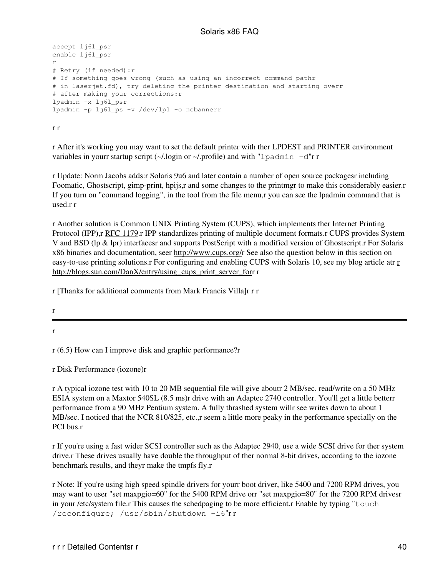```
accept lj6l psr
enable lj6l_psr
r
# Retry (if needed):r
# If something goes wrong (such as using an incorrect command pathr
# in laserjet.fd), try deleting the printer destination and starting overr
# after making your corrections:r
lpadmin -x lj6l_psr
lpadmin -p lj6l_ps -v /dev/lp1 -o nobannerr
```
r r

r After it's working you may want to set the default printer with ther LPDEST and PRINTER environment variables in yourr startup script  $(\sim l$ .login or  $\sim l$ .profile) and with "lpadmin -d"r r

r Update: Norm Jacobs adds:r Solaris 9u6 and later contain a number of open source packagesr including Foomatic, Ghostscript, gimp-print, hpijs,r and some changes to the printmgr to make this considerably easier.r If you turn on "command logging", in the tool from the file menu,r you can see the lpadmin command that is used.r r

r Another solution is Common UNIX Printing System (CUPS), which implements ther Internet Printing Protocol (IPP),r [RFC 1179.](ftp://ftp.isi.edu/in-notes/rfc1179.txt)r IPP standardizes printing of multiple document formats.r CUPS provides System V and BSD (lp & lpr) interfacesr and supports PostScript with a modified version of Ghostscript.r For Solaris x86 binaries and documentation, seer <http://www.cups.org/>r See also the question below in this section on easy-to-use printing solutions.r For configuring and enabling CUPS with Solaris 10, see my blog article atr [r](http://blogs.sun.com/DanX/entry/using_cups_print_server_for) [http://blogs.sun.com/DanX/entry/using\\_cups\\_print\\_server\\_for](http://blogs.sun.com/DanX/entry/using_cups_print_server_for)r r

r [Thanks for additional comments from Mark Francis Villa]r r r

r

r

r (6.5) How can I improve disk and graphic performance?r

r Disk Performance (iozone)r

r A typical iozone test with 10 to 20 MB sequential file will give aboutr 2 MB/sec. read/write on a 50 MHz ESIA system on a Maxtor 540SL (8.5 ms)r drive with an Adaptec 2740 controller. You'll get a little betterr performance from a 90 MHz Pentium system. A fully thrashed system willr see writes down to about 1 MB/sec. I noticed that the NCR 810/825, etc.,r seem a little more peaky in the performance specially on the PCI bus r

r If you're using a fast wider SCSI controller such as the Adaptec 2940, use a wide SCSI drive for ther system drive.r These drives usually have double the throughput of ther normal 8-bit drives, according to the iozone benchmark results, and theyr make the tmpfs fly.r

r Note: If you're using high speed spindle drivers for yourr boot driver, like 5400 and 7200 RPM drives, you may want to user "set maxpgio=60" for the 5400 RPM drive orr "set maxpgio=80" for the 7200 RPM drivesr in your /etc/system file.r This causes the schedpaging to be more efficient.r Enable by typing "touch /reconfigure; /usr/sbin/shutdown -i6"r r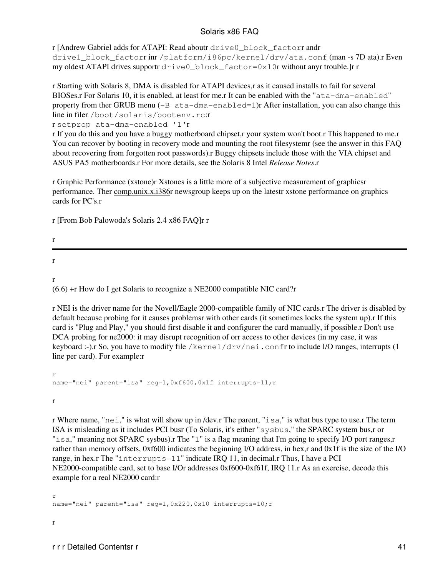r [Andrew Gabriel adds for ATAPI: Read aboutr drive0\_block\_factorr andr drive1\_block\_factorr inr /platform/i86pc/kernel/drv/ata.conf (man -s 7D ata).r Even my oldest ATAPI drives supportr drive0\_block\_factor=0x10r without anyr trouble.]r r

r Starting with Solaris 8, DMA is disabled for ATAPI devices,r as it caused installs to fail for several BIOSes.r For Solaris 10, it is enabled, at least for me.r It can be enabled with the "ata-dma-enabled" property from ther GRUB menu  $(-B \text{ at } a-dma-enab1ed=1)r$  After installation, you can also change this line in filer /boot/solaris/bootenv.rc:r

r setprop ata-dma-enabled '1'r

r If you do this and you have a buggy motherboard chipset,r your system won't boot.r This happened to me.r You can recover by booting in recovery mode and mounting the root filesystemr (see the answer in this FAQ about recovering from forgotten root passwords).r Buggy chipsets include those with the VIA chipset and ASUS PA5 motherboards.r For more details, see the Solaris 8 Intel *Release Notes*.r

r Graphic Performance (xstone)r Xstones is a little more of a subjective measurement of graphicsr performance. Ther comp.unix.x.i386r newsgroup keeps up on the latestr xstone performance on graphics cards for PC's.r

r [From Bob Palowoda's Solaris 2.4 x86 FAQ]r r

r

(6.6) +r How do I get Solaris to recognize a NE2000 compatible NIC card?r

r NEI is the driver name for the Novell/Eagle 2000-compatible family of NIC cards.r The driver is disabled by default because probing for it causes problemsr with other cards (it sometimes locks the system up).r If this card is "Plug and Play," you should first disable it and configurer the card manually, if possible.r Don't use DCA probing for ne2000: it may disrupt recognition of orr access to other devices (in my case, it was keyboard :-).r So, you have to modify file /kernel/drv/nei.confr to include I/O ranges, interrupts (1 line per card). For example:r

r name="nei" parent="isa" reg=1,0xf600,0x1f interrupts=11;r

r

r

r

r Where name, "nei," is what will show up in /dev.r The parent, "isa," is what bus type to use.r The term ISA is misleading as it includes PCI busr (To Solaris, it's either "sysbus," the SPARC system bus,r or "isa," meaning not SPARC sysbus).r The "1" is a flag meaning that I'm going to specify I/O port ranges,r rather than memory offsets, 0xf600 indicates the beginning I/O address, in hex,r and 0x1f is the size of the I/O range, in hex.r The "interrupts=11" indicate IRQ 11, in decimal.r Thus, I have a PCI NE2000-compatible card, set to base I/Or addresses 0xf600-0xf61f, IRQ 11.r As an exercise, decode this example for a real NE2000 card:r

r name="nei" parent="isa" reg=1,0x220,0x10 interrupts=10;r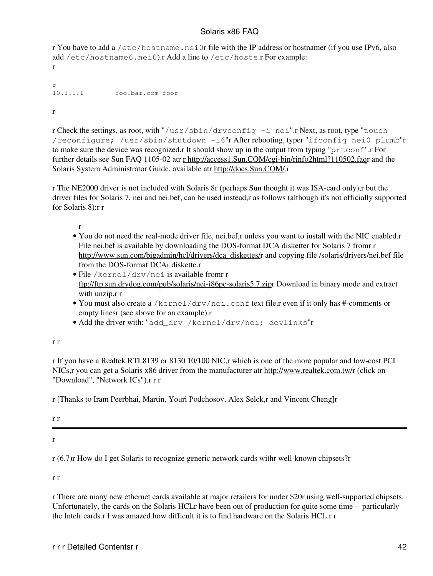r You have to add a /etc/hostname.nei0r file with the IP address or hostnamer (if you use IPv6, also add /etc/hostname6.nei0).r Add a line to /etc/hosts.r For example: r

r<br>10.1.1.1 10.1.1.1 foo.bar.com foor

r

r Check the settings, as root, with "/usr/sbin/drvconfig -i nei".r Next, as root, type "touch /reconfigure; /usr/sbin/shutdown -i6"r After rebooting, typer "ifconfig nei0 plumb"r to make sure the device was recognized.r It should show up in the output from typing "prtconf".r For further details see Sun FAQ 1105-02 atr [r http://access1.Sun.COM/cgi-bin/rinfo2html?110502.faq](http://access1.Sun.COM/cgi-bin/rinfo2html?110502.faq)r and the Solaris System Administrator Guide, available atr<http://docs.Sun.COM/>.r

r The NE2000 driver is not included with Solaris 8r (perhaps Sun thought it was ISA-card only),r but the driver files for Solaris 7, nei and nei.bef, can be used instead,r as follows (although it's not officially supported for Solaris 8):r r

r

- You do not need the real-mode driver file, nei.bef,r unless you want to install with the NIC enabled.r File nei.bef is available by downloading the DOS-fo[r](http://www.sun.com/bigadmin/hcl/drivers/dca_diskettes/)mat DCA disketter for Solaris 7 from r [http://www.sun.com/bigadmin/hcl/drivers/dca\\_diskettes/r](http://www.sun.com/bigadmin/hcl/drivers/dca_diskettes/) and copying file /solaris/drivers/nei.bef file from the DOS-format DCAr diskette.r
- $\bullet$  File /ke[r](ftp://ftp.sun.drydog.com/pub/solaris/nei-i86pc-solaris5.7.zip)nel/drv/nei is available fromr  $\underline{\mathbf{r}}$ [ftp://ftp.sun.drydog.com/pub/solaris/nei-i86pc-solaris5.7.zipr](ftp://ftp.sun.drydog.com/pub/solaris/nei-i86pc-solaris5.7.zip) Download in binary mode and extract with unzip.r r
- You must also create a /kernel/drv/nei.conf text file,r even if it only has #-comments or empty linesr (see above for an example).r
- Add the driver with: "add\_drv /kernel/drv/nei; devlinks"r

r r

r If you have a Realtek RTL8139 or 8130 10/100 NIC,r which is one of the more popular and low-cost PCI NICs,r you can get a Solaris x86 driver from the manufacturer atr<http://www.realtek.com.tw/>r (click on "Download", "Network ICs").r r r

r [Thanks to Iram Peerbhai, Martin, Youri Podchosov, Alex Selck,r and Vincent Cheng]r

r r

r

r (6.7)r How do I get Solaris to recognize generic network cards withr well-known chipsets?r

r r

r There are many new ethernet cards available at major retailers for under \$20r using well-supported chipsets. Unfortunately, the cards on the Solaris HCLr have been out of production for quite some time -- particularly the Intelr cards.r I was amazed how difficult it is to find hardware on the Solaris HCL.r r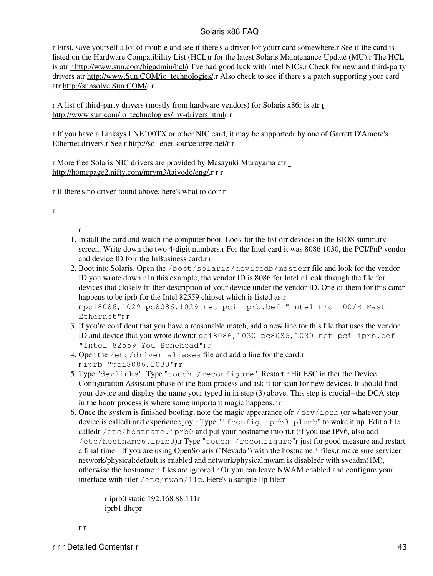r First, save yourself a lot of trouble and see if there's a driver for yourr card somewhere.r See if the card is listed on the Hardware Compatibility List (HCL)r for the latest Solaris Maintenance Update (MU).r The HCL is atr [r http://www.sun.com/bigadmin/hcl/r](http://www.sun.com/bigadmin/hcl/) I've had good luck with Intel NICs.r Check for new and third-party drivers atr [http://www.Sun.COM/io\\_technologies/](http://www.Sun.COM/io_technologies/).r Also check to see if there's a patch supporting your card atr [http://sunsolve.Sun.COM/r](http://sunsolve.Sun.COM/) r

r A list of third-party drivers (mostly from hardware vendors) for Solaris x86r is atr [r](http://www.sun.com/io_technologies/ihv-drivers.html) [http://www.sun.com/io\\_technologies/ihv-drivers.htmlr](http://www.sun.com/io_technologies/ihv-drivers.html) r

r If you have a Linksys LNE100TX or other NIC card, it may be supportedr by one of Garrett D'Amore's Ethernet drivers.r See [r http://sol-enet.sourceforge.net/r](http://sol-enet.sourceforge.net/) r

[r](http://homepage2.nifty.com/mrym3/taiyodo/eng/) More free Solaris NIC drivers are provided by Masayuki Murayama atr r <http://homepage2.nifty.com/mrym3/taiyodo/eng/>,r r r

r If there's no driver found above, here's what to do:r r

r

#### r 1. Install the card and watch the computer boot. Look for the list ofr devices in the BIOS summary screen. Write down the two 4-digit numbers.r For the Intel card it was 8086 1030, the PCI/PnP vendor and device ID forr the InBusiness card.r r

- 2. Boot into Solaris. Open the /boot/solaris/devicedb/masterr file and look for the vendor ID you wrote down.r In this example, the vendor ID is 8086 for Intel.r Look through the file for devices that closely fit ther description of your device under the vendor ID. One of them for this cardr happens to be iprb for the Intel 82559 chipset which is listed as:r r pci8086,1029 pc8086,1029 net pci iprb.bef "Intel Pro 100/B Fast Ethernet"r r
- If you're confident that you have a reasonable match, add a new line tor this file that uses the vendor 3. ID and device that you wrote down:r pci8086,1030 pc8086,1030 net pci iprb.bef "Intel 82559 You Bonehead"r r
- Open the /etc/driver\_aliases file and add a line for the card:r 4. r iprb "pci8086,1030"r r
- 5. Type "devlinks". Type "touch /reconfigure". Restart.r Hit ESC in ther the Device Configuration Assistant phase of the boot process and ask it tor scan for new devices. It should find your device and display the name your typed in in step (3) above. This step is crucial--the DCA step in the bootr process is where some important magic happens.r r
- 6. Once the system is finished booting, note the magic appearance of  $\sqrt{\text{dev}/\text{ipt}}$  (or whatever your device is called) and experience joy.r Type "ifconfig iprb0 plumb" to wake it up. Edit a file calledr /etc/hostname.iprb0 and put your hostname into it.r (if you use IPv6, also add /etc/hostname6.iprb0).r Type "touch /reconfigure"r just for good measure and restart a final time.r If you are using OpenSolaris ("Nevada") with the hostname.\* files,r make sure servicer network/physical:default is enabled and network/physical:nwam is disabledr with svcadm(1M), otherwise the hostname.\* files are ignored.r Or you can leave NWAM enabled and configure your interface with filer /etc/nwam/llp. Here's a sample llp file:r

r iprb0 static 192.168.88.111r iprb1 dhcpr

r r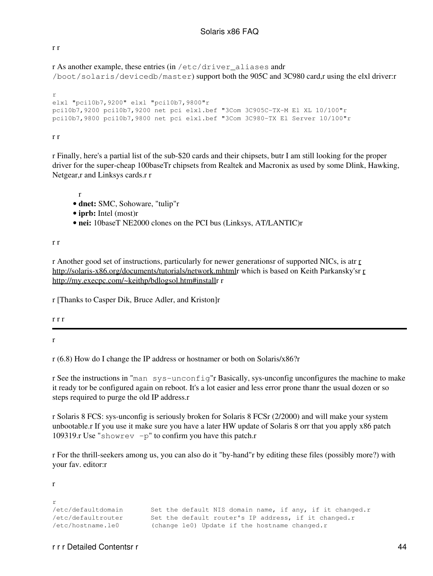#### r r

r As another example, these entries (in /etc/driver\_aliases andr /boot/solaris/devicedb/master) support both the 905C and 3C980 card,r using the elxl driver:r

```
r
elxl "pci10b7,9200" elxl "pci10b7,9800"r
pci10b7,9200 pci10b7,9200 net pci elxl.bef "3Com 3C905C-TX-M El XL 10/100"r
pci10b7,9800 pci10b7,9800 net pci elxl.bef "3Com 3C980-TX El Server 10/100"r
```
#### r r

r Finally, here's a partial list of the sub-\$20 cards and their chipsets, butr I am still looking for the proper driver for the super-cheap 100baseTr chipsets from Realtek and Macronix as used by some Dlink, Hawking, Netgear,r and Linksys cards.r r

r

- **dnet:** SMC, Sohoware, "tulip"r
- **iprb:** Intel (most)r
- **nei:** 10baseT NE2000 clones on the PCI bus (Linksys, AT/LANTIC)r

#### r r

r Another good set of instructions, particularly for newer generationsr of supported NICs, is atr [r](http://solaris-x86.org/documents/tutorials/network.mhtml) <http://solaris-x86.org/documents/tutorials/network.mhtml>r which is based on Keith Parkansky'sr [r](http://my.execpc.com/~keithp/bdlogsol.htm#install) <http://my.execpc.com/~keithp/bdlogsol.htm#install>r r

r [Thanks to Casper Dik, Bruce Adler, and Kriston]r

r r r

r

r

r

r (6.8) How do I change the IP address or hostnamer or both on Solaris/x86?r

r See the instructions in "man sys-unconfig"r Basically, sys-unconfig unconfigures the machine to make it ready tor be configured again on reboot. It's a lot easier and less error prone thanr the usual dozen or so steps required to purge the old IP address.r

r Solaris 8 FCS: sys-unconfig is seriously broken for Solaris 8 FCSr (2/2000) and will make your system unbootable.r If you use it make sure you have a later HW update of Solaris 8 orr that you apply x86 patch 109319.r Use "showrev  $-p$ " to confirm you have this patch.r

r For the thrill-seekers among us, you can also do it "by-hand"r by editing these files (possibly more?) with your fav. editor:r

/etc/defaultdomain Set the default NIS domain name, if any, if it changed.r /etc/defaultrouter Set the default router's IP address, if it changed.r /etc/hostname.le0 (change le0) Update if the hostname changed.r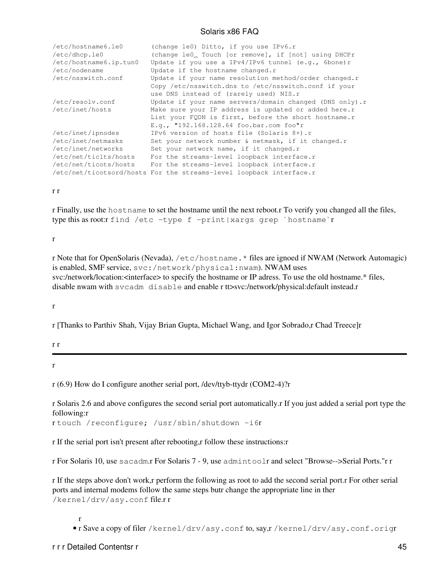| /etc/hostname6.le0<br>/etc/dhcp.le0 | (change le0) Ditto, if you use IPv6.r<br>(change le0_ Touch [or remove], if [not] using DHCPr |
|-------------------------------------|-----------------------------------------------------------------------------------------------|
| /etc/hostname6.ip.tun0              | Update if you use a IPv4/IPv6 tunnel (e.g., 6bone)r                                           |
| /etc/nodename                       | Update if the hostname changed.r                                                              |
| /etc/nsswitch.conf                  | Update if your name resolution method/order changed.r                                         |
|                                     | Copy /etc/nsswitch.dns to /etc/nsswitch.conf if your                                          |
|                                     | use DNS instead of (rarely used) NIS.r                                                        |
| /etc/resolv.conf                    | Update if your name servers/domain changed (DNS only).r                                       |
| /etc/inet/hosts                     | Make sure your IP address is updated or added here.r                                          |
|                                     | List your FQDN is first, before the short hostname.r                                          |
|                                     | E.g., "192.168.128.64 foo.bar.com foo"r                                                       |
| /etc/inet/ipnodes                   | IPv6 version of hosts file (Solaris 8+).r                                                     |
| /etc/inet/netmasks                  | Set your network number & netmask, if it changed.r                                            |
| /etc/inet/networks                  | Set your network name, if it changed.r                                                        |
| /etc/net/ticlts/hosts               | For the streams-level loopback interface.r                                                    |
| /etc/net/ticots/hosts               | For the streams-level loopback interface.r                                                    |
|                                     | /etc/net/ticotsord/hosts For the streams-level loopback interface.r                           |

r r

r Finally, use the hostname to set the hostname until the next reboot.r To verify you changed all the files, type this as root:r find /etc -type f -print|xargs grep `hostname`r

r

r Note that for OpenSolaris (Nevada), /etc/hostname.\* files are ignoed if NWAM (Network Automagic) is enabled, SMF service, svc:/network/physical:nwam). NWAM uses svc:/network/location:<interface> to specify the hostname or IP adress. To use the old hostname.\* files, disable nwam with svcadm disable and enable r tt>svc:/network/physical:default instead.r

r

r [Thanks to Parthiv Shah, Vijay Brian Gupta, Michael Wang, and Igor Sobrado,r Chad Treece]r

r r

r

r (6.9) How do I configure another serial port, /dev/ttyb-ttydr (COM2-4)?r

r Solaris 2.6 and above configures the second serial port automatically.r If you just added a serial port type the following:r

r touch /reconfigure; /usr/sbin/shutdown -i6r

r If the serial port isn't present after rebooting,r follow these instructions:r

r For Solaris 10, use sacadm.r For Solaris 7 - 9, use admintoolr and select "Browse-->Serial Ports."r r

r If the steps above don't work,r perform the following as root to add the second serial port.r For other serial ports and internal modems follow the same steps butr change the appropriate line in ther /kernel/drv/asy.conf file.r r

r

• r Save a copy of filer /kernel/drv/asy.conf to, say,r /kernel/drv/asy.conf.origr

r r r Detailed Contentsr r 45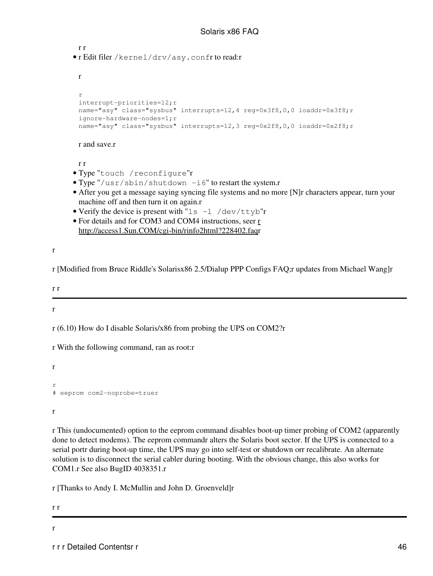```
r r
      r Edit filer /kernel/drv/asy.confr to read:r
• 
       r
       r
       interrupt-priorities=12;r
       name="asy" class="sysbus" interrupts=12,4 reg=0x3f8,0,0 ioaddr=0x3f8;r
       ignore-hardware-nodes=1;r
       name="asy" class="sysbus" interrupts=12,3 reg=0x2f8,0,0 ioaddr=0x2f8;r
       r and save.r
       r r
     • Type "touch /reconfigure"r
     • Type "/usr/sbin/shutdown -i6" to restart the system.r
      After you get a message saying syncing file systems and no more [N]r characters appear, turn your
• 
       machine off and then turn it on again.r
     • Verify the device is present with "ls -l /dev/ttyb"r
      • For details and for COM3 and COM4 instructions, seer r
       http://access1.Sun.COM/cgi-bin/rinfo2html?228402.faqr
r [Modified from Bruce Riddle's Solarisx86 2.5/Dialup PPP Configs FAQ;r updates from Michael Wang]r
r (6.10) How do I disable Solaris/x86 from probing the UPS on COM2?r
r With the following command, ran as root:r
# eeprom com2-noprobe=truer
r This (undocumented) option to the eeprom command disables boot-up timer probing of COM2 (apparently
done to detect modems). The eeprom commandr alters the Solaris boot sector. If the UPS is connected to a
```
serial portr during boot-up time, the UPS may go into self-test or shutdown orr recalibrate. An alternate solution is to disconnect the serial cabler during booting. With the obvious change, this also works for COM1.r See also BugID 4038351.r

r [Thanks to Andy I. McMullin and John D. Groenveld]r

r r

r

r r

r

r

r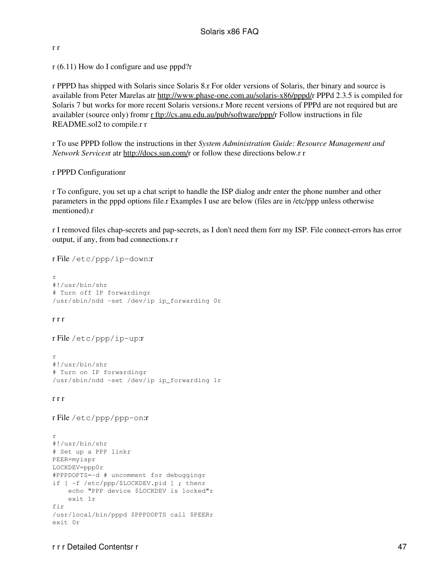#### r r

r (6.11) How do I configure and use pppd?r

r PPPD has shipped with Solaris since Solaris 8.r For older versions of Solaris, ther binary and source is available from Peter Marelas atr [http://www.phase-one.com.au/solaris-x86/pppd/r](http://www.phase-one.com.au/solaris-x86/pppd/) PPPd 2.3.5 is compiled for Solaris 7 but works for more recent Solaris versions.r More recent versions of PPPd are not required but are availabler (source only) fromr [r ftp://cs.anu.edu.au/pub/software/ppp/r](ftp://cs.anu.edu.au/pub/software/ppp/) Follow instructions in file README.sol2 to compile.r r

r To use PPPD follow the instructions in ther *System Administration Guide: Resource Management and Network Services*r atr [http://docs.sun.com/r](http://docs.sun.com/) or follow these directions below.r r

#### r PPPD Configurationr

r To configure, you set up a chat script to handle the ISP dialog andr enter the phone number and other parameters in the pppd options file.r Examples I use are below (files are in /etc/ppp unless otherwise mentioned).r

r I removed files chap-secrets and pap-secrets, as I don't need them forr my ISP. File connect-errors has error output, if any, from bad connections.r r

```
r
#!/usr/bin/shr
# Turn off IP forwardingr
/usr/sbin/ndd -set /dev/ip ip_forwarding 0r
```
#### r r r

```
r File /etc/ppp/ip-up:r
```
r File /etc/ppp/ip-down:r

r #!/usr/bin/shr # Turn on IP forwardingr /usr/sbin/ndd -set /dev/ip ip\_forwarding 1r

#### r r r

```
r File /etc/ppp/ppp-on:r
```

```
r
#!/usr/bin/shr
# Set up a PPP linkr
PEER=myispr
LOCKDEV=ppp0r
#PPPDOPTS=-d # uncomment for debuggingr
if [ -f /etc/ppp/$LOCKDEV.pid ] ; thenr
     echo "PPP device $LOCKDEV is locked"r
     exit 1r
fir
/usr/local/bin/pppd $PPPDOPTS call $PEERr
exit 0r
```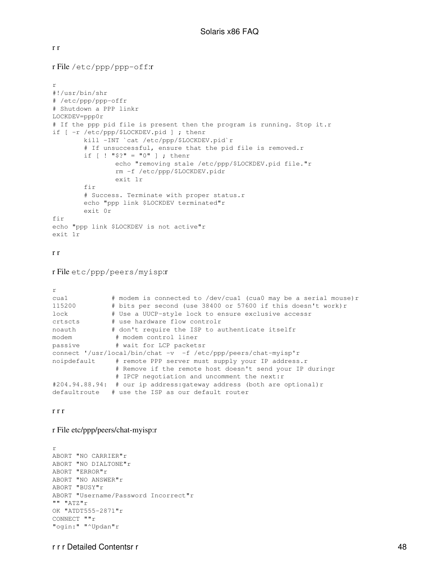#### r r

r File /etc/ppp/ppp-off:r

```
r
#!/usr/bin/shr
# /etc/ppp/ppp-offr
# Shutdown a PPP linkr
LOCKDEV=ppp0r
# If the ppp pid file is present then the program is running. Stop it.r
if [ -r /etc/ppp/$LOCKDEV.pid ] ; thenr
        kill -INT `cat /etc/ppp/$LOCKDEV.pid`r
       # If unsuccessful, ensure that the pid file is removed.r
       if [ ] "$?" = "0" ] ; thenr
                echo "removing stale /etc/ppp/$LOCKDEV.pid file."r
                rm -f /etc/ppp/$LOCKDEV.pidr
                exit 1r
        fir
         # Success. Terminate with proper status.r
        echo "ppp link $LOCKDEV terminated"r
        exit 0r
fir
echo "ppp link $LOCKDEV is not active"r
exit 1r
r r
r File etc/ppp/peers/myisp:r
r
cua1 # modem is connected to /dev/cua1 (cua0 may be a serial mouse)r
115200 # bits per second (use 38400 or 57600 if this doesn't work)r
lock # Use a UUCP-style lock to ensure exclusive accessr
crtscts # use hardware flow controlr
noauth # don't require the ISP to authenticate itselfr
modem # modem control liner
passive # wait for LCP packetsr
connect '/usr/local/bin/chat -v -f /etc/ppp/peers/chat-myisp'r
noipdefault # remote PPP server must supply your IP address.r
                # Remove if the remote host doesn't send your IP duringr
               # IPCP negotiation and uncomment the next:r
#204.94.88.94: # our ip address:gateway address (both are optional)r
defaultroute # use the ISP as our default router
r r r
r File etc/ppp/peers/chat-myisp:r
```

```
r
ABORT "NO CARRIER"r
ABORT "NO DIALTONE"r
ABORT "ERROR"r
ABORT "NO ANSWER"r
ABORT "BUSY"r
ABORT "Username/Password Incorrect"r
" " " ATZ" rOK "ATDT555-2871"r
CONNECT ""r
"ogin:" "^Updan"r
```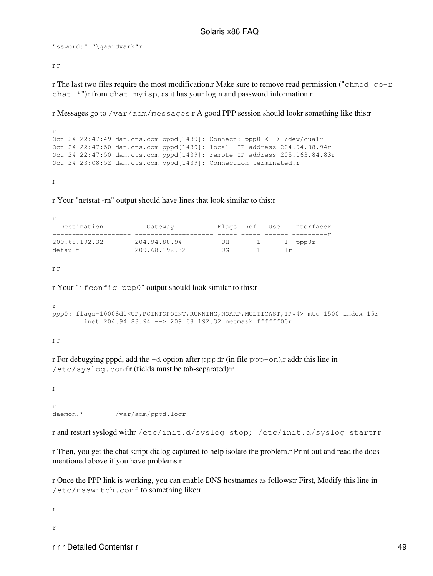"ssword:" "\qaardvark"r

#### r r

r The last two files require the most modification.r Make sure to remove read permission ("chmod go-r  $chat-*"$ r from chat-myisp, as it has your login and password information.r

r Messages go to /var/adm/messages.r A good PPP session should lookr something like this:r

r Oct 24 22:47:49 dan.cts.com pppd[1439]: Connect: ppp0 <--> /dev/cua1r Oct 24 22:47:50 dan.cts.com pppd[1439]: local IP address 204.94.88.94r Oct 24 22:47:50 dan.cts.com pppd[1439]: remote IP address 205.163.84.83r Oct 24 23:08:52 dan.cts.com pppd[1439]: Connection terminated.r

r

r Your "netstat -rn" output should have lines that look similar to this:r

| Destination   | Gateway       |    |                     | Flags Ref Use Interfacer |
|---------------|---------------|----|---------------------|--------------------------|
|               |               |    |                     |                          |
| 209.68.192.32 | 204.94.88.94  | UH | $\perp$ and $\perp$ | 1 ppp0r                  |
| default       | 209.68.192.32 | НG |                     |                          |

r r

r Your "ifconfig ppp0" output should look similar to this:r

```
r
ppp0: flags=10008d1<UP,POINTOPOINT,RUNNING,NOARP,MULTICAST,IPv4> mtu 1500 index 15r
         inet 204.94.88.94 --> 209.68.192.32 netmask ffffff00r
```
r r

r For debugging pppd, add the  $-d$  option after pppdr (in file ppp-on), r addr this line in /etc/syslog.confr (fields must be tab-separated):r

r r daemon.\* /var/adm/pppd.logr

r and restart syslogd withr /etc/init.d/syslog stop; /etc/init.d/syslog startr r

r Then, you get the chat script dialog captured to help isolate the problem.r Print out and read the docs mentioned above if you have problems.r

r Once the PPP link is working, you can enable DNS hostnames as follows:r First, Modify this line in /etc/nsswitch.conf to something like:r

r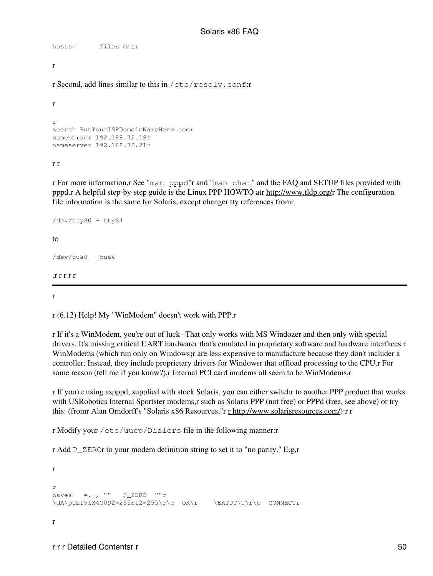```
hosts: files dnsr
r
```
r Second, add lines similar to this in /etc/resolv.conf:r

```
r
r
search PutYourISPDomainNameHere.comr
nameserver 192.188.72.18r
nameserver 192.188.72.21r
```
r r

r For more information,r See "man pppd"r and "man chat" and the FAQ and SETUP files provided with pppd.r A helpful step-by-step guide is the Linux PPP HOWTO atr <http://www.tldp.org/>r The configuration file information is the same for Solaris, except changer tty references fromr

```
/dev/ttyS0 - ttyS4
t_0/dev/cua0 - cua4
.r r r r r
```
r

r (6.12) Help! My "WinModem" doesn't work with PPP.r

r If it's a WinModem, you're out of luck--That only works with MS Windozer and then only with special drivers. It's missing critical UART hardwarer that's emulated in proprietary software and hardware interfaces.r WinModems (which run only on Windows)r are less expensive to manufacture because they don't includer a controller. Instead, they include proprietary drivers for Windowsr that offload processing to the CPU.r For some reason (tell me if you know?),r Internal PCI card modems all seem to be WinModems.r

r If you're using aspppd, supplied with stock Solaris, you can either switchr to another PPP product that works with USRobotics Internal Sportster modems,r such as Solaris PPP (not free) or PPPd (free, see above) or try this: (from Alan Orndorff's "Solaris x86 Resources," r [r http://www.solarisresources.com/\)](http://www.solarisresources.com/): r r

r Modify your /etc/uucp/Dialers file in the following manner:r

r Add P\_ZEROr to your modem definition string to set it to "no parity." E.g,r

```
r
r
hayes =,-, "" P<sup>ZERO</sup> ""r
\dA\pfElV1X4Q0S2=255S12=255\r\c OK\r \qquad \EATDT\T\r\c COMMECTrr
```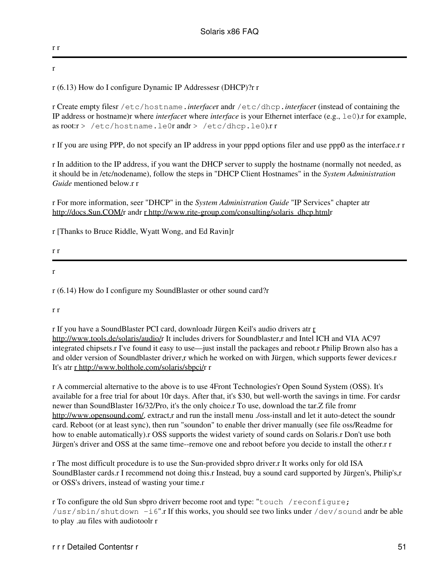## r r r

# r (6.13) How do I configure Dynamic IP Addressesr (DHCP)?r r

r Create empty filesr /etc/hostname.*interface*r andr /etc/dhcp.*interface*r (instead of containing the IP address or hostname)r where *interface*r where *interface* is your Ethernet interface (e.g., le0).r for example, as root:r > /etc/hostname.le0r andr > /etc/dhcp.le0).r r

r If you are using PPP, do not specify an IP address in your pppd options filer and use ppp0 as the interface.r r

r In addition to the IP address, if you want the DHCP server to supply the hostname (normally not needed, as it should be in /etc/nodename), follow the steps in "DHCP Client Hostnames" in the *System Administration Guide* mentioned below.r r

r For more information, seer "DHCP" in the *System Administration Guide* "IP Services" chapter atr <http://docs.Sun.COM/>r andr [r http://www.rite-group.com/consulting/solaris\\_dhcp.html](http://www.rite-group.com/consulting/solaris_dhcp.html)r

r [Thanks to Bruce Riddle, Wyatt Wong, and Ed Ravin]r

r r

r

r (6.14) How do I configure my SoundBlaster or other sound card?r

r r

r If you have a SoundBlaster PCI card, downloadr Jürgen Keil's audio drivers atr [r](http://www.tools.de/solaris/audio/) [http://www.tools.de/solaris/audio/r](http://www.tools.de/solaris/audio/) It includes drivers for Soundblaster,r and Intel ICH and VIA AC97 integrated chipsets.r I've found it easy to use—just install the packages and reboot.r Philip Brown also has a and older version of Soundblaster driver,r which he worked on with Jürgen, which supports fewer devices.r It's atr [r http://www.bolthole.com/solaris/sbpci/](http://www.bolthole.com/solaris/sbpci/)r r

r A commercial alternative to the above is to use 4Front Technologies'r Open Sound System (OSS). It's available for a free trial for about 10r days. After that, it's \$30, but well-worth the savings in time. For cardsr newer than SoundBlaster 16/32/Pro, it's the only choice.r To use, download the tar.Z file fromr <http://www.opensound.com/>, extract,r and run the install menu ./oss-install and let it auto-detect the soundr card. Reboot (or at least sync), then run "soundon" to enable ther driver manually (see file oss/Readme for how to enable automatically).r OSS supports the widest variety of sound cards on Solaris.r Don't use both Jürgen's driver and OSS at the same time--remove one and reboot before you decide to install the other.r r

r The most difficult procedure is to use the Sun-provided sbpro driver.r It works only for old ISA SoundBlaster cards.r I recommend not doing this.r Instead, buy a sound card supported by Jürgen's, Philip's,r or OSS's drivers, instead of wasting your time.r

r To configure the old Sun sbpro driverr become root and type: "touch /reconfigure; /usr/sbin/shutdown -i6".r If this works, you should see two links under /dev/sound andr be able to play .au files with audiotoolr r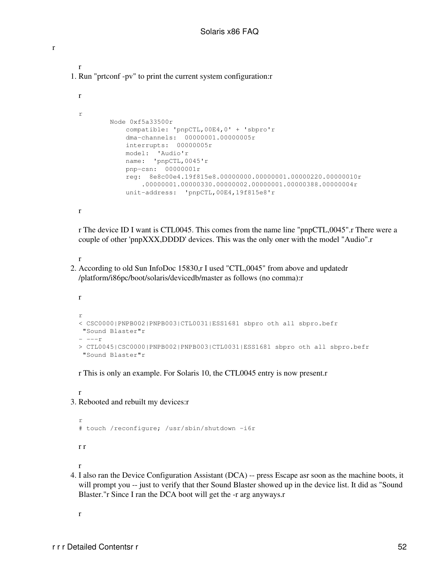```
r
1. Run "prtconf -pv" to print the current system configuration:r
```

```
r
r
         Node 0xf5a33500r
            compatible: 'pnpCTL,00E4,0' + 'sbpro'r
            dma-channels: 00000001.00000005r
             interrupts: 00000005r
             model: 'Audio'r
             name: 'pnpCTL,0045'r
             pnp-csn: 00000001r
             reg: 8e8c00e4.19f815e8.00000000.00000001.00000220.00000010r
                 .00000001.00000330.00000002.00000001.00000388.00000004r
             unit-address: 'pnpCTL,00E4,19f815e8'r
```
r

r

r The device ID I want is CTL0045. This comes from the name line "pnpCTL,0045".r There were a couple of other 'pnpXXX,DDDD' devices. This was the only oner with the model "Audio".r

#### r

2. According to old Sun InfoDoc 15830,r I used "CTL,0045" from above and updatedr /platform/i86pc/boot/solaris/devicedb/master as follows (no comma):r

```
r
r
< CSC0000|PNPB002|PNPB003|CTL0031|ESS1681 sbpro oth all sbpro.befr
 "Sound Blaster"r
- --r> CTL0045|CSC0000|PNPB002|PNPB003|CTL0031|ESS1681 sbpro oth all sbpro.befr
  "Sound Blaster"r
```
r This is only an example. For Solaris 10, the CTL0045 entry is now present.r

r 3. Rebooted and rebuilt my devices:r

```
r
# touch /reconfigure; /usr/sbin/shutdown -i6r
r r
r
```
4. I also ran the Device Configuration Assistant (DCA) -- press Escape asr soon as the machine boots, it will prompt you -- just to verify that ther Sound Blaster showed up in the device list. It did as "Sound" Blaster."r Since I ran the DCA boot will get the -r arg anyways.r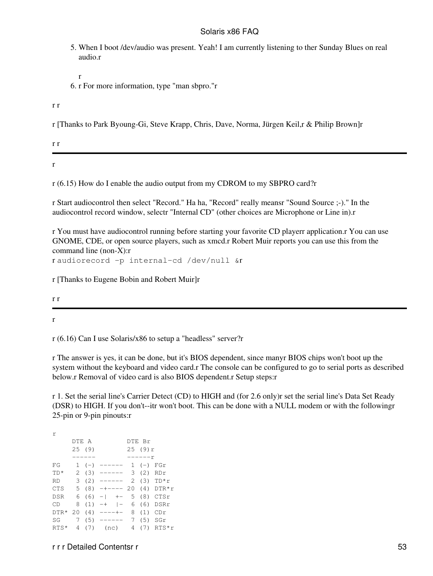- 5. When I boot /dev/audio was present. Yeah! I am currently listening to ther Sunday Blues on real audio.r
- r 6. r For more information, type "man sbpro."r

r r

r [Thanks to Park Byoung-Gi, Steve Krapp, Chris, Dave, Norma, Jürgen Keil,r & Philip Brown]r

r

r r

r (6.15) How do I enable the audio output from my CDROM to my SBPRO card?r

r Start audiocontrol then select "Record." Ha ha, "Record" really meansr "Sound Source ;-)." In the audiocontrol record window, selectr "Internal CD" (other choices are Microphone or Line in).r

r You must have audiocontrol running before starting your favorite CD playerr application.r You can use GNOME, CDE, or open source players, such as xmcd.r Robert Muir reports you can use this from the command line (non-X):r

r audiorecord -p internal-cd /dev/null &r

r [Thanks to Eugene Bobin and Robert Muir]r

r r

r

r (6.16) Can I use Solaris/x86 to setup a "headless" server?r

r The answer is yes, it can be done, but it's BIOS dependent, since manyr BIOS chips won't boot up the system without the keyboard and video card.r The console can be configured to go to serial ports as described below.r Removal of video card is also BIOS dependent.r Setup steps:r

r 1. Set the serial line's Carrier Detect (CD) to HIGH and (for 2.6 only)r set the serial line's Data Set Ready (DSR) to HIGH. If you don't--itr won't boot. This can be done with a NULL modem or with the followingr 25-pin or 9-pin pinouts:r

| r      |       |        |                              |          |               |
|--------|-------|--------|------------------------------|----------|---------------|
|        | DTE A |        |                              | DTE Br   |               |
|        |       | 25(9)  |                              | 25(9)r   |               |
|        |       |        |                              | $-----r$ |               |
| FG     |       | $1(-)$ | $----- 1 (-) FGr$            |          |               |
| $TD*$  |       |        | $2(3)$ ------ 3 (2) RDr      |          |               |
| RD     |       |        | 3 (2) ------ 2 (3) $TD*r$    |          |               |
| CTS    |       |        | 5 (8) -+---- 20 (4) DTR*r    |          |               |
| DSR    |       |        | $6(6) -1 + -5(8) CTSr$       |          |               |
| CD     |       |        | $8(1)$ -+ $ - 6(6)$ DSRr     |          |               |
|        |       |        | DTR* 20 (4) ----+- 8 (1) CDr |          |               |
| SG     |       |        | $7(5)$ $---$ 7 (5) SGr       |          |               |
| $RTS*$ |       |        | 4 (7) (nc)                   |          | 4 $(7)$ RTS*r |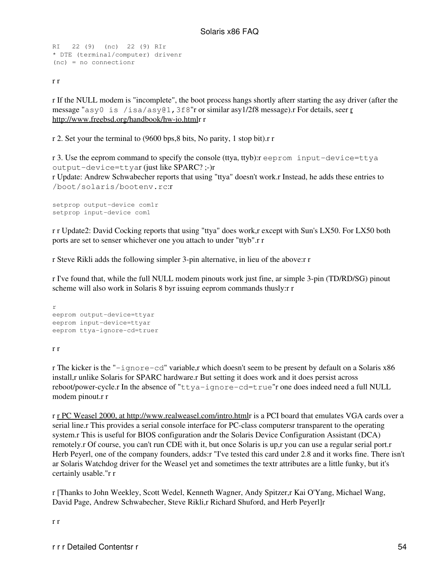```
RI 22 (9) (nc) 22 (9) RIr
* DTE (terminal/computer) drivenr
(nc) = no connectionr
```
r r

r If the NULL modem is "incomplete", the boot process hangs shortly afterr starting the asy driver (after the message "asy0 is /isa/asy01, 3f8" [r](http://www.freebsd.org/handbook/hw-io.html) or similar asy1/2f8 message). For details, seer  $r$ [http://www.freebsd.org/handbook/hw-io.htmlr](http://www.freebsd.org/handbook/hw-io.html) r

r 2. Set your the terminal to (9600 bps,8 bits, No parity, 1 stop bit).r r

r 3. Use the eeprom command to specify the console (ttya, ttyb):r eeprom input-device=ttya output-device=ttyar (just like SPARC? ;-)r r Update: Andrew Schwabecher reports that using "ttya" doesn't work.r Instead, he adds these entries to /boot/solaris/bootenv.rc:r

```
setprop output-device com1r
setprop input-device com1
```
r r Update2: David Cocking reports that using "ttya" does work,r except with Sun's LX50. For LX50 both ports are set to senser whichever one you attach to under "ttyb".r r

r Steve Rikli adds the following simpler 3-pin alternative, in lieu of the above:r r

r I've found that, while the full NULL modem pinouts work just fine, ar simple 3-pin (TD/RD/SG) pinout scheme will also work in Solaris 8 byr issuing eeprom commands thusly:r r

```
r
eeprom output-device=ttyar
eeprom input-device=ttyar
eeprom ttya-ignore-cd=truer
```
r r

r The kicker is the "-ignore-cd" variable,r which doesn't seem to be present by default on a Solaris x86 install,r unlike Solaris for SPARC hardware.r But setting it does work and it does persist across reboot/power-cycle.r In the absence of "ttya-ignore-cd=true"r one does indeed need a full NULL modem pinout.r r

r [r PC Weasel 2000, at http://www.realweasel.com/intro.html](http://www.realweasel.com/intro.html)r is a PCI board that emulates VGA cards over a serial line.r This provides a serial console interface for PC-class computersr transparent to the operating system.r This is useful for BIOS configuration andr the Solaris Device Configuration Assistant (DCA) remotely.r Of course, you can't run CDE with it, but once Solaris is up,r you can use a regular serial port.r Herb Peyerl, one of the company founders, adds:r "I've tested this card under 2.8 and it works fine. There isn't ar Solaris Watchdog driver for the Weasel yet and sometimes the textr attributes are a little funky, but it's certainly usable."r r

r [Thanks to John Weekley, Scott Wedel, Kenneth Wagner, Andy Spitzer,r Kai O'Yang, Michael Wang, David Page, Andrew Schwabecher, Steve Rikli,r Richard Shuford, and Herb Peyerl]r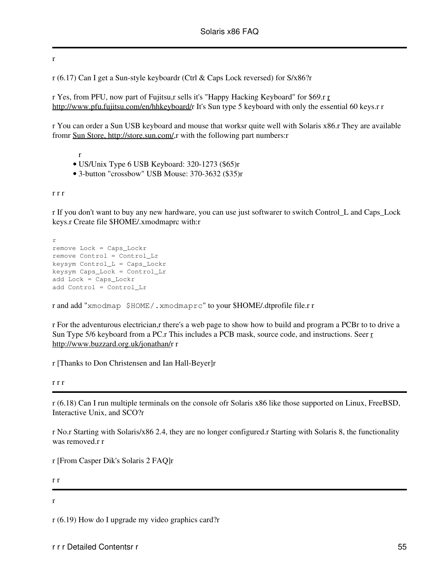r

r (6.17) Can I get a Sun-style keyboardr (Ctrl & Caps Lock reversed) for S/x86?r

r Yes, from PFU, now part of Fujitsu,r sells it's "Happy Hacking Keyboard" for \$69.r [r](http://www.pfu.fujitsu.com/en/hhkeyboard/) [http://www.pfu.fujitsu.com/en/hhkeyboard/r](http://www.pfu.fujitsu.com/en/hhkeyboard/) It's Sun type 5 keyboard with only the essential 60 keys.r r

r You can order a Sun USB keyboard and mouse that worksr quite well with Solaris x86.r They are available fromr [Sun Store, http://store.sun.com/,](http://store.sun.com/)r with the following part numbers:r

r

- US/Unix Type 6 USB Keyboard: 320-1273 (\$65)r
- 3-button "crossbow" USB Mouse: 370-3632 (\$35)r

r r r

r If you don't want to buy any new hardware, you can use just softwarer to switch Control\_L and Caps\_Lock keys.r Create file \$HOME/.xmodmaprc with:r

r remove Lock = Caps\_Lockr remove Control = Control\_Lr keysym Control\_L = Caps\_Lockr keysym Caps\_Lock = Control\_Lr add Lock = Caps\_Lockr add Control = Control\_Lr

r and add "xmodmap \$HOME/.xmodmaprc" to your \$HOME/.dtprofile file.r r

r For the adventurous electrician,r there's a web page to show how to build and program a PCBr to to drive a Sun Type 5/6 keyboard from a PC.r This includes a PCB mask, source code, and instructions. Seer [r](http://www.buzzard.org.uk/jonathan/) [http://www.buzzard.org.uk/jonathan/r](http://www.buzzard.org.uk/jonathan/) r

r [Thanks to Don Christensen and Ian Hall-Beyer]r

r r r

r (6.18) Can I run multiple terminals on the console ofr Solaris x86 like those supported on Linux, FreeBSD, Interactive Unix, and SCO?r

r No.r Starting with Solaris/x86 2.4, they are no longer configured.r Starting with Solaris 8, the functionality was removed.r r

r [From Casper Dik's Solaris 2 FAQ]r

r r

r

r (6.19) How do I upgrade my video graphics card?r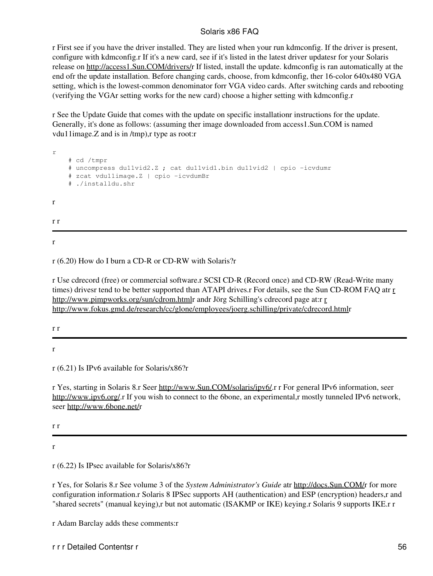r First see if you have the driver installed. They are listed when your run kdmconfig. If the driver is present, configure with kdmconfig.r If it's a new card, see if it's listed in the latest driver updatesr for your Solaris release on<http://access1.Sun.COM/drivers/>r If listed, install the update. kdmconfig is ran automatically at the end ofr the update installation. Before changing cards, choose, from kdmconfig, ther 16-color 640x480 VGA setting, which is the lowest-common denominator forr VGA video cards. After switching cards and rebooting (verifying the VGAr setting works for the new card) choose a higher setting with kdmconfig.r

r See the Update Guide that comes with the update on specific installationr instructions for the update. Generally, it's done as follows: (assuming ther image downloaded from access1.Sun.COM is named vdu11image.Z and is in /tmp),r type as root:r

r # cd /tmpr # uncompress du11vid2.Z ; cat du11vid1.bin du11vid2 | cpio -icvdumr # zcat vdu11image.Z | cpio -icvdumBr # ./installdu.shr r r r

r

r (6.20) How do I burn a CD-R or CD-RW with Solaris?r

r Use cdrecord (free) or commercial software.r SCSI CD-R (Record once) and CD-RW (Read-Write many times) drivesr tend to be better supported than ATAPI drives.r For details, see the Sun CD-ROM FAQ atr [r](http://www.pimpworks.org/sun/cdrom.html) <http://www.pimpworks.org/sun/cdrom.html>r andr Jörg Schilling's cdrecord page at:r [r](http://www.fokus.gmd.de/research/cc/glone/employees/joerg.schilling/private/cdrecord.html) <http://www.fokus.gmd.de/research/cc/glone/employees/joerg.schilling/private/cdrecord.html>r

r r

r

r (6.21) Is IPv6 available for Solaris/x86?r

r Yes, starting in Solaris 8.r Seer [http://www.Sun.COM/solaris/ipv6/.](http://www.Sun.COM/solaris/ipv6/)r r For general IPv6 information, seer [http://www.ipv6.org/.](http://www.ipv6.org/)r If you wish to connect to the 6bone, an experimental,r mostly tunneled IPv6 network, seer [http://www.6bone.net/r](http://www.6bone.net/)

r r

r

r (6.22) Is IPsec available for Solaris/x86?r

r Yes, for Solaris 8.r See volume 3 of the *System Administrator's Guide* atr [http://docs.Sun.COM/r](http://docs.Sun.COM/) for more configuration information.r Solaris 8 IPSec supports AH (authentication) and ESP (encryption) headers,r and "shared secrets" (manual keying),r but not automatic (ISAKMP or IKE) keying.r Solaris 9 supports IKE.r r

r Adam Barclay adds these comments:r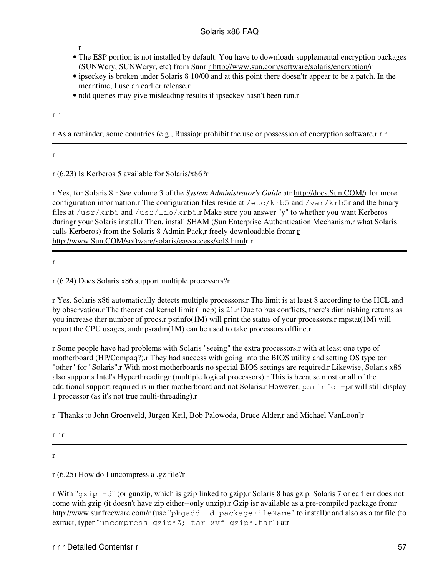r

- The ESP portion is not installed by default. You have to downloadr supplemental encryption packages (SUNWcry, SUNWcryr, etc) from Sunr [r http://www.sun.com/software/solaris/encryption/](http://www.sun.com/software/solaris/encryption/)r
- ipseckey is broken under Solaris 8 10/00 and at this point there doesn'tr appear to be a patch. In the meantime, I use an earlier release.r
- ndd queries may give misleading results if ipseckey hasn't been run.r

r r

r As a reminder, some countries (e.g., Russia)r prohibit the use or possession of encryption software.r r r

r

r (6.23) Is Kerberos 5 available for Solaris/x86?r

r Yes, for Solaris 8.r See volume 3 of the *System Administrator's Guide* atr [http://docs.Sun.COM/r](http://docs.Sun.COM/) for more configuration information.r The configuration files reside at  $/etc/krb5$  and  $/var/krb5r$  and the binary files at /usr/krb5 and /usr/lib/krb5.r Make sure you answer "y" to whether you want Kerberos duringr your Solaris install.r Then, install SEAM (Sun Enterprise Authentication Mechanism,r what Solaris calls Kerberos) from the Solaris 8 Admin Pack,r freely downloadable from  $r$ [http://www.Sun.COM/software/solaris/easyaccess/sol8.htmlr](http://www.Sun.COM/software/solaris/easyaccess/sol8.html) r

r

r (6.24) Does Solaris x86 support multiple processors?r

r Yes. Solaris x86 automatically detects multiple processors.r The limit is at least 8 according to the HCL and by observation.r The theoretical kernel limit (\_ncp) is 21.r Due to bus conflicts, there's diminishing returns as you increase ther number of procs.r psrinfo(1M) will print the status of your processors,r mpstat(1M) will report the CPU usages, andr psradm(1M) can be used to take processors offline.r

r Some people have had problems with Solaris "seeing" the extra processors,r with at least one type of motherboard (HP/Compaq?).r They had success with going into the BIOS utility and setting OS type tor "other" for "Solaris".r With most motherboards no special BIOS settings are required.r Likewise, Solaris x86 also supports Intel's Hyperthreadingr (multiple logical processors).r This is because most or all of the additional support required is in ther motherboard and not Solaris.r However, psrinfo -pr will still display 1 processor (as it's not true multi-threading).r

r [Thanks to John Groenveld, Jürgen Keil, Bob Palowoda, Bruce Alder,r and Michael VanLoon]r

r r r

r

r (6.25) How do I uncompress a .gz file?r

r With "gzip -d" (or gunzip, which is gzip linked to gzip).r Solaris 8 has gzip. Solaris 7 or earlierr does not come with gzip (it doesn't have zip either--only unzip).r Gzip isr available as a pre-compiled package fromr <http://www.sunfreeware.com/>r (use "pkgadd -d packageFileName" to install)r and also as a tar file (to extract, typer "uncompress gzip\*Z; tar xvf gzip\*.tar") atr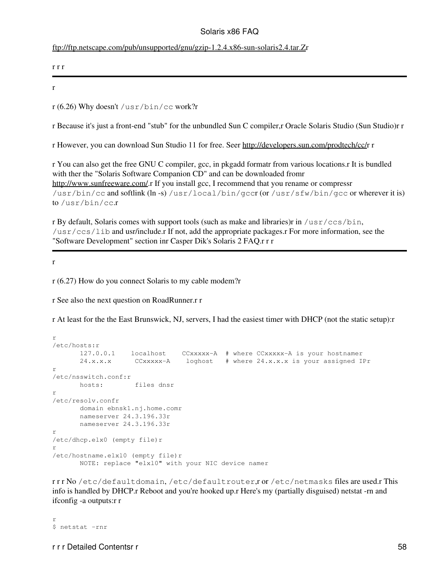#### <ftp://ftp.netscape.com/pub/unsupported/gnu/gzip-1.2.4.x86-sun-solaris2.4.tar.Z>r

```
r r r
```
r

r (6.26) Why doesn't /usr/bin/cc work?r

r Because it's just a front-end "stub" for the unbundled Sun C compiler,r Oracle Solaris Studio (Sun Studio)r r

r However, you can download Sun Studio 11 for free. Seer<http://developers.sun.com/prodtech/cc/>r r

r You can also get the free GNU C compiler, gcc, in pkgadd formatr from various locations.r It is bundled with ther the "Solaris Software Companion CD" and can be downloaded fromr <http://www.sunfreeware.com/>.r If you install gcc, I recommend that you rename or compressr  $\frac{\text{Jusr/bin}}{\text{c}}$  and softlink (ln -s)  $\frac{\text{Jusr,}}{\text{d}}$  (or  $\frac{\text{Jusr}}{\text{c}}$  (or  $\frac{\text{Jusr}}{\text{c}}$  fw/bin/gcc or wherever it is) to /usr/bin/cc.r

r By default, Solaris comes with support tools (such as make and libraries)r in  $/\text{usr}/\text{ccs}/\text{bin}$ , /usr/ccs/lib and usr/include.r If not, add the appropriate packages.r For more information, see the "Software Development" section inr Casper Dik's Solaris 2 FAQ.r r r

r

r (6.27) How do you connect Solaris to my cable modem?r

r See also the next question on RoadRunner.r r

r At least for the the East Brunswick, NJ, servers, I had the easiest timer with DHCP (not the static setup):r

```
r
/etc/hosts:r
       127.0.0.1 localhost CCxxxxx-A # where CCxxxxx-A is your hostnamer
       24.x.x.x CCxxxxx-A loghost # where 24.x.x.x is your assigned IPr
r
/etc/nsswitch.conf:r
       hosts: files dnsr
r
/etc/resolv.confr
       domain ebnsk1.nj.home.comr
       nameserver 24.3.196.33r
       nameserver 24.3.196.33r
r
/etc/dhcp.elx0 (empty file)r
r
/etc/hostname.elxl0 (empty file)r
       NOTE: replace "elxl0" with your NIC device namer
```
r r r No /etc/defaultdomain, /etc/defaultrouter,r or /etc/netmasks files are used.r This info is handled by DHCP.r Reboot and you're hooked up.r Here's my (partially disguised) netstat -rn and ifconfig -a outputs:r r

r \$ netstat -rnr

r r r Detailed Contentsr r 58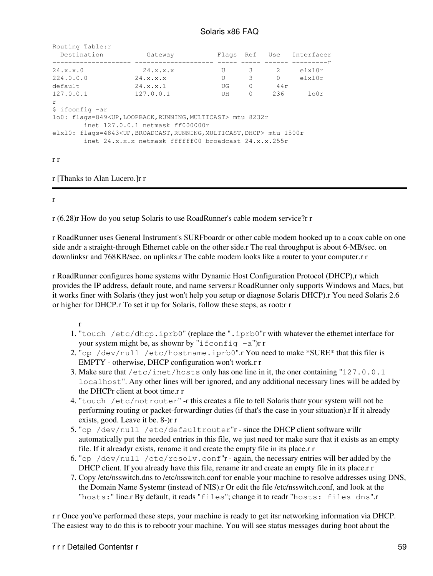| Routing Table: r<br>Destination | Gateway                                                                                 |    |               |                | Flags Ref Use Interfacer |
|---------------------------------|-----------------------------------------------------------------------------------------|----|---------------|----------------|--------------------------|
|                                 |                                                                                         |    |               |                |                          |
| 24. x.x. 0                      | 24. x.x.x                                                                               | U  | 3             | $\overline{2}$ | $e$ lxl $0r$             |
| 224.0.0.0                       | 24. x.x.x                                                                               | U  | $\mathcal{B}$ | $\Omega$       | elx10r                   |
| default                         | 24. x.x.1                                                                               | UG | $\circ$       | 44 r           |                          |
| 127.0.0.1                       | 127.0.0.1                                                                               | UH | $\Omega$      | 236            | 100r                     |
| $\mathsf{r}$                    |                                                                                         |    |               |                |                          |
| \$ ifconfig -ar                 |                                                                                         |    |               |                |                          |
|                                 | lo0: flags=849 <up, loopback,="" multicast="" running,=""> mtu 8232r</up,>              |    |               |                |                          |
|                                 | inet 127.0.0.1 netmask ff000000r                                                        |    |               |                |                          |
|                                 | elx10: flags=4843 <up, broadcast,="" dhcp="" multicast,="" running,=""> mtu 1500r</up,> |    |               |                |                          |
|                                 | inet $24.x.x.x$ netmask ffffff00 broadcast $24.x.x.255r$                                |    |               |                |                          |
|                                 |                                                                                         |    |               |                |                          |
|                                 |                                                                                         |    |               |                |                          |

r r

r [Thanks to Alan Lucero.]r r

r

r (6.28)r How do you setup Solaris to use RoadRunner's cable modem service?r r

r RoadRunner uses General Instrument's SURFboardr or other cable modem hooked up to a coax cable on one side andr a straight-through Ethernet cable on the other side.r The real throughput is about 6-MB/sec. on downlinksr and 768KB/sec. on uplinks.r The cable modem looks like a router to your computer.r r

r RoadRunner configures home systems withr Dynamic Host Configuration Protocol (DHCP),r which provides the IP address, default route, and name servers.r RoadRunner only supports Windows and Macs, but it works finer with Solaris (they just won't help you setup or diagnose Solaris DHCP).r You need Solaris 2.6 or higher for DHCP.r To set it up for Solaris, follow these steps, as root:r r

r

- 1. "touch /etc/dhcp.iprb0" (replace the ".iprb0"r with whatever the ethernet interface for your system might be, as shownr by "ifconfig  $-a$ ")r r
- 2. "cp /dev/null /etc/hostname.iprb0".r  $\it You$  need to make \*SURE\* that this filer is EMPTY - otherwise, DHCP configuration won't work.r r
- Make sure that /etc/inet/hosts only has one line in it, the oner containing "127.0.0.1 3. localhost". Any other lines will ber ignored, and any additional necessary lines will be added by the DHCPr client at boot time.r r
- 4. "touch /etc/notrouter" -r this creates a file to tell Solaris thatr your system will not be performing routing or packet-forwardingr duties (if that's the case in your situation).r If it already exists, good. Leave it be. 8-)r r
- 5. "cp /dev/null /etc/defaultrouter"r since the DHCP client software willr automatically put the needed entries in this file, we just need tor make sure that it exists as an empty file. If it alreadyr exists, rename it and create the empty file in its place.r r
- 6. "cp /dev/null /etc/resolv.conf"r again, the necessary entries will ber added by the DHCP client. If you already have this file, rename itr and create an empty file in its place.r r
- 7. Copy /etc/nsswitch.dns to /etc/nsswitch.conf tor enable your machine to resolve addresses using DNS, the Domain Name Systemr (instead of NIS).r Or edit the file /etc/nsswitch.conf, and look at the "hosts:" line.r By default, it reads "files"; change it to readr "hosts: files dns".r

r r Once you've performed these steps, your machine is ready to get itsr networking information via DHCP. The easiest way to do this is to rebootr your machine. You will see status messages during boot about the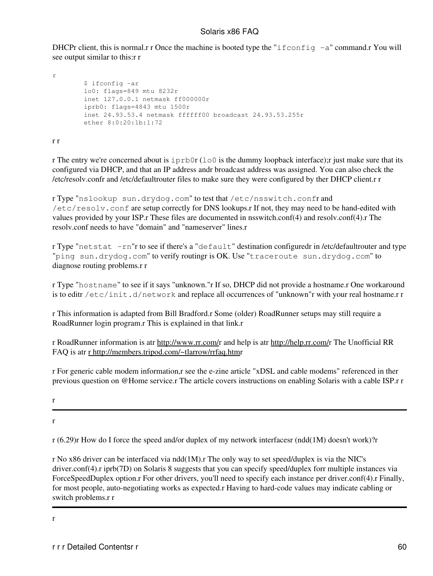DHCPr client, this is normal.r r Once the machine is booted type the "ifconfig  $-a$ " command.r You will see output similar to this:r r

```
r
         $ ifconfig -ar
         lo0: flags=849 mtu 8232r
         inet 127.0.0.1 netmask ff000000r
         iprb0: flags=4843 mtu 1500r
         inet 24.93.53.4 netmask ffffff00 broadcast 24.93.53.255r
         ether 8:0:20:1b:1:72
```
r r

r The entry we're concerned about is  $iprb0r (100)$  is the dummy loopback interface); just make sure that its configured via DHCP, and that an IP address andr broadcast address was assigned. You can also check the /etc/resolv.confr and /etc/defaultrouter files to make sure they were configured by ther DHCP client.r r

r Type "nslookup sun.drydog.com" to test that /etc/nsswitch.confr and /etc/resolv.conf are setup correctly for DNS lookups.r If not, they may need to be hand-edited with values provided by your ISP.r These files are documented in nsswitch.conf(4) and resolv.conf(4).r The resolv.conf needs to have "domain" and "nameserver" lines.r

r Type "netstat -rn"r to see if there's a "default" destination configuredr in /etc/defaultrouter and type "ping sun.drydog.com" to verify routingr is OK. Use "traceroute sun.drydog.com" to diagnose routing problems.r r

r Type "hostname" to see if it says "unknown."r If so, DHCP did not provide a hostname.r One workaround is to editr /etc/init.d/network and replace all occurrences of "unknown"r with your real hostname.r r

r This information is adapted from Bill Bradford.r Some (older) RoadRunner setups may still require a RoadRunner login program.r This is explained in that link.r

r RoadRunner information is atr [http://www.rr.com/r](http://www.rr.com/) and help is atr<http://help.rr.com/>r The Unofficial RR FAQ is atr [r http://members.tripod.com/~tlarrow/rrfaq.htm](http://members.tripod.com/~tlarrow/rrfaq.htm)r

r For generic cable modem information,r see the e-zine article "xDSL and cable modems" referenced in ther previous question on @Home service.r The article covers instructions on enabling Solaris with a cable ISP.r r

r

r

r (6.29)r How do I force the speed and/or duplex of my network interfacesr (ndd(1M) doesn't work)?r

r No x86 driver can be interfaced via ndd(1M).r The only way to set speed/duplex is via the NIC's driver.conf(4).r iprb(7D) on Solaris 8 suggests that you can specify speed/duplex forr multiple instances via ForceSpeedDuplex option.r For other drivers, you'll need to specify each instance per driver.conf(4).r Finally, for most people, auto-negotiating works as expected.r Having to hard-code values may indicate cabling or switch problems.r r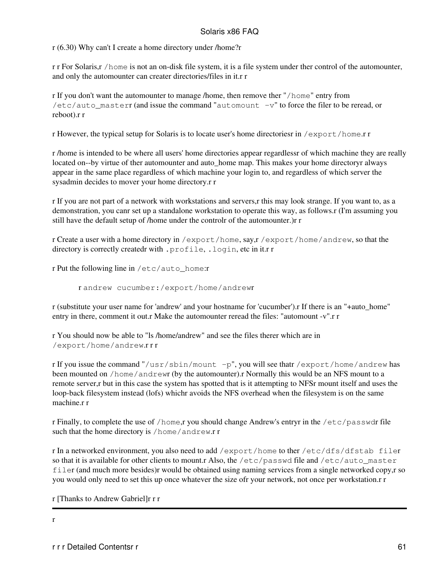r (6.30) Why can't I create a home directory under /home?r

r r For Solaris,r /home is not an on-disk file system, it is a file system under ther control of the automounter, and only the automounter can creater directories/files in it.r r

r If you don't want the automounter to manage /home, then remove ther "/home" entry from /etc/auto\_masterr (and issue the command "automount  $-v$ " to force the filer to be reread, or reboot).r r

r However, the typical setup for Solaris is to locate user's home directoriesr in /export/home.r r

r /home is intended to be where all users' home directories appear regardlessr of which machine they are really located on--by virtue of ther automounter and auto\_home map. This makes your home directoryr always appear in the same place regardless of which machine your login to, and regardless of which server the sysadmin decides to mover your home directory.r r

r If you are not part of a network with workstations and servers,r this may look strange. If you want to, as a demonstration, you canr set up a standalone workstation to operate this way, as follows.r (I'm assuming you still have the default setup of /home under the controlr of the automounter.)r r

r Create a user with a home directory in /export/home, say,r /export/home/andrew, so that the directory is correctly createdr with .profile, .login, etc in it.r r

r Put the following line in /etc/auto\_home:r

r andrew cucumber:/export/home/andrewr

r (substitute your user name for 'andrew' and your hostname for 'cucumber').r If there is an "+auto\_home" entry in there, comment it out.r Make the automounter reread the files: "automount -v".r r

r You should now be able to "ls /home/andrew" and see the files therer which are in /export/home/andrew.r r r

r If you issue the command "/usr/sbin/mount  $-p$ ", you will see thatr /export/home/andrew has been mounted on /home/andrewr (by the automounter).r Normally this would be an NFS mount to a remote server,r but in this case the system has spotted that is it attempting to NFSr mount itself and uses the loop-back filesystem instead (lofs) whichr avoids the NFS overhead when the filesystem is on the same machine.r r

r Finally, to complete the use of /home,r you should change Andrew's entryr in the /etc/passwdr file such that the home directory is /home/andrew.r r

r In a networked environment, you also need to add /export/home to ther /etc/dfs/dfstab filer so that it is available for other clients to mount.r Also, the /etc/passwd file and /etc/auto\_master filer (and much more besides)r would be obtained using naming services from a single networked copy,r so you would only need to set this up once whatever the size ofr your network, not once per workstation.r r

r [Thanks to Andrew Gabriel]r r r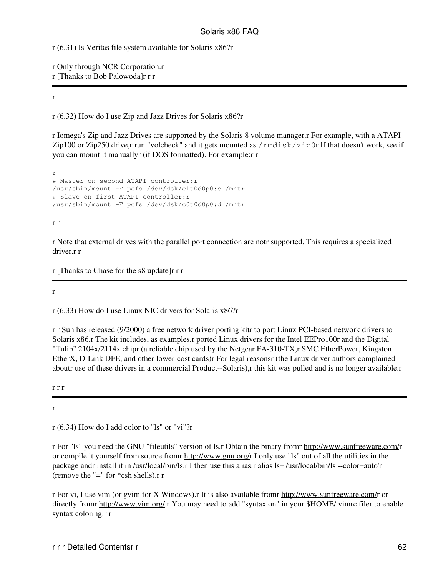r (6.31) Is Veritas file system available for Solaris x86?r

r Only through NCR Corporation.r r [Thanks to Bob Palowoda]r r r

#### r

r (6.32) How do I use Zip and Jazz Drives for Solaris x86?r

r Iomega's Zip and Jazz Drives are supported by the Solaris 8 volume manager.r For example, with a ATAPI Zip100 or Zip250 drive,r run "volcheck" and it gets mounted as  $/$ rmdisk $/$ zip0r If that doesn't work, see if you can mount it manuallyr (if DOS formatted). For example:r r

r # Master on second ATAPI controller:r /usr/sbin/mount -F pcfs /dev/dsk/c1t0d0p0:c /mntr # Slave on first ATAPI controller:r /usr/sbin/mount -F pcfs /dev/dsk/c0t0d0p0:d /mntr

#### r r

r Note that external drives with the parallel port connection are notr supported. This requires a specialized driver.r r

r [Thanks to Chase for the s8 update]r r r

r

r (6.33) How do I use Linux NIC drivers for Solaris x86?r

r r Sun has released (9/2000) a free network driver porting kitr to port Linux PCI-based network drivers to Solaris x86.r The kit includes, as examples,r ported Linux drivers for the Intel EEPro100r and the Digital "Tulip" 2104x/2114x chipr (a reliable chip used by the Netgear FA-310-TX,r SMC EtherPower, Kingston EtherX, D-Link DFE, and other lower-cost cards)r For legal reasonsr (the Linux driver authors complained aboutr use of these drivers in a commercial Product--Solaris),r this kit was pulled and is no longer available.r

r r r

r

r (6.34) How do I add color to "ls" or "vi"?r

r For "ls" you need the GNU "fileutils" version of ls.r Obtain the binary fromr [http://www.sunfreeware.com/r](http://www.sunfreeware.com/) or compile it yourself from source fromr [http://www.gnu.org/r](http://www.gnu.org/) I only use "ls" out of all the utilities in the package andr install it in /usr/local/bin/ls.r I then use this alias:r alias ls='/usr/local/bin/ls --color=auto'r (remove the "=" for \*csh shells).r r

r For vi, I use vim (or gvim for X Windows).r It is also available fromr <http://www.sunfreeware.com/>r or directly fromr [http://www.vim.org/.](http://www.vim.org/)r You may need to add "syntax on" in your \$HOME/.vimrc filer to enable syntax coloring.r r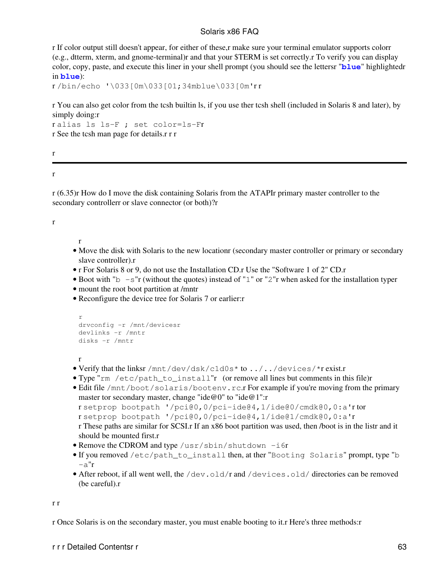r If color output still doesn't appear, for either of these,r make sure your terminal emulator supports colorr (e.g., dtterm, xterm, and gnome-terminal)r and that your \$TERM is set correctly.r To verify you can display color, copy, paste, and execute this liner in your shell prompt (you should see the lettersr "**blue**" highlightedr in **blue**):

r /bin/echo '\033[0m\033[01;34mblue\033[0m'r r

r You can also get color from the tcsh builtin ls, if you use ther tcsh shell (included in Solaris 8 and later), by simply doing:r

```
r alias ls ls-F ; set color=ls-Fr
r See the tcsh man page for details.r r r
```
r

r

r (6.35)r How do I move the disk containing Solaris from the ATAPIr primary master controller to the secondary controllerr or slave connector (or both)?r

r

r

- Move the disk with Solaris to the new locationr (secondary master controller or primary or secondary slave controller).r
- r For Solaris 8 or 9, do not use the Installation CD.r Use the "Software 1 of 2" CD.r
- Boot with "b  $-$ s"r (without the quotes) instead of "1" or "2"r when asked for the installation typer
- mount the root boot partition at /mntr
- Reconfigure the device tree for Solaris 7 or earlier:r

```
r
drvconfig -r /mnt/devicesr
devlinks -r /mntr
disks -r /mntr
```
r

- Verify that the linksr /mnt/dev/dsk/c1d0s\* to ../../devices/\*r exist.r
- Type "rm /etc/path\_to\_install"r (or remove all lines but comments in this file)r
- Edit file /mnt/boot/solaris/bootenv.rc.r For example if you're moving from the primary master tor secondary master, change "ide@0" to "ide@1":r

```
r setprop bootpath '/pci@0,0/pci-ide@4,1/ide@0/cmdk@0,0:a'r tor
```

```
r setprop bootpath '/pci@0,0/pci-ide@4,1/ide@1/cmdk@0,0:a'r
```
r These paths are similar for SCSI.r If an x86 boot partition was used, then /boot is in the listr and it should be mounted first.r

- Remove the CDROM and type /usr/sbin/shutdown -i6r
- . If you removed /etc/path\_to\_install then, at ther "Booting Solaris" prompt, type "b  $-a"r$
- After reboot, if all went well, the /dev.old/r and /devices.old/ directories can be removed (be careful).r

r r

r Once Solaris is on the secondary master, you must enable booting to it.r Here's three methods:r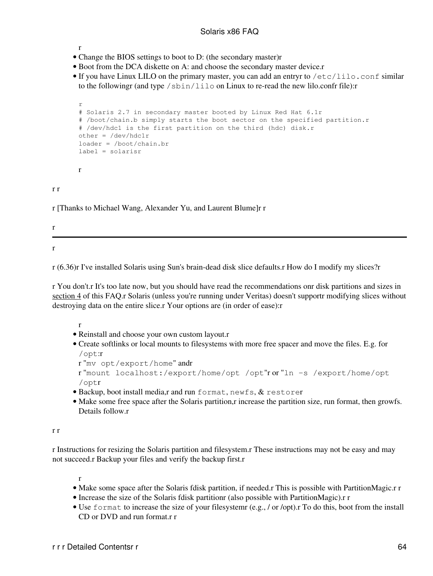- r
- Change the BIOS settings to boot to D: (the secondary master)r
- Boot from the DCA diskette on A: and choose the secondary master device.r
- If you have Linux LILO on the primary master, you can add an entryr to /etc/lilo.conf similar to the followingr (and type  $/\sin/\sin \theta$  on Linux to re-read the new lilo.confr file):

```
r
# Solaris 2.7 in secondary master booted by Linux Red Hat 6.1r
# /boot/chain.b simply starts the boot sector on the specified partition.r
# /dev/hdc1 is the first partition on the third (hdc) disk.r
other = /dev/hdc1r
loader = /boot/chain.br
label = solarisr
r
```
r r

r [Thanks to Michael Wang, Alexander Yu, and Laurent Blume]r r

r

r

r (6.36)r I've installed Solaris using Sun's brain-dead disk slice defaults.r How do I modify my slices?r

r You don't.r It's too late now, but you should have read the recommendations onr disk partitions and sizes in [section 4](#page-16-0) of this FAQ.r Solaris (unless you're running under Veritas) doesn't supportr modifying slices without destroying data on the entire slice.r Your options are (in order of ease):r

r

- Reinstall and choose your own custom layout.r
- Create softlinks or local mounts to filesystems with more free spacer and move the files. E.g. for /opt:r

```
r "mv opt/export/home" andr
r "mount localhost:/export/home/opt /opt"r or "ln -s /export/home/opt
/optr
```
- Backup, boot install media,r and run format, newfs, & restorer
- Make some free space after the Solaris partition, rincrease the partition size, run format, then growfs. Details follow.r

r r

r Instructions for resizing the Solaris partition and filesystem.r These instructions may not be easy and may not succeed.r Backup your files and verify the backup first.r

- Make some space after the Solaris fdisk partition, if needed.r This is possible with PartitionMagic.r r
- Increase the size of the Solaris fdisk partitionr (also possible with PartitionMagic).r r
- Use format to increase the size of your filesystemr (e.g., / or /opt).r To do this, boot from the install CD or DVD and run format.r r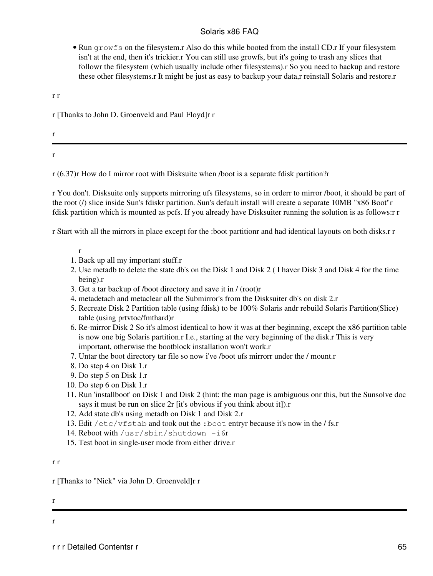• Run growfs on the filesystem.r Also do this while booted from the install CD.r If your filesystem isn't at the end, then it's trickier.r You can still use growfs, but it's going to trash any slices that followr the filesystem (which usually include other filesystems).r So you need to backup and restore these other filesystems.r It might be just as easy to backup your data,r reinstall Solaris and restore.r

r r

- r [Thanks to John D. Groenveld and Paul Floyd]r r
- r

r

r (6.37)r How do I mirror root with Disksuite when /boot is a separate fdisk partition?r

r You don't. Disksuite only supports mirroring ufs filesystems, so in orderr to mirror /boot, it should be part of the root (/) slice inside Sun's fdiskr partition. Sun's default install will create a separate 10MB "x86 Boot"r fdisk partition which is mounted as pcfs. If you already have Disksuiter running the solution is as follows:r r

r Start with all the mirrors in place except for the :boot partitionr and had identical layouts on both disks.r r

r

- 1. Back up all my important stuff.r
- Use metadb to delete the state db's on the Disk 1 and Disk 2 ( I haver Disk 3 and Disk 4 for the time 2. being).r
- 3. Get a tar backup of /boot directory and save it in / (root)r
- 4. metadetach and metaclear all the Submirror's from the Disksuiter db's on disk 2.r
- 5. Recreate Disk 2 Partition table (using fdisk) to be 100% Solaris andr rebuild Solaris Partition(Slice) table (using prtvtoc/fmthard)r
- 6. Re-mirror Disk 2 So it's almost identical to how it was at ther beginning, except the x86 partition table is now one big Solaris partition.r I.e., starting at the very beginning of the disk.r This is very important, otherwise the bootblock installation won't work.r
- 7. Untar the boot directory tar file so now i've /boot ufs mirrorr under the / mount.r
- 8. Do step 4 on Disk 1.r
- 9. Do step 5 on Disk 1.r
- 10. Do step 6 on Disk 1.r
- 11. Run 'installboot' on Disk 1 and Disk 2 (hint: the man page is ambiguous onr this, but the Sunsolve doc says it must be run on slice 2r [it's obvious if you think about it]).r
- 12. Add state db's using metadb on Disk 1 and Disk 2.r
- 13. Edit /etc/vfstab and took out the :boot entryr because it's now in the / fs.r
- 14. Reboot with /usr/sbin/shutdown -i6r
- 15. Test boot in single-user mode from either drive.r

#### r r

r [Thanks to "Nick" via John D. Groenveld]r r

r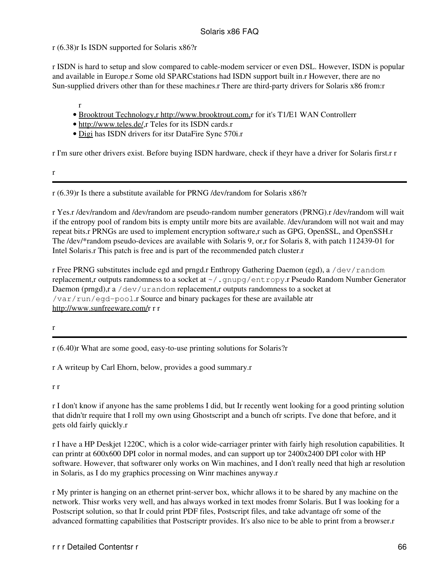r (6.38)r Is ISDN supported for Solaris x86?r

r ISDN is hard to setup and slow compared to cable-modem servicer or even DSL. However, ISDN is popular and available in Europe.r Some old SPARCstations had ISDN support built in.r However, there are no Sun-supplied drivers other than for these machines.r There are third-party drivers for Solaris x86 from:r

- r • [Brooktrout Technology,r http://www.brooktrout.com,](http://www.brooktrout.com/)r for it's T1/E1 WAN Controllerr
- <http://www.teles.de/>,r Teles for its ISDN cards.r
- [Digi](http://www.digi.com/) has ISDN drivers for itsr DataFire Sync 570i.r

r I'm sure other drivers exist. Before buying ISDN hardware, check if theyr have a driver for Solaris first.r r

r

r (6.39)r Is there a substitute available for PRNG /dev/random for Solaris x86?r

r Yes.r /dev/random and /dev/random are pseudo-random number generators (PRNG).r /dev/random will wait if the entropy pool of random bits is empty untilr more bits are available. /dev/urandom will not wait and may repeat bits.r PRNGs are used to implement encryption software,r such as GPG, OpenSSL, and OpenSSH.r The /dev/\*random pseudo-devices are available with Solaris 9, or,r for Solaris 8, with patch 112439-01 for Intel Solaris.r This patch is free and is part of the recommended patch cluster.r

r Free PRNG substitutes include egd and prngd.r Enthropy Gathering Daemon (egd), a /dev/random replacement,r outputs randomness to a socket at  $\sim$  / . gnupg/entropy.r Pseudo Random Number Generator Daemon (prngd),r a  $/$ dev $/$ urandom replacement,r outputs randomness to a socket at /var/run/egd-pool.r Source and binary packages for these are available atr <http://www.sunfreeware.com/>r r r

r

r (6.40)r What are some good, easy-to-use printing solutions for Solaris?r

r A writeup by Carl Ehorn, below, provides a good summary.r

r r

r I don't know if anyone has the same problems I did, but Ir recently went looking for a good printing solution that didn'tr require that I roll my own using Ghostscript and a bunch ofr scripts. I've done that before, and it gets old fairly quickly.r

r I have a HP Deskjet 1220C, which is a color wide-carriager printer with fairly high resolution capabilities. It can printr at 600x600 DPI color in normal modes, and can support up tor 2400x2400 DPI color with HP software. However, that softwarer only works on Win machines, and I don't really need that high ar resolution in Solaris, as I do my graphics processing on Winr machines anyway.r

r My printer is hanging on an ethernet print-server box, whichr allows it to be shared by any machine on the network. Thisr works very well, and has always worked in text modes fromr Solaris. But I was looking for a Postscript solution, so that Ir could print PDF files, Postscript files, and take advantage ofr some of the advanced formatting capabilities that Postscriptr provides. It's also nice to be able to print from a browser.r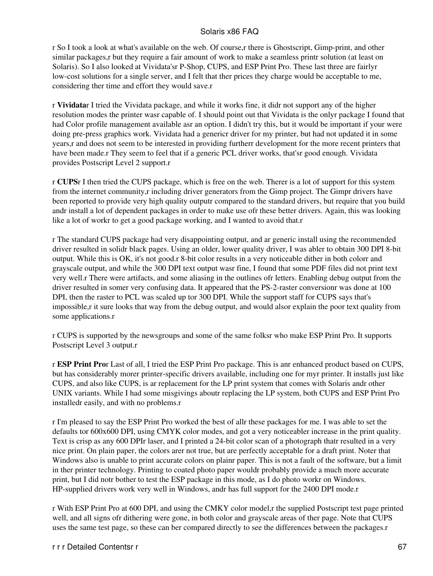r So I took a look at what's available on the web. Of course,r there is Ghostscript, Gimp-print, and other similar packages,r but they require a fair amount of work to make a seamless printr solution (at least on Solaris). So I also looked at Vividata'sr P-Shop, CUPS, and ESP Print Pro. These last three are fairlyr low-cost solutions for a single server, and I felt that ther prices they charge would be acceptable to me, considering ther time and effort they would save.r

r **Vividata**r I tried the Vividata package, and while it works fine, it didr not support any of the higher resolution modes the printer wasr capable of. I should point out that Vividata is the onlyr package I found that had Color profile management available asr an option. I didn't try this, but it would be important if your were doing pre-press graphics work. Vividata had a genericr driver for my printer, but had not updated it in some years,r and does not seem to be interested in providing furtherr development for the more recent printers that have been made.r They seem to feel that if a generic PCL driver works, that'sr good enough. Vividata provides Postscript Level 2 support.r

r **CUPS**r I then tried the CUPS package, which is free on the web. Therer is a lot of support for this system from the internet community,r including driver generators from the Gimp project. The Gimpr drivers have been reported to provide very high quality outputr compared to the standard drivers, but require that you build andr install a lot of dependent packages in order to make use ofr these better drivers. Again, this was looking like a lot of workr to get a good package working, and I wanted to avoid that.r

r The standard CUPS package had very disappointing output, and ar generic install using the recommended driver resulted in solidr black pages. Using an older, lower quality driver, I was abler to obtain 300 DPI 8-bit output. While this is OK, it's not good.r 8-bit color results in a very noticeable dither in both colorr and grayscale output, and while the 300 DPI text output wasr fine, I found that some PDF files did not print text very well.r There were artifacts, and some aliasing in the outlines ofr letters. Enabling debug output from the driver resulted in somer very confusing data. It appeared that the PS-2-raster conversionr was done at 100 DPI, then the raster to PCL was scaled up tor 300 DPI. While the support staff for CUPS says that's impossible,r it sure looks that way from the debug output, and would alsor explain the poor text quality from some applications.r

r CUPS is supported by the newsgroups and some of the same folksr who make ESP Print Pro. It supports Postscript Level 3 output.r

r **ESP Print Pro**r Last of all, I tried the ESP Print Pro package. This is anr enhanced product based on CUPS, but has considerably morer printer-specific drivers available, including one for myr printer. It installs just like CUPS, and also like CUPS, is ar replacement for the LP print system that comes with Solaris andr other UNIX variants. While I had some misgivings aboutr replacing the LP system, both CUPS and ESP Print Pro installedr easily, and with no problems.r

r I'm pleased to say the ESP Print Pro worked the best of allr these packages for me. I was able to set the defaults tor 600x600 DPI, using CMYK color modes, and got a very noticeabler increase in the print quality. Text is crisp as any 600 DPIr laser, and I printed a 24-bit color scan of a photograph thatr resulted in a very nice print. On plain paper, the colors arer not true, but are perfectly acceptable for a draft print. Noter that Windows also is unable to print accurate colors on plainr paper. This is not a fault of the software, but a limit in ther printer technology. Printing to coated photo paper wouldr probably provide a much more accurate print, but I did notr bother to test the ESP package in this mode, as I do photo workr on Windows. HP-supplied drivers work very well in Windows, andr has full support for the 2400 DPI mode.r

r With ESP Print Pro at 600 DPI, and using the CMKY color model,r the supplied Postscript test page printed well, and all signs ofr dithering were gone, in both color and grayscale areas of ther page. Note that CUPS uses the same test page, so these can ber compared directly to see the differences between the packages.r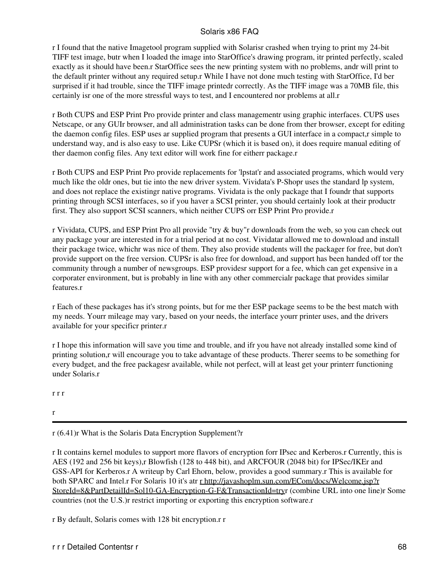r I found that the native Imagetool program supplied with Solarisr crashed when trying to print my 24-bit TIFF test image, butr when I loaded the image into StarOffice's drawing program, itr printed perfectly, scaled exactly as it should have been.r StarOffice sees the new printing system with no problems, andr will print to the default printer without any required setup.r While I have not done much testing with StarOffice, I'd ber surprised if it had trouble, since the TIFF image printedr correctly. As the TIFF image was a 70MB file, this certainly isr one of the more stressful ways to test, and I encountered nor problems at all.r

r Both CUPS and ESP Print Pro provide printer and class managementr using graphic interfaces. CUPS uses Netscape, or any GUIr browser, and all administration tasks can be done from ther browser, except for editing the daemon config files. ESP uses ar supplied program that presents a GUI interface in a compact,r simple to understand way, and is also easy to use. Like CUPSr (which it is based on), it does require manual editing of ther daemon config files. Any text editor will work fine for eitherr package.r

r Both CUPS and ESP Print Pro provide replacements for 'lpstat'r and associated programs, which would very much like the oldr ones, but tie into the new driver system. Vividata's P-Shopr uses the standard lp system, and does not replace the existingr native programs. Vividata is the only package that I foundr that supports printing through SCSI interfaces, so if you haver a SCSI printer, you should certainly look at their productr first. They also support SCSI scanners, which neither CUPS orr ESP Print Pro provide.r

r Vividata, CUPS, and ESP Print Pro all provide "try & buy"r downloads from the web, so you can check out any package your are interested in for a trial period at no cost. Vividatar allowed me to download and install their package twice, whichr was nice of them. They also provide students will the packager for free, but don't provide support on the free version. CUPSr is also free for download, and support has been handed off tor the community through a number of newsgroups. ESP providesr support for a fee, which can get expensive in a corporater environment, but is probably in line with any other commercialr package that provides similar features.r

r Each of these packages has it's strong points, but for me ther ESP package seems to be the best match with my needs. Yourr mileage may vary, based on your needs, the interface yourr printer uses, and the drivers available for your specificr printer.r

r I hope this information will save you time and trouble, and ifr you have not already installed some kind of printing solution,r will encourage you to take advantage of these products. Therer seems to be something for every budget, and the free packagesr available, while not perfect, will at least get your printerr functioning under Solaris.r

r r r

r

r (6.41)r What is the Solaris Data Encryption Supplement?r

r It contains kernel modules to support more flavors of encryption forr IPsec and Kerberos.r Currently, this is AES (192 and 256 bit keys),r Blowfish (128 to 448 bit), and ARCFOUR (2048 bit) for IPSec/IKEr and GSS-API for Kerberos.r A writeup by Carl Ehorn, below, provides a good summary.r This is available for both SPARC and Intel.r For Solaris 10 it's atr [r http://javashoplm.sun.com/ECom/docs/Welcome.jsp?r](http://javashoplm.sun.com/ECom/docs/Welcome.jsp?StoreId=8&PartDetailId=Sol10-GA-Encryption-G-F&TransactionId=try) [StoreId=8&PartDetailId=Sol10-GA-Encryption-G-F&TransactionId=tryr](http://javashoplm.sun.com/ECom/docs/Welcome.jsp?StoreId=8&PartDetailId=Sol10-GA-Encryption-G-F&TransactionId=try) (combine URL into one line)r Some countries (not the U.S.)r restrict importing or exporting this encryption software.r

r By default, Solaris comes with 128 bit encryption.r r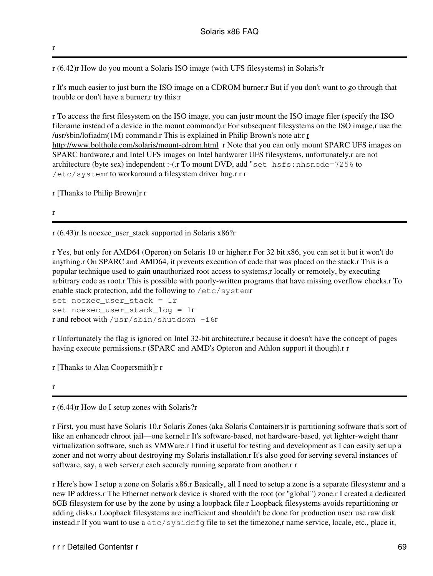r (6.42)r How do you mount a Solaris ISO image (with UFS filesystems) in Solaris?r

r It's much easier to just burn the ISO image on a CDROM burner.r But if you don't want to go through that trouble or don't have a burner,r try this:r

r To access the first filesystem on the ISO image, you can justr mount the ISO image filer (specify the ISO filename instead of a device in the mount command).r For subsequent filesystems on the ISO image,r use the /usr/sbin/lofiadm(1M) command.r This is explained in Philip Brown's note at:r  $r$ <http://www.bolthole.com/solaris/mount-cdrom.html> r Note that you can only mount SPARC UFS images on SPARC hardware,r and Intel UFS images on Intel hardwarer UFS filesystems, unfortunately,r are not architecture (byte sex) independent :-(.r To mount DVD, add "set hsfs:nhsnode=7256 to /etc/systemr to workaround a filesystem driver bug.r r r

r [Thanks to Philip Brown]r r

r

r

r (6.43)r Is noexec\_user\_stack supported in Solaris x86?r

r Yes, but only for AMD64 (Operon) on Solaris 10 or higher.r For 32 bit x86, you can set it but it won't do anything.r On SPARC and AMD64, it prevents execution of code that was placed on the stack.r This is a popular technique used to gain unauthorized root access to systems,r locally or remotely, by executing arbitrary code as root.r This is possible with poorly-written programs that have missing overflow checks.r To enable stack protection, add the following to /etc/systemr

set noexec\_user\_stack = 1r set noexec\_user\_stack\_log = 1r r and reboot with /usr/sbin/shutdown -i6r

r Unfortunately the flag is ignored on Intel 32-bit architecture,r because it doesn't have the concept of pages having execute permissions.r (SPARC and AMD's Opteron and Athlon support it though).r r

r [Thanks to Alan Coopersmith]r r

r (6.44)r How do I setup zones with Solaris?r

r First, you must have Solaris 10.r Solaris Zones (aka Solaris Containers)r is partitioning software that's sort of like an enhancedr chroot jail—one kernel.r It's software-based, not hardware-based, yet lighter-weight thanr virtualization software, such as VMWare.r I find it useful for testing and development as I can easily set up a zoner and not worry about destroying my Solaris installation.r It's also good for serving several instances of software, say, a web server, r each securely running separate from another.r r

r Here's how I setup a zone on Solaris x86.r Basically, all I need to setup a zone is a separate filesystemr and a new IP address.r The Ethernet network device is shared with the root (or "global") zone.r I created a dedicated 6GB filesystem for use by the zone by using a loopback file.r Loopback filesystems avoids repartitioning or adding disks.r Loopback filesystems are inefficient and shouldn't be done for production use:r use raw disk instead.r If you want to use a  $etc./s$ ysidc $f$ g file to set the timezone,r name service, locale, etc., place it,

r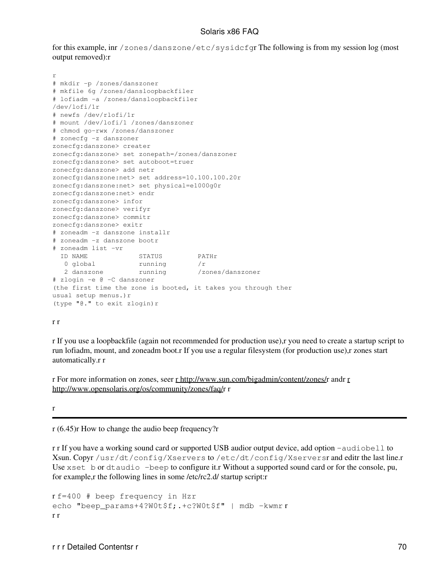for this example, inr /zones/danszone/etc/sysidcfgr The following is from my session log (most output removed):r

```
r
# mkdir -p /zones/danszoner
# mkfile 6g /zones/dansloopbackfiler
# lofiadm -a /zones/dansloopbackfiler
/dev/lofi/1r
# newfs /dev/rlofi/1r
# mount /dev/lofi/1 /zones/danszoner
# chmod go-rwx /zones/danszoner
# zonecfg -z danszoner
zonecfg:danszone> creater
zonecfg:danszone> set zonepath=/zones/danszoner
zonecfg:danszone> set autoboot=truer
zonecfg:danszone> add netr
zonecfg:danszone:net> set address=10.100.100.20r
zonecfg:danszone:net> set physical=e1000g0r
zonecfg:danszone:net> endr
zonecfg:danszone> infor
zonecfg:danszone> verifyr
zonecfg:danszone> commitr
zonecfg:danszone> exitr
# zoneadm -z danszone installr
# zoneadm -z danszone bootr
# zoneadm list -vr
  ID NAME STATUS PATHr
0 global running /r
2 danszone running /zones/danszoner
# zlogin -e @ -C danszoner
(the first time the zone is booted, it takes you through ther
usual setup menus.)r
(type "@." to exit zlogin)r
```
#### r r

r If you use a loopbackfile (again not recommended for production use),r you need to create a startup script to run lofiadm, mount, and zoneadm boot.r If you use a regular filesystem (for production use),r zones start automatically.r r

r For more information on zones, seer [r http://www.sun.com/bigadmin/content/zones/r](http://www.sun.com/bigadmin/content/zones/) andr [r](http://www.opensolaris.org/os/community/zones/faq/) [http://www.opensolaris.org/os/community/zones/faq/r](http://www.opensolaris.org/os/community/zones/faq/) r

r

r (6.45)r How to change the audio beep frequency?r

r r If you have a working sound card or supported USB audior output device, add option -audiobell to Xsun. Copyr /usr/dt/config/Xservers to /etc/dt/config/Xserversr and editr the last line.r Use xset b or dtaudio -beep to configure it.r Without a supported sound card or for the console, pu, for example,r the following lines in some /etc/rc2.d/ startup script:r

```
r f=400 # beep frequency in Hzr
echo "beep params+4?W0t$f;.+c?W0t$f" | mdb -kwmr r
r r
```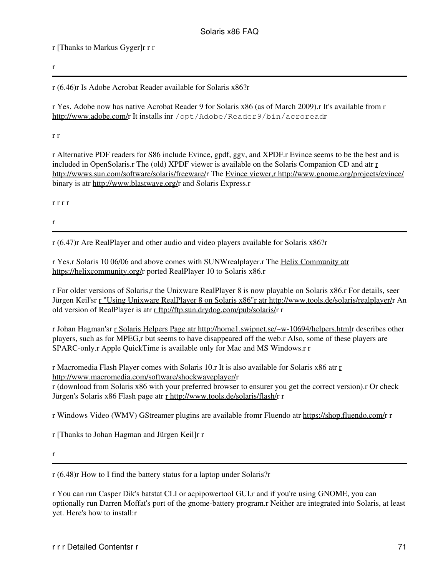r [Thanks to Markus Gyger]r r r

r

r (6.46)r Is Adobe Acrobat Reader available for Solaris x86?r

r Yes. Adobe now has native Acrobat Reader 9 for Solaris x86 (as of March 2009).r It's available from r [http://www.adobe.com/r](http://www.adobe.com/) It installs inr /opt/Adobe/Reader9/bin/acroreadr

r r

r Alternative PDF readers for S86 include Evince, gpdf, ggv, and XPDF.r Evince seems to be the best and is included in OpenSolaris.r The (old) XPDF viewer is available on the Solaris Companion CD and atr [r](http://wwws.sun.com/software/solaris/freeware/) <http://wwws.sun.com/software/solaris/freeware/>r The [Evince viewer,r http://www.gnome.org/projects/evince/](http://www.gnome.org/projects/evince/) binary is atr [http://www.blastwave.org/r](http://www.blastwave.org/) and Solaris Express.r

r r r r

r

r (6.47)r Are RealPlayer and other audio and video players available for Solaris x86?r

r Yes.r Solaris 10 06/06 and above comes with SUNWrealplayer.r The [Helix Community atr](https://helixcommunity.org/) <https://helixcommunity.org/>r ported RealPlayer 10 to Solaris x86.r

r For older versions of Solaris,r the Unixware RealPlayer 8 is now playable on Solaris x86.r For details, seer Jürgen Keil'sr [r "Using Unixware RealPlayer 8 on Solaris x86"r atr http://www.tools.de/solaris/realplayer/](http://www.tools.de/solaris/realplayer/)r An old version of RealPlayer is atr [r ftp://ftp.sun.drydog.com/pub/solaris/](ftp://ftp.sun.drydog.com/pub/solaris/)r r

r Johan Hagman'sr [r Solaris Helpers Page atr http://home1.swipnet.se/~w-10694/helpers.htmlr](http://home1.swipnet.se/~w-10694/helpers.html) describes other players, such as for MPEG,r but seems to have disappeared off the web.r Also, some of these players are SPARC-only.r Apple QuickTime is available only for Mac and MS Windows.r r

r Macromedia Flash Player comes with Solaris 10.r It is also available for Solaris x86 atr [r](http://www.macromedia.com/software/shockwaveplayer/) <http://www.macromedia.com/software/shockwaveplayer/>r r (download from Solaris x86 with your preferred browser to ensurer you get the correct version).r Or check Jürgen's Solaris x86 Flash page atr [r http://www.tools.de/solaris/flash/](http://www.tools.de/solaris/flash/)r r

r Windows Video (WMV) GStreamer plugins are available fromr Fluendo atr [https://shop.fluendo.com/r](https://shop.fluendo.com/) r

r [Thanks to Johan Hagman and Jürgen Keil]r r

r

r (6.48)r How to I find the battery status for a laptop under Solaris?r

r You can run Casper Dik's batstat CLI or acpipowertool GUI,r and if you're using GNOME, you can optionally run Darren Moffat's port of the gnome-battery program.r Neither are integrated into Solaris, at least yet. Here's how to install:r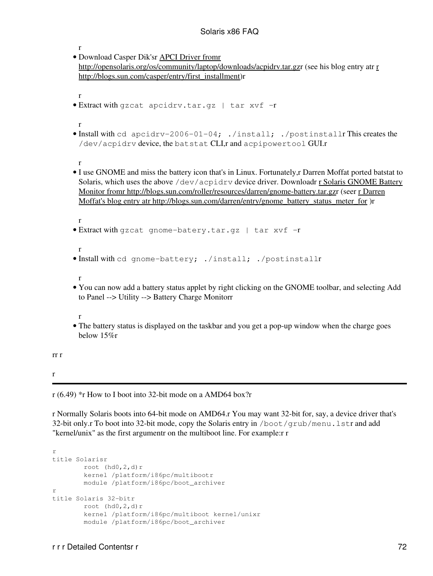```
r
· Download Casper Dik'sr APCI Driver fromr
 http://opensolaris.org/os/community/laptop/downloads/acpidrv.tar.gzr (see his blog entry atr r
 http://blogs.sun.com/casper/entry/first_installment)r
 r
• Extract with gzcat apcidrv.tar.gz | tar xvf -r
 r
• Install with cd apcidrv-2006-01-04; ./install; ./postinstallr This creates the
 /dev/acpidrv device, the batstat CLI,r and acpipowertool GUI.r
 r
• I use GNOME and miss the battery icon that's in Linux. Fortunately, r Darren Moffat ported batstat to
  r Solaris GNOME Battery
 Monitor fromr http://blogs.sun.com/roller/resources/darren/gnome-battery.tar.gzr (seer r Darren
 Moffat's blog entry atr http://blogs.sun.com/darren/entry/gnome_battery_status_meter_for )r
 r
• Extract with gzcat gnome-batery.tar.gz | tar xvf -r
 r
• Install with cd gnome-battery; ./install; ./postinstallr
 r
You can now add a battery status applet by right clicking on the GNOME toolbar, and selecting Add
• 
 to Panel --> Utility --> Battery Charge Monitorr
 r
• The battery status is displayed on the taskbar and you get a pop-up window when the charge goes
 below 15%r
```
r

rr r

r (6.49) \*r How to I boot into 32-bit mode on a AMD64 box?r

r Normally Solaris boots into 64-bit mode on AMD64.r You may want 32-bit for, say, a device driver that's 32-bit only.r To boot into 32-bit mode, copy the Solaris entry in /boot/grub/menu.lstr and add "kernel/unix" as the first argumentr on the multiboot line. For example:r r

```
r
title Solarisr
       root (hd0, 2, d)r
         kernel /platform/i86pc/multibootr
         module /platform/i86pc/boot_archiver
r
title Solaris 32-bitr
        root (hd0,2, d)r
         kernel /platform/i86pc/multiboot kernel/unixr
         module /platform/i86pc/boot_archiver
```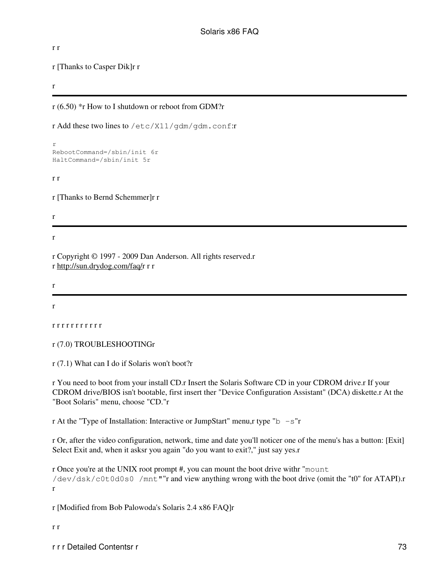r r

r [Thanks to Casper Dik]r r

r

r (6.50) \*r How to I shutdown or reboot from GDM?r

r Add these two lines to /etc/X11/gdm/gdm.conf:r

```
r
RebootCommand=/sbin/init 6r
HaltCommand=/sbin/init 5r
```
r r

r [Thanks to Bernd Schemmer]r r

r

r

r Copyright © 1997 - 2009 Dan Anderson. All rights reserved.r r [http://sun.drydog.com/faq/r](http://sun.drydog.com/faq/) r r

r

r

```
r r r r r r r r r r r
```

```
r (7.0) TROUBLESHOOTINGr
```
r (7.1) What can I do if Solaris won't boot?r

r You need to boot from your install CD.r Insert the Solaris Software CD in your CDROM drive.r If your CDROM drive/BIOS isn't bootable, first insert ther "Device Configuration Assistant" (DCA) diskette.r At the "Boot Solaris" menu, choose "CD."r

r At the "Type of Installation: Interactive or JumpStart" menu,r type " $b - s$ "r

r Or, after the video configuration, network, time and date you'll noticer one of the menu's has a button: [Exit] Select Exit and, when it asksr you again "do you want to exit?," just say yes.r

r Once you're at the UNIX root prompt #, you can mount the boot drive withr "mount /dev/dsk/c0t0d0s0 /mnt""r and view anything wrong with the boot drive (omit the "t0" for ATAPI).r r

r [Modified from Bob Palowoda's Solaris 2.4 x86 FAQ]r

r r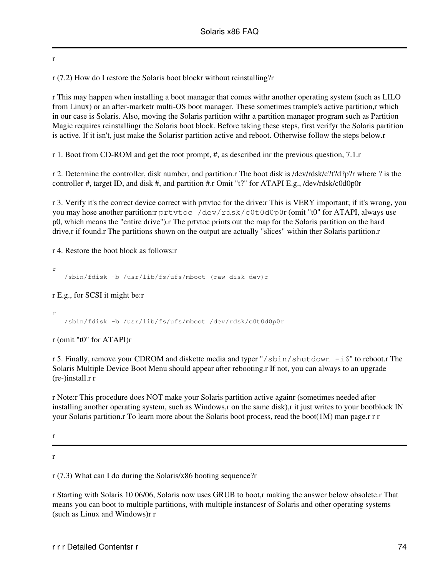r

r (7.2) How do I restore the Solaris boot blockr without reinstalling?r

r This may happen when installing a boot manager that comes withr another operating system (such as LILO from Linux) or an after-marketr multi-OS boot manager. These sometimes trample's active partition,r which in our case is Solaris. Also, moving the Solaris partition withr a partition manager program such as Partition Magic requires reinstallingr the Solaris boot block. Before taking these steps, first verifyr the Solaris partition is active. If it isn't, just make the Solarisr partition active and reboot. Otherwise follow the steps below.r

r 1. Boot from CD-ROM and get the root prompt, #, as described inr the previous question, 7.1.r

r 2. Determine the controller, disk number, and partition.r The boot disk is /dev/rdsk/c?t?d?p?r where ? is the controller #, target ID, and disk #, and partition #.r Omit "t?" for ATAPI E.g., /dev/rdsk/c0d0p0r

r 3. Verify it's the correct device correct with prtvtoc for the drive:r This is VERY important; if it's wrong, you you may hose another partition:r prtvtoc /dev/rdsk/c0t0d0p0r (omit "t0" for ATAPI, always use p0, which means the "entire drive").r The prtvtoc prints out the map for the Solaris partition on the hard drive,r if found.r The partitions shown on the output are actually "slices" within ther Solaris partition.r

r 4. Restore the boot block as follows:r

```
r
    /sbin/fdisk -b /usr/lib/fs/ufs/mboot (raw disk dev)r
```
r E.g., for SCSI it might be:r

r /sbin/fdisk -b /usr/lib/fs/ufs/mboot /dev/rdsk/c0t0d0p0r

r (omit "t0" for ATAPI)r

r 5. Finally, remove your CDROM and diskette media and typer "/sbin/shutdown -i6" to reboot.r The Solaris Multiple Device Boot Menu should appear after rebooting.r If not, you can always to an upgrade (re-)install.r r

r Note:r This procedure does NOT make your Solaris partition active againr (sometimes needed after installing another operating system, such as Windows,r on the same disk),r it just writes to your bootblock IN your Solaris partition.r To learn more about the Solaris boot process, read the boot(1M) man page.r r r

r

r

r (7.3) What can I do during the Solaris/x86 booting sequence?r

r Starting with Solaris 10 06/06, Solaris now uses GRUB to boot,r making the answer below obsolete.r That means you can boot to multiple partitions, with multiple instancesr of Solaris and other operating systems (such as Linux and Windows)r r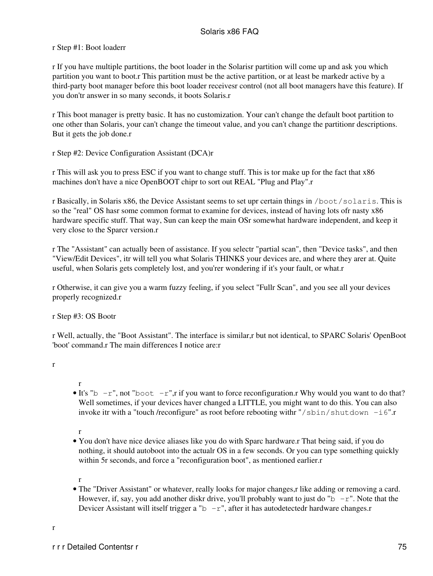### r Step #1: Boot loaderr

r If you have multiple partitions, the boot loader in the Solarisr partition will come up and ask you which partition you want to boot.r This partition must be the active partition, or at least be markedr active by a third-party boot manager before this boot loader receivesr control (not all boot managers have this feature). If you don'tr answer in so many seconds, it boots Solaris.r

r This boot manager is pretty basic. It has no customization. Your can't change the default boot partition to one other than Solaris, your can't change the timeout value, and you can't change the partitionr descriptions. But it gets the job done.r

r Step #2: Device Configuration Assistant (DCA)r

r This will ask you to press ESC if you want to change stuff. This is tor make up for the fact that x86 machines don't have a nice OpenBOOT chipr to sort out REAL "Plug and Play".r

r Basically, in Solaris x86, the Device Assistant seems to set upr certain things in /boot/solaris. This is so the "real" OS hasr some common format to examine for devices, instead of having lots ofr nasty x86 hardware specific stuff. That way, Sun can keep the main OSr somewhat hardware independent, and keep it very close to the Sparcr version.r

r The "Assistant" can actually been of assistance. If you selectr "partial scan", then "Device tasks", and then "View/Edit Devices", itr will tell you what Solaris THINKS your devices are, and where they arer at. Quite useful, when Solaris gets completely lost, and you'rer wondering if it's your fault, or what.r

r Otherwise, it can give you a warm fuzzy feeling, if you select "Fullr Scan", and you see all your devices properly recognized.r

r Step #3: OS Bootr

r Well, actually, the "Boot Assistant". The interface is similar,r but not identical, to SPARC Solaris' OpenBoot 'boot' command.r The main differences I notice are:r

- r • It's "b  $-r$ ", not "boot  $-r$ ", r if you want to force reconfiguration.r Why would you want to do that? Well sometimes, if your devices haver changed a LITTLE, you might want to do this. You can also invoke itr with a "touch /reconfigure" as root before rebooting with  $\frac{m}{s}$  in/shutdown -i6".r
- r
- You don't have nice device aliases like you do with Sparc hardware.r That being said, if you do nothing, it should autoboot into the actualr OS in a few seconds. Or you can type something quickly within 5r seconds, and force a "reconfiguration boot", as mentioned earlier.r
- r
- The "Driver Assistant" or whatever, really looks for major changes, r like adding or removing a card. However, if, say, you add another diskr drive, you'll probably want to just do "b  $-r$ ". Note that the Devicer Assistant will itself trigger a "b  $-r$ ", after it has autodetectedr hardware changes.r

r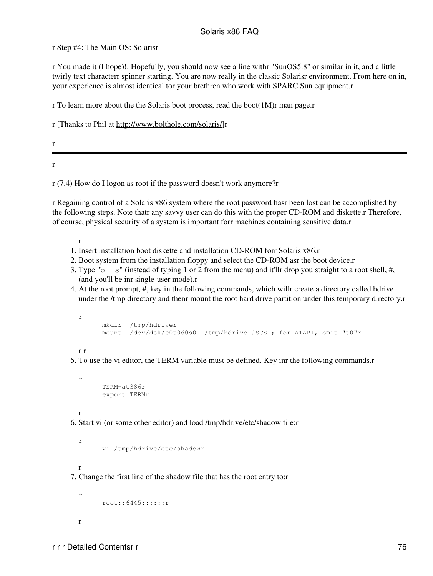r Step #4: The Main OS: Solarisr

r You made it (I hope)!. Hopefully, you should now see a line withr "SunOS5.8" or similar in it, and a little twirly text characterr spinner starting. You are now really in the classic Solarisr environment. From here on in, your experience is almost identical tor your brethren who work with SPARC Sun equipment.r

r To learn more about the the Solaris boot process, read the boot(1M)r man page.r

r [Thanks to Phil at <http://www.bolthole.com/solaris/>]r

r

r

r (7.4) How do I logon as root if the password doesn't work anymore?r

r Regaining control of a Solaris x86 system where the root password hasr been lost can be accomplished by the following steps. Note thatr any savvy user can do this with the proper CD-ROM and diskette.r Therefore, of course, physical security of a system is important forr machines containing sensitive data.r

r

- 1. Insert installation boot diskette and installation CD-ROM forr Solaris x86.r
- 2. Boot system from the installation floppy and select the CD-ROM asr the boot device.r
- 3. Type " $b s$ " (instead of typing 1 or 2 from the menu) and it'llr drop you straight to a root shell, #, (and you'll be inr single-user mode).r
- At the root prompt, #, key in the following commands, which willr create a directory called hdrive 4. under the /tmp directory and thenr mount the root hard drive partition under this temporary directory.r

```
r
      mkdir /tmp/hdriver
      mount /dev/dsk/c0t0d0s0 /tmp/hdrive #SCSI; for ATAPI, omit "t0"r
```
r r

r

5. To use the vi editor, the TERM variable must be defined. Key inr the following commands.r

 TERM=at386r export TERMr

r 6. Start vi (or some other editor) and load /tmp/hdrive/etc/shadow file:r

vi /tmp/hdrive/etc/shadowr

r

r

7. Change the first line of the shadow file that has the root entry to:r

```
r
        root::6445::::::r
r
```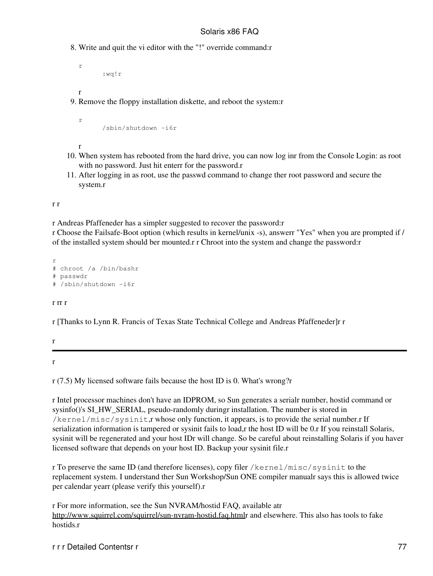Write and quit the vi editor with the "!" override command:r 8.

```
 :wq!r
```
r

r

9. Remove the floppy installation diskette, and reboot the system:r

```
 /sbin/shutdown -i6r
```
r

r

- When system has rebooted from the hard drive, you can now log inr from the Console Login: as root 10. with no password. Just hit enterr for the password.r
- After logging in as root, use the passwd command to change ther root password and secure the 11. system.r

r r

r Andreas Pfaffeneder has a simpler suggested to recover the password:r

r Choose the Failsafe-Boot option (which results in kernel/unix -s), answerr "Yes" when you are prompted if / of the installed system should ber mounted.r r Chroot into the system and change the password:r

r # chroot /a /bin/bashr # passwdr # /sbin/shutdown -i6r

#### r rr r

r [Thanks to Lynn R. Francis of Texas State Technical College and Andreas Pfaffeneder]r r

r

r

r (7.5) My licensed software fails because the host ID is 0. What's wrong?r

r Intel processor machines don't have an IDPROM, so Sun generates a serialr number, hostid command or sysinfo()'s SI\_HW\_SERIAL, pseudo-randomly duringr installation. The number is stored in /kernel/misc/sysinit,r whose only function, it appears, is to provide the serial number.r If serialization information is tampered or sysinit fails to load,r the host ID will be 0.r If you reinstall Solaris, sysinit will be regenerated and your host IDr will change. So be careful about reinstalling Solaris if you haver licensed software that depends on your host ID. Backup your sysinit file.r

r To preserve the same ID (and therefore licenses), copy filer /kernel/misc/sysinit to the replacement system. I understand ther Sun Workshop/Sun ONE compiler manualr says this is allowed twice per calendar yearr (please verify this yourself).r

r For more information, see the Sun NVRAM/hostid FAQ, available atr <http://www.squirrel.com/squirrel/sun-nvram-hostid.faq.html>r and elsewhere. This also has tools to fake hostids.r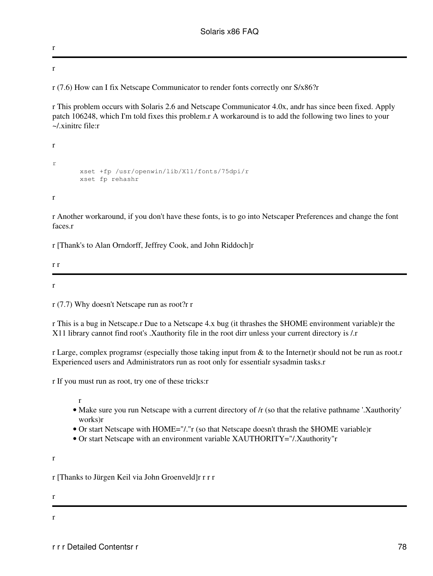r

r

r (7.6) How can I fix Netscape Communicator to render fonts correctly onr S/x86?r

r This problem occurs with Solaris 2.6 and Netscape Communicator 4.0x, andr has since been fixed. Apply patch 106248, which I'm told fixes this problem.r A workaround is to add the following two lines to your  $\sim$ / xinitrc file: $r$ 

```
r
r
        xset +fp /usr/openwin/lib/X11/fonts/75dpi/r
        xset fp rehashr
r
```
r Another workaround, if you don't have these fonts, is to go into Netscaper Preferences and change the font faces.r

r [Thank's to Alan Orndorff, Jeffrey Cook, and John Riddoch]r

r r

r

r (7.7) Why doesn't Netscape run as root?r r

r This is a bug in Netscape.r Due to a Netscape 4.x bug (it thrashes the \$HOME environment variable)r the X11 library cannot find root's .Xauthority file in the root dirr unless your current directory is /.r

r Large, complex programsr (especially those taking input from & to the Internet)r should not be run as root.r Experienced users and Administrators run as root only for essentialr sysadmin tasks.r

r If you must run as root, try one of these tricks:r

r

- Make sure you run Netscape with a current directory of /r (so that the relative pathname '.Xauthority' works)r
- Or start Netscape with HOME="/."r (so that Netscape doesn't thrash the \$HOME variable)r
- Or start Netscape with an environment variable XAUTHORITY="/.Xauthority"r

r

r [Thanks to Jürgen Keil via John Groenveld]r r r r

r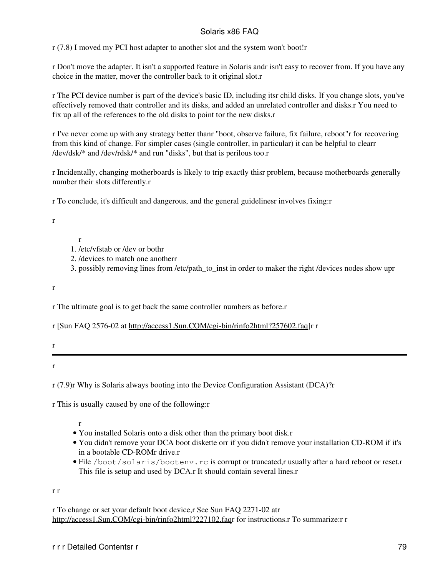r (7.8) I moved my PCI host adapter to another slot and the system won't boot!r

r Don't move the adapter. It isn't a supported feature in Solaris andr isn't easy to recover from. If you have any choice in the matter, mover the controller back to it original slot.r

r The PCI device number is part of the device's basic ID, including itsr child disks. If you change slots, you've effectively removed thatr controller and its disks, and added an unrelated controller and disks.r You need to fix up all of the references to the old disks to point tor the new disks.r

r I've never come up with any strategy better thanr "boot, observe failure, fix failure, reboot"r for recovering from this kind of change. For simpler cases (single controller, in particular) it can be helpful to clearr /dev/dsk/\* and /dev/rdsk/\* and run "disks", but that is perilous too.r

r Incidentally, changing motherboards is likely to trip exactly thisr problem, because motherboards generally number their slots differently.r

r To conclude, it's difficult and dangerous, and the general guidelinesr involves fixing:r

r

r

- 1. /etc/vfstab or /dev or bothr
- 2. /devices to match one anotherr
- 3. possibly removing lines from /etc/path\_to\_inst in order to maker the right /devices nodes show upr

r

r The ultimate goal is to get back the same controller numbers as before.r

r [Sun FAQ 2576-02 at <http://access1.Sun.COM/cgi-bin/rinfo2html?257602.faq>]r r

r

r

r (7.9)r Why is Solaris always booting into the Device Configuration Assistant (DCA)?r

r This is usually caused by one of the following:r

r

- You installed Solaris onto a disk other than the primary boot disk.r
- You didn't remove your DCA boot diskette orr if you didn't remove your installation CD-ROM if it's in a bootable CD-ROMr drive.r
- File /boot/solaris/bootenv.rc is corrupt or truncated,r usually after a hard reboot or reset.r This file is setup and used by DCA.r It should contain several lines.r

r r

r To change or set your default boot device,r See Sun FAQ 2271-02 atr [http://access1.Sun.COM/cgi-bin/rinfo2html?227102.faqr](http://access1.Sun.COM/cgi-bin/rinfo2html?227102.faq) for instructions.r To summarize:r r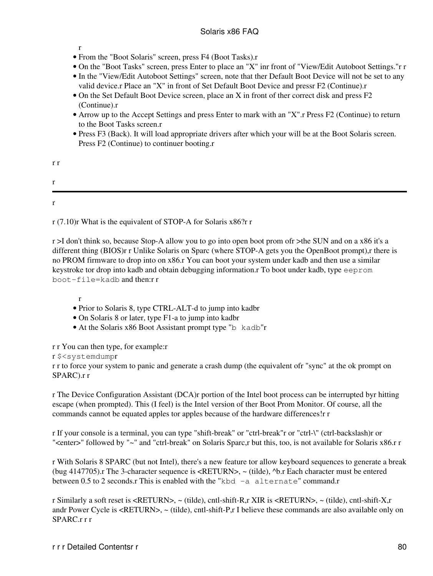r

- From the "Boot Solaris" screen, press F4 (Boot Tasks).r
- On the "Boot Tasks" screen, press Enter to place an "X" inr front of "View/Edit Autoboot Settings."r r
- In the "View/Edit Autoboot Settings" screen, note that ther Default Boot Device will not be set to any valid device.r Place an "X" in front of Set Default Boot Device and pressr F2 (Continue).r
- On the Set Default Boot Device screen, place an X in front of ther correct disk and press F2 (Continue).r
- Arrow up to the Accept Settings and press Enter to mark with an "X".r Press F2 (Continue) to return to the Boot Tasks screen.r
- Press F3 (Back). It will load appropriate drivers after which your will be at the Boot Solaris screen. Press F2 (Continue) to continuer booting.r

r (7.10)r What is the equivalent of STOP-A for Solaris x86?r r

r >I don't think so, because Stop-A allow you to go into open boot prom ofr >the SUN and on a x86 it's a different thing (BIOS)r r Unlike Solaris on Sparc (where STOP-A gets you the OpenBoot prompt),r there is no PROM firmware to drop into on x86.r You can boot your system under kadb and then use a similar keystroke tor drop into kadb and obtain debugging information.r To boot under kadb, type eeprom boot-file=kadb and then:r r

r

- Prior to Solaris 8, type CTRL-ALT-d to jump into kadbr
- On Solaris 8 or later, type F1-a to jump into kadbr
- At the Solaris x86 Boot Assistant prompt type "b kadb"r
- r r You can then type, for example:r

#### r \$<systemdumpr

r r to force your system to panic and generate a crash dump (the equivalent ofr "sync" at the ok prompt on SPARC).r r

r The Device Configuration Assistant (DCA)r portion of the Intel boot process can be interrupted byr hitting escape (when prompted). This (I feel) is the Intel version of ther Boot Prom Monitor. Of course, all the commands cannot be equated apples tor apples because of the hardware differences!r r

r If your console is a terminal, you can type "shift-break" or "ctrl-break"r or "ctrl-\" (ctrl-backslash)r or "<enter>" followed by "~" and "ctrl-break" on Solaris Sparc,r but this, too, is not available for Solaris x86.r r

r With Solaris 8 SPARC (but not Intel), there's a new feature tor allow keyboard sequences to generate a break (bug 4147705).r The 3-character sequence is <RETURN>, ~ (tilde), ^b.r Each character must be entered between 0.5 to 2 seconds.r This is enabled with the "kbd -a alternate" command.r

r Similarly a soft reset is <RETURN>, ~ (tilde), cntl-shift-R,r XIR is <RETURN>, ~ (tilde), cntl-shift-X,r andr Power Cycle is <RETURN>, ~ (tilde), cntl-shift-P,r I believe these commands are also available only on SPARC.r r r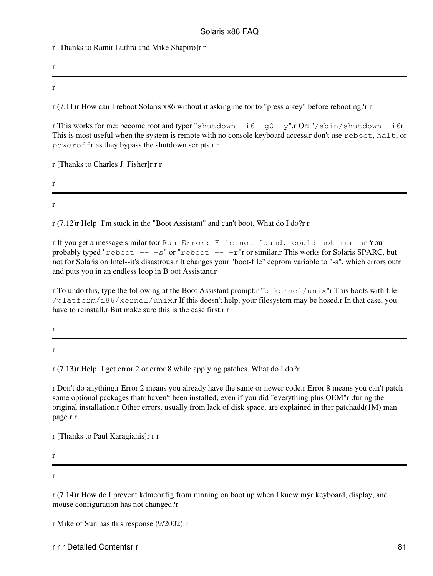r [Thanks to Ramit Luthra and Mike Shapiro]r r

r

r

r (7.11)r How can I reboot Solaris x86 without it asking me tor to "press a key" before rebooting?r r

r This works for me: become root and typer "shutdown  $-i6 - q0 -y$ ".r Or: "/sbin/shutdown  $-i6r$ This is most useful when the system is remote with no console keyboard access.r don't use reboot, halt, or poweroffr as they bypass the shutdown scripts.r r

r [Thanks to Charles J. Fisher]r r r

r

r

r (7.12)r Help! I'm stuck in the "Boot Assistant" and can't boot. What do I do?r r

r If you get a message similar to:r Run Error: File not found. could not run sr You probably typed "reboot  $--$  -s" or "reboot  $--$  -r"r or similar.r This works for Solaris SPARC, but not for Solaris on Intel--it's disastrous.r It changes your "boot-file" eeprom variable to "-s", which errors outr and puts you in an endless loop in B oot Assistant.r

r To undo this, type the following at the Boot Assistant prompt:r "b kernel/unix"r This boots with file /platform/i86/kernel/unix.r If this doesn't help, your filesystem may be hosed.r In that case, you have to reinstall.r But make sure this is the case first.r r

r

r

r (7.13)r Help! I get error 2 or error 8 while applying patches. What do I do?r

r Don't do anything.r Error 2 means you already have the same or newer code.r Error 8 means you can't patch some optional packages thatr haven't been installed, even if you did "everything plus OEM"r during the original installation.r Other errors, usually from lack of disk space, are explained in ther patchadd(1M) man page.r r

r [Thanks to Paul Karagianis]r r r

r

r

r (7.14)r How do I prevent kdmconfig from running on boot up when I know myr keyboard, display, and mouse configuration has not changed?r

r Mike of Sun has this response (9/2002):r

r r r Detailed Contentsr r 81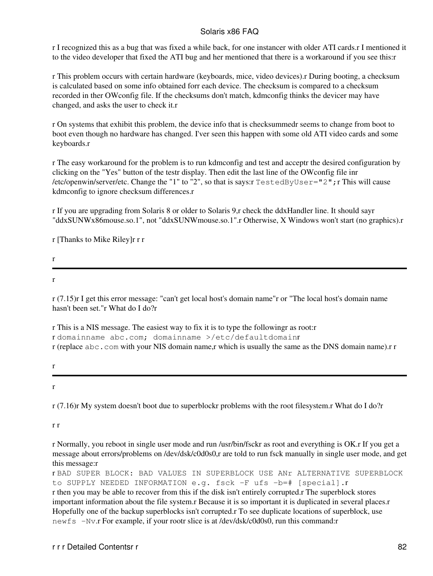r I recognized this as a bug that was fixed a while back, for one instancer with older ATI cards.r I mentioned it to the video developer that fixed the ATI bug and her mentioned that there is a workaround if you see this:r

r This problem occurs with certain hardware (keyboards, mice, video devices).r During booting, a checksum is calculated based on some info obtained forr each device. The checksum is compared to a checksum recorded in ther OWconfig file. If the checksums don't match, kdmconfig thinks the devicer may have changed, and asks the user to check it.r

r On systems that exhibit this problem, the device info that is checksummedr seems to change from boot to boot even though no hardware has changed. I'ver seen this happen with some old ATI video cards and some keyboards.r

r The easy workaround for the problem is to run kdmconfig and test and acceptr the desired configuration by clicking on the "Yes" button of the testr display. Then edit the last line of the OWconfig file inr /etc/openwin/server/etc. Change the "1" to "2", so that is says:r TestedByUser="2";r This will cause kdmconfig to ignore checksum differences.r

r If you are upgrading from Solaris 8 or older to Solaris 9,r check the ddxHandler line. It should sayr "ddxSUNWx86mouse.so.1", not "ddxSUNWmouse.so.1".r Otherwise, X Windows won't start (no graphics).r

r [Thanks to Mike Riley]r r r

r

r

r (7.15)r I get this error message: "can't get local host's domain name"r or "The local host's domain name hasn't been set."r What do I do?r

r This is a NIS message. The easiest way to fix it is to type the followingr as root:r r domainname abc.com; domainname >/etc/defaultdomainr r (replace abc.com with your NIS domain name,r which is usually the same as the DNS domain name).r r

r

r

r (7.16)r My system doesn't boot due to superblockr problems with the root filesystem.r What do I do?r

r r

r Normally, you reboot in single user mode and run /usr/bin/fsckr as root and everything is OK.r If you get a message about errors/problems on /dev/dsk/c0d0s0,r are told to run fsck manually in single user mode, and get this message:r

r BAD SUPER BLOCK: BAD VALUES IN SUPERBLOCK USE ANr ALTERNATIVE SUPERBLOCK to SUPPLY NEEDED INFORMATION e.g. fsck -F ufs -b=# [special].r r then you may be able to recover from this if the disk isn't entirely corrupted.r The superblock stores important information about the file system.r Because it is so important it is duplicated in several places.r Hopefully one of the backup superblocks isn't corrupted.r To see duplicate locations of superblock, use newfs -Nv.r For example, if your rootr slice is at /dev/dsk/c0d0s0, run this command:r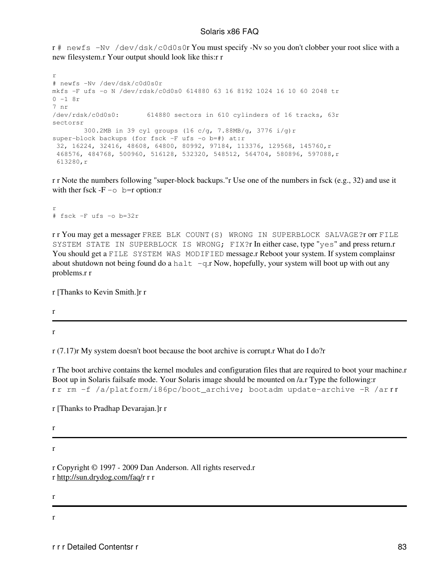r # newfs -Nv /dev/dsk/c0d0s0r You must specify -Nv so you don't clobber your root slice with a new filesystem.r Your output should look like this:r r

r # newfs -Nv /dev/dsk/c0d0s0r mkfs -F ufs -o N /dev/rdsk/c0d0s0 614880 63 16 8192 1024 16 10 60 2048 tr  $0 - 1 8r$ 7 nr /dev/rdsk/c0d0s0: 614880 sectors in 610 cylinders of 16 tracks, 63r sectorsr 300.2MB in 39 cyl groups (16 c/g, 7.88MB/g, 3776 i/g)r super-block backups (for fsck -F ufs -o b=#) at:r 32, 16224, 32416, 48608, 64800, 80992, 97184, 113376, 129568, 145760,r 468576, 484768, 500960, 516128, 532320, 548512, 564704, 580896, 597088,r 613280,r

r r Note the numbers following "super-block backups."r Use one of the numbers in fsck (e.g., 32) and use it with ther fsck  $-F -\circ$  b=r option:r

r # fsck -F ufs -o b=32r

r r You may get a messager FREE BLK COUNT(S) WRONG IN SUPERBLOCK SALVAGE?r orr FILE SYSTEM STATE IN SUPERBLOCK IS WRONG; FIX?r In either case, type "yes" and press return.r You should get a FILE SYSTEM WAS MODIFIED message.r Reboot your system. If system complainsr about shutdown not being found do a halt  $-q.r$  Now, hopefully, your system will boot up with out any problems.r r

r [Thanks to Kevin Smith.]r r

r

r

r (7.17)r My system doesn't boot because the boot archive is corrupt.r What do I do?r

r The boot archive contains the kernel modules and configuration files that are required to boot your machine.r Boot up in Solaris failsafe mode. Your Solaris image should be mounted on /a.r Type the following:r rr rm -f /a/platform/i86pc/boot\_archive; bootadm update-archive -R /arrr

r [Thanks to Pradhap Devarajan.]r r

r

r

r Copyright © 1997 - 2009 Dan Anderson. All rights reserved.r r [http://sun.drydog.com/faq/r](http://sun.drydog.com/faq/) r r

r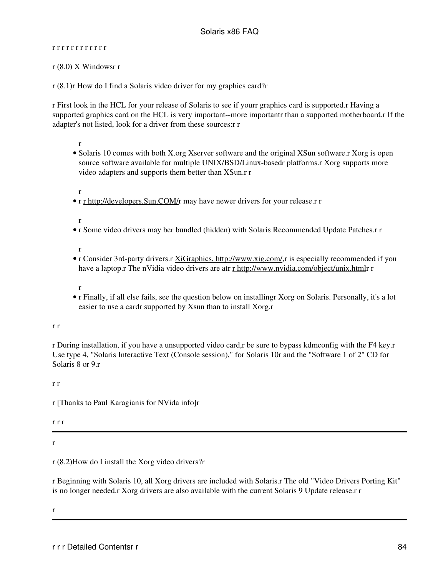#### r r r r r r r r r r r r

r (8.0) X Windowsr r

r (8.1)r How do I find a Solaris video driver for my graphics card?r

r First look in the HCL for your release of Solaris to see if yourr graphics card is supported.r Having a supported graphics card on the HCL is very important--more importantr than a supported motherboard.r If the adapter's not listed, look for a driver from these sources:r r

r

• Solaris 10 comes with both X.org Xserver software and the original XSun software.r Xorg is open source software available for multiple UNIX/BSD/Linux-basedr platforms.r Xorg supports more video adapters and supports them better than XSun.r r

r

• r [r http://developers.Sun.COM/r](http://developers.Sun.COM/) may have newer drivers for your release.r r

r

r Some video drivers may ber bundled (hidden) with Solaris Recommended Update Patches.r r •

r

- r Consider 3rd-party drivers.r [XiGraphics, http://www.xig.com/](http://www.xig.com/),r is especially recommended if you have a laptop.r The nVidia video drivers are atr [r http://www.nvidia.com/object/unix.html](http://www.nvidia.com/object/unix.html)r r
- r
- r Finally, if all else fails, see the question below on installingr Xorg on Solaris. Personally, it's a lot easier to use a cardr supported by Xsun than to install Xorg.r

#### r r

r During installation, if you have a unsupported video card,r be sure to bypass kdmconfig with the F4 key.r Use type 4, "Solaris Interactive Text (Console session)," for Solaris 10r and the "Software 1 of 2" CD for Solaris 8 or 9.r

r r

r [Thanks to Paul Karagianis for NVida info]r

r r r

r

## r (8.2)How do I install the Xorg video drivers?r

r Beginning with Solaris 10, all Xorg drivers are included with Solaris.r The old "Video Drivers Porting Kit" is no longer needed.r Xorg drivers are also available with the current Solaris 9 Update release.r r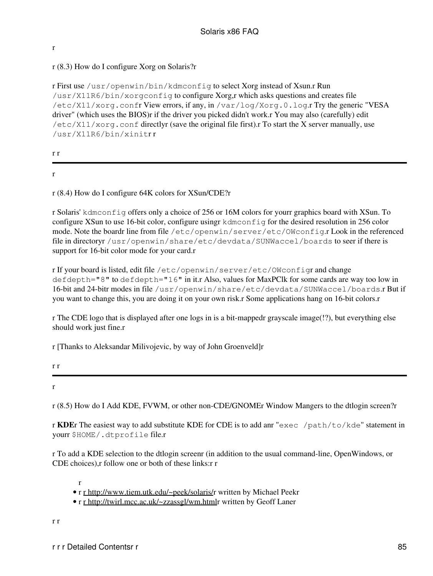# r (8.3) How do I configure Xorg on Solaris?r

r First use /usr/openwin/bin/kdmconfig to select Xorg instead of Xsun.r Run /usr/X11R6/bin/xorgconfig to configure Xorg,r which asks questions and creates file /etc/X11/xorg.confr View errors, if any, in /var/log/Xorg.0.log.r Try the generic "VESA driver" (which uses the BIOS)r if the driver you picked didn't work.r You may also (carefully) edit  $/etc/X11/xorg.conf directlyr (save the original file first).$  To start the X server manually, use /usr/X11R6/bin/xinitr r

#### r r

r

r

r (8.4) How do I configure 64K colors for XSun/CDE?r

r Solaris' kdmconfig offers only a choice of 256 or 16M colors for yourr graphics board with XSun. To configure XSun to use 16-bit color, configure usingr kdmconfig for the desired resolution in 256 color mode. Note the boardr line from file /etc/openwin/server/etc/OWconfig.r Look in the referenced file in directoryr /usr/openwin/share/etc/devdata/SUNWaccel/boards to seer if there is support for 16-bit color mode for your card.r

r If your board is listed, edit file /etc/openwin/server/etc/OWconfigr and change defdepth="8" to defdepth="16" in it.r Also, values for MaxPClk for some cards are way too low in 16-bit and 24-bitr modes in file /usr/openwin/share/etc/devdata/SUNWaccel/boards.r But if you want to change this, you are doing it on your own risk.r Some applications hang on 16-bit colors.r

r The CDE logo that is displayed after one logs in is a bit-mappedr grayscale image(!?), but everything else should work just fine.r

r [Thanks to Aleksandar Milivojevic, by way of John Groenveld]r

r r

r (8.5) How do I Add KDE, FVWM, or other non-CDE/GNOMEr Window Mangers to the dtlogin screen?r

r **KDE**r The easiest way to add substitute KDE for CDE is to add anr "exec /path/to/kde" statement in yourr \$HOME/.dtprofile file.r

r To add a KDE selection to the dtlogin screenr (in addition to the usual command-line, OpenWindows, or CDE choices),r follow one or both of these links:r r

r

• r [r http://www.tiem.utk.edu/~peek/solaris/](http://www.tiem.utk.edu/~peek/solaris/)r written by Michael Peekr

• r [r http://twirl.mcc.ac.uk/~zzassgl/wm.html](http://twirl.mcc.ac.uk/~zzassgl/wm.html)r written by Geoff Laner

r r

r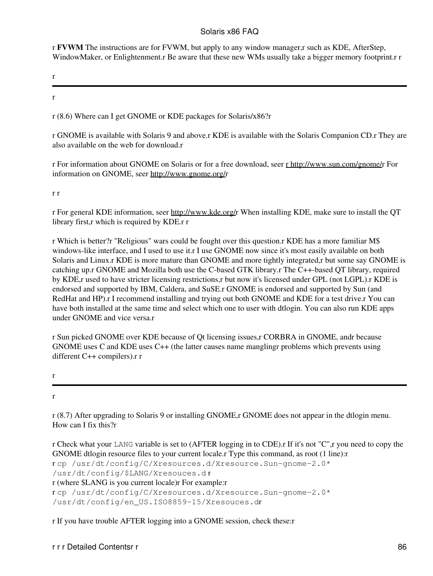r **FVWM** The instructions are for FVWM, but apply to any window manager,r such as KDE, AfterStep, WindowMaker, or Enlightenment.r Be aware that these new WMs usually take a bigger memory footprint.r r

r

r

r (8.6) Where can I get GNOME or KDE packages for Solaris/x86?r

r GNOME is available with Solaris 9 and above.r KDE is available with the Solaris Companion CD.r They are also available on the web for download.r

r For information about GNOME on Solaris or for a free download, seer [r http://www.sun.com/gnome/](http://www.sun.com/gnome/)r For information on GNOME, seer <http://www.gnome.org/>r

r r

r For general KDE information, seer <http://www.kde.org/>r When installing KDE, make sure to install the QT library first,r which is required by KDE.r r

r Which is better?r "Religious" wars could be fought over this question.r KDE has a more familiar M\$ windows-like interface, and I used to use it.r I use GNOME now since it's most easily available on both Solaris and Linux.r KDE is more mature than GNOME and more tightly integrated,r but some say GNOME is catching up.r GNOME and Mozilla both use the C-based GTK library.r The C++-based QT library, required by KDE,r used to have stricter licensing restrictions,r but now it's licensed under GPL (not LGPL).r KDE is endorsed and supported by IBM, Caldera, and SuSE.r GNOME is endorsed and supported by Sun (and RedHat and HP).r I recommend installing and trying out both GNOME and KDE for a test drive.r You can have both installed at the same time and select which one to user with dtlogin. You can also run KDE apps under GNOME and vice versa r

r Sun picked GNOME over KDE because of Qt licensing issues,r CORBRA in GNOME, andr because GNOME uses C and KDE uses C++ (the latter causes name manglingr problems which prevents using different C++ compilers).r r

r

r

r (8.7) After upgrading to Solaris 9 or installing GNOME,r GNOME does not appear in the dtlogin menu. How can I fix this?r

r Check what your LANG variable is set to (AFTER logging in to CDE).r If it's not "C",r you need to copy the GNOME dtlogin resource files to your current locale.r Type this command, as root (1 line):r r cp /usr/dt/config/C/Xresources.d/Xresource.Sun-gnome-2.0\* /usr/dt/config/\$LANG/Xresouces.d r r (where \$LANG is you current locale)r For example:r r cp /usr/dt/config/C/Xresources.d/Xresource.Sun-gnome-2.0\* /usr/dt/config/en\_US.ISO8859-15/Xresouces.dr

r If you have trouble AFTER logging into a GNOME session, check these:r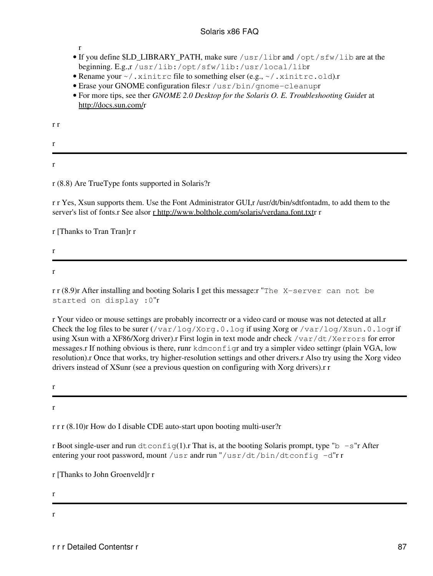#### r

- If you define \$LD\_LIBRARY\_PATH, make sure /usr/libr and /opt/sfw/lib are at the beginning. E.g.,r /usr/lib:/opt/sfw/lib:/usr/local/libr
- Rename your  $\sim/$ . xinitrc file to something elser (e.g.,  $\sim/$ . xinitrc.old).r
- Erase your GNOME configuration files: r /usr/bin/gnome-cleanupr
- For more tips, see ther *GNOME 2.0 Desktop for the Solaris O. E. Troubleshooting Guide*r at <http://docs.sun.com/>r

r r

r r

## r (8.8) Are TrueType fonts supported in Solaris?r

r r Yes, Xsun supports them. Use the Font Administrator GUI,r /usr/dt/bin/sdtfontadm, to add them to the server's list of fonts.r See alsor [r http://www.bolthole.com/solaris/verdana.font.txt](http://www.bolthole.com/solaris/verdana.font.txt)r r

r [Thanks to Tran Tran]r r

r

r

r r (8.9)r After installing and booting Solaris I get this message: "The X-server can not be started on display :0"r

r Your video or mouse settings are probably incorrectr or a video card or mouse was not detected at all.r Check the log files to be surer  $(\sqrt{var} / \log / \chi \text{or} q.0. \log$  if using Xorg or  $/\text{var} / \log / \chi \text{sin} 0. \log$  if using Xsun with a XF86/Xorg driver).r First login in text mode andr check /var/dt/Xerrors for error messages.r If nothing obvious is there, runr kdmconfigr and try a simpler video settingr (plain VGA, low resolution).r Once that works, try higher-resolution settings and other drivers.r Also try using the Xorg video drivers instead of XSunr (see a previous question on configuring with Xorg drivers).r r

r

r

r r r (8.10)r How do I disable CDE auto-start upon booting multi-user?r

r Boot single-user and run  $dt$ config(1).r That is, at the booting Solaris prompt, type "b  $-s$ "r After entering your root password, mount /usr andr run "/usr/dt/bin/dtconfig -d"r r

r [Thanks to John Groenveld]r r

r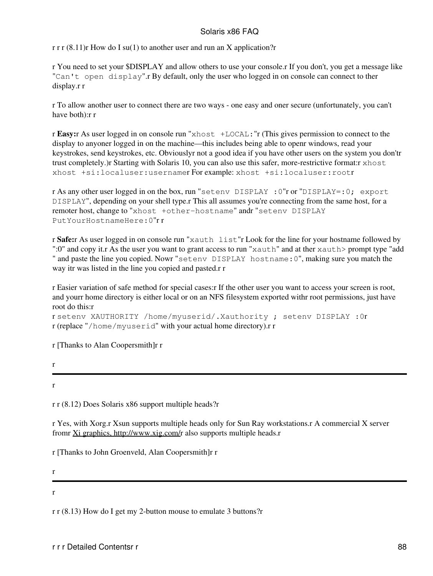r r r  $(8.11)$ r How do I su $(1)$  to another user and run an X application?r

r You need to set your \$DISPLAY and allow others to use your console.r If you don't, you get a message like "Can't open display".r By default, only the user who logged in on console can connect to ther display.r r

r To allow another user to connect there are two ways - one easy and oner secure (unfortunately, you can't have both):r r

r **Easy:**r As user logged in on console run "xhost +LOCAL:"r (This gives permission to connect to the display to anyoner logged in on the machine—this includes being able to openr windows, read your keystrokes, send keystrokes, etc. Obviouslyr not a good idea if you have other users on the system you don'tr trust completely.)r Starting with Solaris 10, you can also use this safer, more-restrictive format:r xhost xhost +si:localuser:usernamer For example: xhost +si:localuser:rootr

r As any other user logged in on the box, run "setenv DISPLAY :0"r or "DISPLAY=:0; export DISPLAY", depending on your shell type.r This all assumes you're connecting from the same host, for a remoter host, change to "xhost +other-hostname" andr "setenv DISPLAY PutYourHostnameHere:0"r r

r **Safe:**r As user logged in on console run "xauth list"r Look for the line for your hostname followed by ":0" and copy it.r As the user you want to grant access to run "xauth" and at ther xauth> prompt type "add " and paste the line you copied. Nowr "setenv DISPLAY hostname: 0", making sure you match the way itr was listed in the line you copied and pasted.r r

r Easier variation of safe method for special cases:r If the other user you want to access your screen is root, and yourr home directory is either local or on an NFS filesystem exported withr root permissions, just have root do this:r

```
r setenv XAUTHORITY /home/myuserid/.Xauthority ; setenv DISPLAY :0r
r (replace "/home/myuserid" with your actual home directory).r r
```
r [Thanks to Alan Coopersmith]r r

r

r

r r (8.12) Does Solaris x86 support multiple heads?r

r Yes, with Xorg.r Xsun supports multiple heads only for Sun Ray workstations.r A commercial X server fromr [Xi graphics, http://www.xig.com/r](http://www.xig.com/) also supports multiple heads.r

r [Thanks to John Groenveld, Alan Coopersmith]r r

r

r

r r (8.13) How do I get my 2-button mouse to emulate 3 buttons?r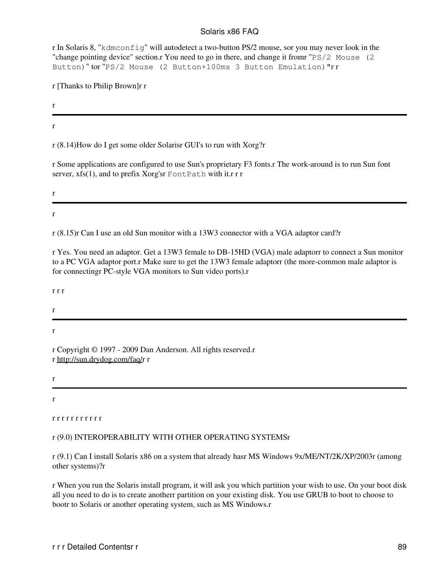r In Solaris 8, "kdmconfig" will autodetect a two-button PS/2 mouse, sor you may never look in the "change pointing device" section.r You need to go in there, and change it fromr "PS/2 Mouse (2 Button)" tor "PS/2 Mouse (2 Button+100ms 3 Button Emulation)"r r

r [Thanks to Philip Brown]r r

r

r

r

r

r (8.14)How do I get some older Solarisr GUI's to run with Xorg?r

r Some applications are configured to use Sun's proprietary F3 fonts.r The work-around is to run Sun font server, xfs(1), and to prefix Xorg'sr FontPath with it.r r r

r (8.15)r Can I use an old Sun monitor with a 13W3 connector with a VGA adaptor card?r

r Yes. You need an adaptor. Get a 13W3 female to DB-15HD (VGA) male adaptorr to connect a Sun monitor to a PC VGA adaptor port.r Make sure to get the 13W3 female adaptorr (the more-common male adaptor is for connectingr PC-style VGA monitors to Sun video ports).r

r r r

r

r

r Copyright © 1997 - 2009 Dan Anderson. All rights reserved.r r [http://sun.drydog.com/faq/r](http://sun.drydog.com/faq/) r

r

r

r r r r r r r r r r r

## r (9.0) INTEROPERABILITY WITH OTHER OPERATING SYSTEMSr

r (9.1) Can I install Solaris x86 on a system that already hasr MS Windows 9x/ME/NT/2K/XP/2003r (among other systems)?r

r When you run the Solaris install program, it will ask you which partition your wish to use. On your boot disk all you need to do is to create anotherr partition on your existing disk. You use GRUB to boot to choose to bootr to Solaris or another operating system, such as MS Windows.r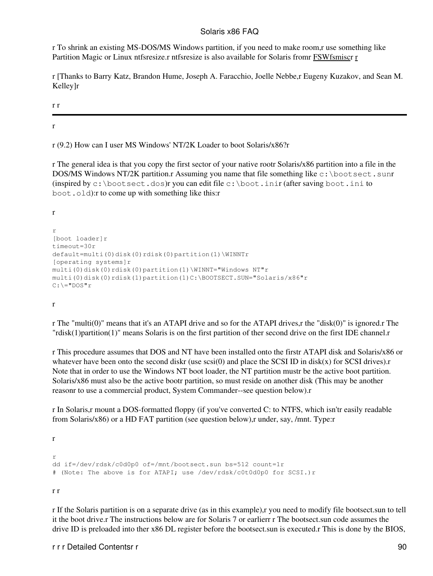r To shrink an existing MS-DOS/MS Windows partition, if you need to make room,r use something like Partition Magic or Linux ntfsresize.r ntfsresize is also available for Solaris from [FSWfsmiscr](ftp://ftp.sun.drydog.com/pub/solaris/FSWfsmisc.tar.gz) [r](http://www.genunix.org/distributions/belenix_site/binfiles/README.FSWfsmisc.txt)

r [Thanks to Barry Katz, Brandon Hume, Joseph A. Faracchio, Joelle Nebbe,r Eugeny Kuzakov, and Sean M. Kelley]r

r r

r

r (9.2) How can I user MS Windows' NT/2K Loader to boot Solaris/x86?r

r The general idea is that you copy the first sector of your native rootr Solaris/x86 partition into a file in the DOS/MS Windows NT/2K partition.r Assuming you name that file something like  $c: \text{bootsect}$ .sunr (inspired by c:\bootsect.dos)r you can edit file c:\boot.inir (after saving boot.ini to boot.old):r to come up with something like this:r

r r [boot loader]r timeout=30r default=multi(0)disk(0)rdisk(0)partition(1)\WINNTr [operating systems]r multi(0)disk(0)rdisk(0)partition(1)\WINNT="Windows NT"r multi(0)disk(0)rdisk(1)partition(1)C:\BOOTSECT.SUN="Solaris/x86"r  $C: \mathcal{N} = "DOS"r$ 

r

r The "multi(0)" means that it's an ATAPI drive and so for the ATAPI drives,r the "disk(0)" is ignored.r The "rdisk(1)partition(1)" means Solaris is on the first partition of ther second drive on the first IDE channel.r

r This procedure assumes that DOS and NT have been installed onto the firstr ATAPI disk and Solaris/x86 or whatever have been onto the second diskr (use  $\text{scsi}(0)$  and place the SCSI ID in disk(x) for SCSI drives).r Note that in order to use the Windows NT boot loader, the NT partition mustr be the active boot partition. Solaris/x86 must also be the active bootr partition, so must reside on another disk (This may be another reasonr to use a commercial product, System Commander--see question below).r

r In Solaris,r mount a DOS-formatted floppy (if you've converted C: to NTFS, which isn'tr easily readable from Solaris/x86) or a HD FAT partition (see question below),r under, say, /mnt. Type:r

r

```
r
dd if=/dev/rdsk/c0d0p0 of=/mnt/bootsect.sun bs=512 count=1r
# (Note: The above is for ATAPI; use /dev/rdsk/c0t0d0p0 for SCSI.)r
```
r r

r If the Solaris partition is on a separate drive (as in this example),r you need to modify file bootsect.sun to tell it the boot drive.r The instructions below are for Solaris 7 or earlierr r The bootsect.sun code assumes the drive ID is preloaded into ther x86 DL register before the bootsect.sun is executed.r This is done by the BIOS,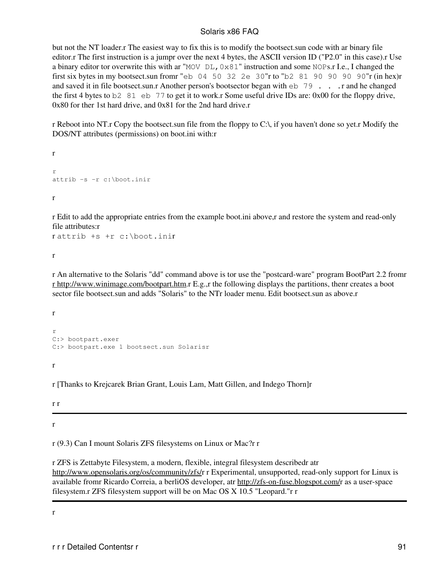but not the NT loader.r The easiest way to fix this is to modify the bootsect.sun code with ar binary file editor.r The first instruction is a jumpr over the next 4 bytes, the ASCII version ID ("P2.0" in this case).r Use a binary editor tor overwrite this with ar "MOV  $DL$ , 0x81" instruction and some NOPs.r I.e., I changed the first six bytes in my bootsect.sun fromr "eb 04 50 32 2e 30"r to "b2 81 90 90 90 90"r (in hex)r and saved it in file bootsect.sun.r Another person's bootsector began with  $\in$  b 79 . . . r and he changed the first 4 bytes to b2 81 eb 77 to get it to work.r Some useful drive IDs are: 0x00 for the floppy drive, 0x80 for ther 1st hard drive, and 0x81 for the 2nd hard drive.r

r Reboot into NT.r Copy the bootsect.sun file from the floppy to C:\, if you haven't done so yet.r Modify the DOS/NT attributes (permissions) on boot.ini with:r

r r attrib -s -r c:\boot.inir

r

r Edit to add the appropriate entries from the example boot.ini above,r and restore the system and read-only file attributes:r

r attrib +s +r c:\boot.inir

r

r An alternative to the Solaris "dd" command above is tor use the "postcard-ware" program BootPart 2.2 fromr [r http://www.winimage.com/bootpart.htm.](http://www.winimage.com/bootpart.htm)r E.g.,r the following displays the partitions, thenr creates a boot sector file bootsect.sun and adds "Solaris" to the NTr loader menu. Edit bootsect.sun as above.r

r r C:> bootpart.exer C:> bootpart.exe 1 bootsect.sun Solarisr

r

r [Thanks to Krejcarek Brian Grant, Louis Lam, Matt Gillen, and Indego Thorn]r

r r

r

r (9.3) Can I mount Solaris ZFS filesystems on Linux or Mac?r r

r ZFS is Zettabyte Filesystem, a modern, flexible, integral filesystem describedr atr <http://www.opensolaris.org/os/community/zfs/>r r Experimental, unsupported, read-only support for Linux is available fromr Ricardo Correia, a berliOS developer, atr<http://zfs-on-fuse.blogspot.com/>r as a user-space filesystem.r ZFS filesystem support will be on Mac OS X 10.5 "Leopard."r r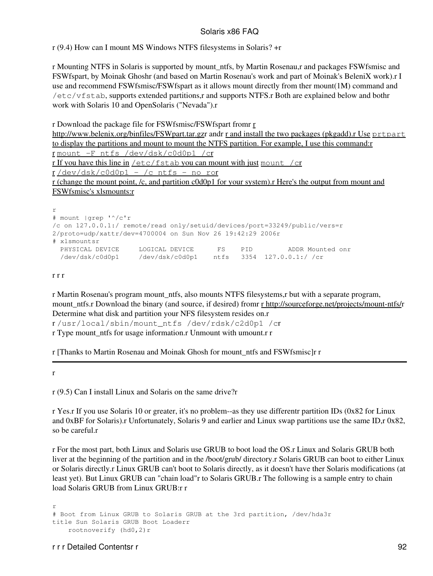r (9.4) How can I mount MS Windows NTFS filesystems in Solaris? +r

r Mounting NTFS in Solaris is supported by mount\_ntfs, by Martin Rosenau,r and packages FSWfsmisc and FSWfspart, by Moinak Ghoshr (and based on Martin Rosenau's work and part of Moinak's BeleniX work).r I use and recommend FSWfsmisc/FSWfspart as it allows mount directly from ther mount(1M) command and /etc/vfstab, supports extended partitions,r and supports NTFS.r Both are explained below and bothr work with Solaris 10 and OpenSolaris ("Nevada").r

r Download the package file for FSWfsmisc/FSWfspart fromr [r](http://www.belenix.org/binfiles/FSWpart.tar.gz)

[http://www.belenix.org/binfiles/FSWpart.tar.gzr](http://www.belenix.org/binfiles/FSWpart.tar.gz) andr [r and install the two packages \(pkgadd\).r Use](http://www.belenix.org/binfiles/FSWfsmisc.tar.gz) [prtpart](http://www.belenix.org/binfiles/FSWfsmisc.tar.gz) [to display the partitions and mount to mount the NTFS partition. For example, I use this command:r](http://www.belenix.org/binfiles/FSWfsmisc.tar.gz) [r](http://www.belenix.org/binfiles/FSWfsmisc.tar.gz) [mount -F ntfs /dev/dsk/c0d0p1 /c](http://www.belenix.org/binfiles/FSWfsmisc.tar.gz)r

[r If you have this line in](http://www.belenix.org/binfiles/FSWfsmisc.tar.gz)  $/etc/fstab$  [you can mount with just](http://www.belenix.org/binfiles/FSWfsmisc.tar.gz) mount  $/cr$ 

 $r / dev/dsk / c0d0p1 - /c$  $r / dev/dsk / c0d0p1 - /c$  ntfs - no ror

[r \(change the mount point, /c, and partition c0d0p1 for your system\).r Here's the output from mount and](http://www.belenix.org/binfiles/FSWfsmisc.tar.gz) [FSWfsmisc's xlsmounts:r](http://www.belenix.org/binfiles/FSWfsmisc.tar.gz)

r # mount |grep '^/c'r /c on 127.0.0.1:/ remote/read only/setuid/devices/port=33249/public/vers=r 2/proto=udp/xattr/dev=4700004 on Sun Nov 26 19:42:29 2006r # xlsmountsr PHYSICAL DEVICE LOGICAL DEVICE FS PID ADDR Mounted onr /dev/dsk/c0d0p1 /dev/dsk/c0d0p1 ntfs 3354 127.0.0.1:/ /cr

r r r

r Martin Rosenau's program mount\_ntfs, also mounts NTFS filesystems,r but with a separate program, mount\_ntfs.r Download the binary (and source, if desired) fromr [r http://sourceforge.net/projects/mount-ntfs/r](http://sourceforge.net/projects/mount-ntfs/) Determine what disk and partition your NFS filesystem resides on.r r /usr/local/sbin/mount\_ntfs /dev/rdsk/c2d0p1 /cr r Type mount ntfs for usage information.r Unmount with umount.r r

r [Thanks to Martin Rosenau and Moinak Ghosh for mount\_ntfs and FSWfsmisc]r r

r

r (9.5) Can I install Linux and Solaris on the same drive?r

r Yes.r If you use Solaris 10 or greater, it's no problem--as they use differentr partition IDs (0x82 for Linux and 0xBF for Solaris).r Unfortunately, Solaris 9 and earlier and Linux swap partitions use the same ID,r 0x82, so be careful.r

r For the most part, both Linux and Solaris use GRUB to boot load the OS.r Linux and Solaris GRUB both liver at the beginning of the partition and in the /boot/grub/ directory.r Solaris GRUB can boot to either Linux or Solaris directly.r Linux GRUB can't boot to Solaris directly, as it doesn't have ther Solaris modifications (at least yet). But Linux GRUB can "chain load"r to Solaris GRUB.r The following is a sample entry to chain load Solaris GRUB from Linux GRUB:r r

r # Boot from Linux GRUB to Solaris GRUB at the 3rd partition, /dev/hda3r title Sun Solaris GRUB Boot Loaderr rootnoverify (hd0,2)r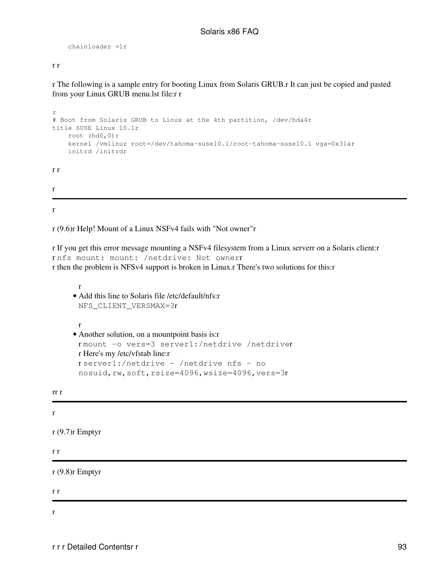```
 chainloader +1r
```
#### r r

r The following is a sample entry for booting Linux from Solaris GRUB.r It can just be copied and pasted from your Linux GRUB menu.lst file:r r

```
r
# Boot from Solaris GRUB to Linux at the 4th partition, /dev/hda4r
title SUSE Linux 10.1r
     root (hd0,0)r
     kernel /vmlinuz root=/dev/tahoma-suse10.1/root-tahoma-suse10.1 vga=0x31ar
     initrd /initrdr
r r
r
```
r

r (9.6)r Help! Mount of a Linux NSFv4 fails with "Not owner"r

r If you get this error message mounting a NSFv4 filesystem from a Linux serverr on a Solaris client:r r nfs mount: mount: /netdrive: Not ownerr r then the problem is NFSv4 support is broken in Linux.r There's two solutions for this:r

```
r
     • Add this line to Solaris file /etc/default/nfs:r
       NFS_CLIENT_VERSMAX=3r
      r
     Another solution, on a mountpoint basis is:r
• 
       r mount -o vers=3 server1:/netdrive /netdriver
      r Here's my /etc/vfstab line:r
       r server1:/netdrive - /netdrive nfs - no
       nosuid,rw,soft,rsize=4096,wsize=4096,vers=3r
rr r
r (9.7)r Emptyr
r r
r (9.8)r Emptyr
```
r r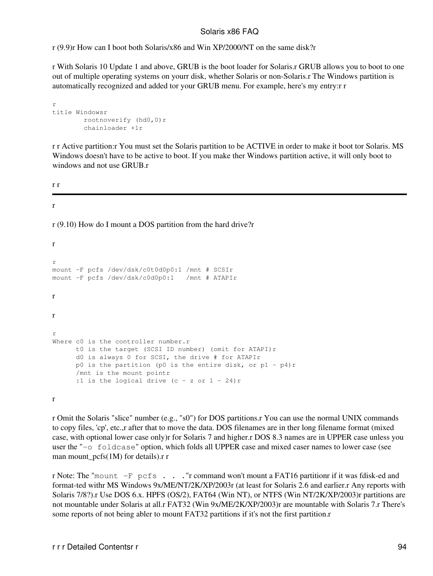r (9.9)r How can I boot both Solaris/x86 and Win XP/2000/NT on the same disk?r

r With Solaris 10 Update 1 and above, GRUB is the boot loader for Solaris.r GRUB allows you to boot to one out of multiple operating systems on yourr disk, whether Solaris or non-Solaris.r The Windows partition is automatically recognized and added tor your GRUB menu. For example, here's my entry:r r

```
r
title Windowsr
         rootnoverify (hd0,0)r
         chainloader +1r
```
r r Active partition:r You must set the Solaris partition to be ACTIVE in order to make it boot tor Solaris. MS Windows doesn't have to be active to boot. If you make ther Windows partition active, it will only boot to windows and not use GRUB.r

r r

#### r

r

r (9.10) How do I mount a DOS partition from the hard drive?r

```
r
mount -F pcfs /dev/dsk/c0t0d0p0:1 /mnt # SCSIr
mount -F pcfs /dev/dsk/c0d0p0:1 /mnt # ATAPIr
r
r
r
Where c0 is the controller number.r
       t0 is the target (SCSI ID number) (omit for ATAPI)r
      d0 is always 0 for SCSI, the drive # for ATAPIr
     p0 is the partition (p0 is the entire disk, or p1 - p4)r
      /mnt is the mount pointr
     :1 is the logical drive (c - z or 1 - 24) r
```
r

r Omit the Solaris "slice" number (e.g., "s0") for DOS partitions.r You can use the normal UNIX commands to copy files, 'cp', etc.,r after that to move the data. DOS filenames are in ther long filename format (mixed case, with optional lower case only)r for Solaris 7 and higher.r DOS 8.3 names are in UPPER case unless you user the "-o foldcase" option, which folds all UPPER case and mixed caser names to lower case (see man mount  $\text{pcfs}(1M)$  for details).r r

r Note: The "mount -F pcfs . . ."r command won't mount a FAT16 partitionr if it was fdisk-ed and format-ted withr MS Windows 9x/ME/NT/2K/XP/2003r (at least for Solaris 2.6 and earlier.r Any reports with Solaris 7/8?).r Use DOS 6.x. HPFS (OS/2), FAT64 (Win NT), or NTFS (Win NT/2K/XP/2003)r partitions are not mountable under Solaris at all.r FAT32 (Win 9x/ME/2K/XP/2003)r are mountable with Solaris 7.r There's some reports of not being abler to mount FAT32 partitions if it's not the first partition.r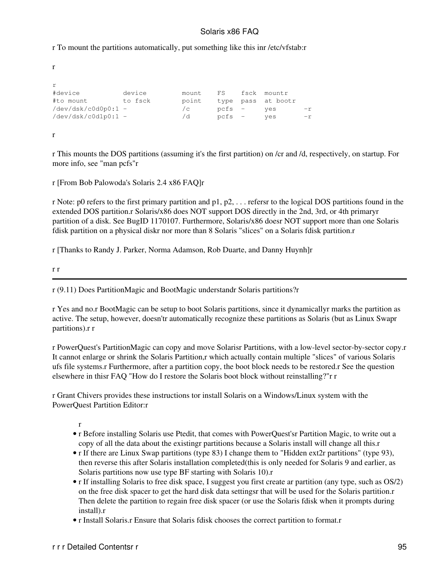r To mount the partitions automatically, put something like this inr /etc/vfstab:r

```
r
r
#device device mount FS fsck mountr
#to mount to fsck point type pass at bootr
/dev/dsk/c0d0p0:1 - /c pcfs - yes -r
/dev/dsk/c0d1p0:1 - /d pcfs - yes -r
r
```
r This mounts the DOS partitions (assuming it's the first partition) on /cr and /d, respectively, on startup. For more info, see "man pcfs"r

r [From Bob Palowoda's Solaris 2.4 x86 FAQ]r

r Note: p0 refers to the first primary partition and p1, p2, . . . refersr to the logical DOS partitions found in the extended DOS partition.r Solaris/x86 does NOT support DOS directly in the 2nd, 3rd, or 4th primaryr partition of a disk. See BugID 1170107. Furthermore, Solaris/x86 doesr NOT support more than one Solaris fdisk partition on a physical diskr nor more than 8 Solaris "slices" on a Solaris fdisk partition.r

r [Thanks to Randy J. Parker, Norma Adamson, Rob Duarte, and Danny Huynh]r

r r

r (9.11) Does PartitionMagic and BootMagic understandr Solaris partitions?r

r Yes and no.r BootMagic can be setup to boot Solaris partitions, since it dynamicallyr marks the partition as active. The setup, however, doesn'tr automatically recognize these partitions as Solaris (but as Linux Swapr partitions).r r

r PowerQuest's PartitionMagic can copy and move Solarisr Partitions, with a low-level sector-by-sector copy.r It cannot enlarge or shrink the Solaris Partition,r which actually contain multiple "slices" of various Solaris ufs file systems.r Furthermore, after a partition copy, the boot block needs to be restored.r See the question elsewhere in thisr FAQ "How do I restore the Solaris boot block without reinstalling?"r r

r Grant Chivers provides these instructions tor install Solaris on a Windows/Linux system with the PowerQuest Partition Editor:r

- r Before installing Solaris use Ptedit, that comes with PowerQuest'sr Partition Magic, to write out a copy of all the data about the existingr partitions because a Solaris install will change all this.r
- r If there are Linux Swap partitions (type 83) I change them to "Hidden ext2r partitions" (type 93), then reverse this after Solaris installation completed(this is only needed for Solaris 9 and earlier, as Solaris partitions now use type BF starting with Solaris 10).r
- r If installing Solaris to free disk space, I suggest you first create ar partition (any type, such as OS/2) on the free disk spacer to get the hard disk data settingsr that will be used for the Solaris partition.r Then delete the partition to regain free disk spacer (or use the Solaris fdisk when it prompts during install).r
- r Install Solaris.r Ensure that Solaris fdisk chooses the correct partition to format.r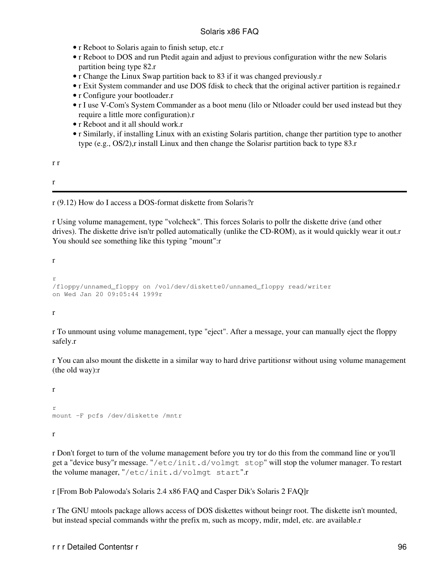- r Reboot to Solaris again to finish setup, etc.r
- r Reboot to DOS and run Ptedit again and adjust to previous configuration withr the new Solaris partition being type 82.r
- r Change the Linux Swap partition back to 83 if it was changed previously.r
- r Exit System commander and use DOS fdisk to check that the original activer partition is regained.r
- r Configure your bootloader.r
- r I use V-Com's System Commander as a boot menu (lilo or Ntloader could ber used instead but they require a little more configuration).r
- r Reboot and it all should work.r
- r Similarly, if installing Linux with an existing Solaris partition, change ther partition type to another type (e.g., OS/2),r install Linux and then change the Solarisr partition back to type 83.r

r r

r

r (9.12) How do I access a DOS-format diskette from Solaris?r

r Using volume management, type "volcheck". This forces Solaris to pollr the diskette drive (and other drives). The diskette drive isn'tr polled automatically (unlike the CD-ROM), as it would quickly wear it out.r You should see something like this typing "mount":r

r

```
r
/floppy/unnamed_floppy on /vol/dev/diskette0/unnamed_floppy read/writer
on Wed Jan 20 09:05:44 1999r
```
r

r To unmount using volume management, type "eject". After a message, your can manually eject the floppy safely.r

r You can also mount the diskette in a similar way to hard drive partitionsr without using volume management (the old way):r

```
r
r
mount -F pcfs /dev/diskette /mntr
```
r

r Don't forget to turn of the volume management before you try tor do this from the command line or you'll get a "device busy"r message. "/etc/init.d/volmgt stop" will stop the volumer manager. To restart the volume manager, "/etc/init.d/volmgt start".r

r [From Bob Palowoda's Solaris 2.4 x86 FAQ and Casper Dik's Solaris 2 FAQ]r

r The GNU mtools package allows access of DOS diskettes without beingr root. The diskette isn't mounted, but instead special commands withr the prefix m, such as mcopy, mdir, mdel, etc. are available.r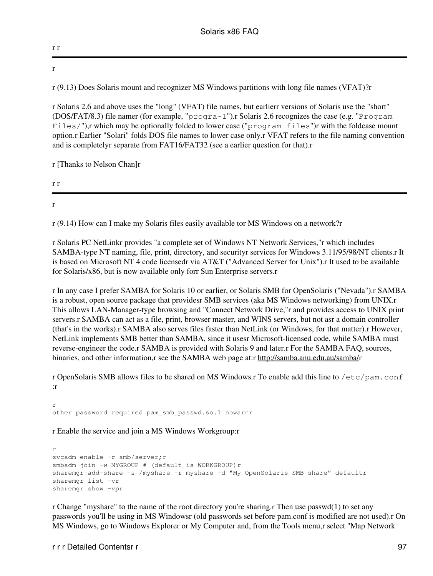r r

r

r (9.13) Does Solaris mount and recognizer MS Windows partitions with long file names (VFAT)?r

r Solaris 2.6 and above uses the "long" (VFAT) file names, but earlierr versions of Solaris use the "short" (DOS/FAT/8.3) file namer (for example, "progra~1").r Solaris 2.6 recognizes the case (e.g. "Program Files/"),r which may be optionally folded to lower case ("program files")r with the foldcase mount option.r Earlier "Solari" folds DOS file names to lower case only.r VFAT refers to the file naming convention and is completelyr separate from FAT16/FAT32 (see a earlier question for that).r

r [Thanks to Nelson Chan]r

r r

r

r (9.14) How can I make my Solaris files easily available tor MS Windows on a network?r

r Solaris PC NetLinkr provides "a complete set of Windows NT Network Services,"r which includes SAMBA-type NT naming, file, print, directory, and securityr services for Windows 3.11/95/98/NT clients.r It is based on Microsoft NT 4 code licensedr via AT&T ("Advanced Server for Unix").r It used to be available for Solaris/x86, but is now available only forr Sun Enterprise servers.r

r In any case I prefer SAMBA for Solaris 10 or earlier, or Solaris SMB for OpenSolaris ("Nevada").r SAMBA is a robust, open source package that providesr SMB services (aka MS Windows networking) from UNIX.r This allows LAN-Manager-type browsing and "Connect Network Drive,"r and provides access to UNIX print servers.r SAMBA can act as a file, print, browser master, and WINS servers, but not asr a domain controller (that's in the works).r SAMBA also serves files faster than NetLink (or Windows, for that matter).r However, NetLink implements SMB better than SAMBA, since it usesr Microsoft-licensed code, while SAMBA must reverse-engineer the code.r SAMBA is provided with Solaris 9 and later.r For the SAMBA FAQ, sources, binaries, and other information,r see the SAMBA web page at:r<http://samba.anu.edu.au/samba/>r

r OpenSolaris SMB allows files to be shared on MS Windows.r To enable add this line to /etc/pam.conf :r

r other password required pam\_smb\_passwd.so.1 nowarnr

r Enable the service and join a MS Windows Workgroup:r

```
r
svcadm enable -r smb/server;r
smbadm join -w MYGROUP # (default is WORKGROUP)r
sharemgr add-share -s /myshare -r myshare -d "My OpenSolaris SMB share" defaultr
sharemgr list -vr
sharemgr show -vpr
```
r Change "myshare" to the name of the root directory you're sharing. Then use passwd $(1)$  to set any passwords you'll be using in MS Windowsr (old passwords set before pam.conf is modified are not used).r On MS Windows, go to Windows Explorer or My Computer and, from the Tools menu,r select "Map Network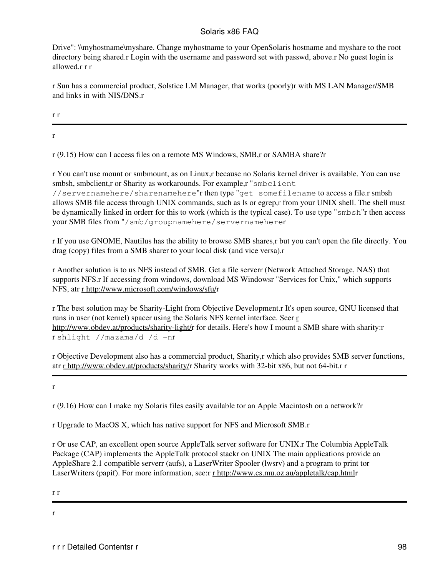Drive": \\myhostname\myshare. Change myhostname to your OpenSolaris hostname and myshare to the root directory being shared.r Login with the username and password set with passwd, above.r No guest login is allowed.r r r

r Sun has a commercial product, Solstice LM Manager, that works (poorly)r with MS LAN Manager/SMB and links in with NIS/DNS.r

r r

r

r (9.15) How can I access files on a remote MS Windows, SMB,r or SAMBA share?r

r You can't use mount or smbmount, as on Linux,r because no Solaris kernel driver is available. You can use smbsh, smbclient,r or Sharity as workarounds. For example,r "smbclient"

//servernamehere/sharenamehere"r then type "get somefilename to access a file.r smbsh allows SMB file access through UNIX commands, such as ls or egrep,r from your UNIX shell. The shell must be dynamically linked in orderr for this to work (which is the typical case). To use type "smbsh"r then access your SMB files from "/smb/groupnamehere/servernameherer

r If you use GNOME, Nautilus has the ability to browse SMB shares,r but you can't open the file directly. You drag (copy) files from a SMB sharer to your local disk (and vice versa).r

r Another solution is to us NFS instead of SMB. Get a file serverr (Network Attached Storage, NAS) that supports NFS.r If accessing from windows, download MS Windowsr "Services for Unix," which supports NFS, atr [r http://www.microsoft.com/windows/sfu/r](http://www.microsoft.com/windows/sfu/)

r The best solution may be Sharity-Light from Objective Development.r It's open source, GNU licensed that runs in user (not kernel) spacer using the Solaris NFS kernel interface. Seer [r](http://www.obdev.at/products/sharity-light/) <http://www.obdev.at/products/sharity-light/>r for details. Here's how I mount a SMB share with sharity:r r shlight //mazama/d /d -nr

r Objective Development also has a commercial product, Sharity,r which also provides SMB server functions, atr [r http://www.obdev.at/products/sharity/](http://www.obdev.at/products/sharity/)r Sharity works with 32-bit x86, but not 64-bit.r r

r

r (9.16) How can I make my Solaris files easily available tor an Apple Macintosh on a network?r

r Upgrade to MacOS X, which has native support for NFS and Microsoft SMB.r

r Or use CAP, an excellent open source AppleTalk server software for UNIX.r The Columbia AppleTalk Package (CAP) implements the AppleTalk protocol stackr on UNIX The main applications provide an AppleShare 2.1 compatible serverr (aufs), a LaserWriter Spooler (lwsrv) and a program to print tor LaserWriters (papif). For more information, see:r [r http://www.cs.mu.oz.au/appletalk/cap.html](http://www.cs.mu.oz.au/appletalk/cap.html)r

r r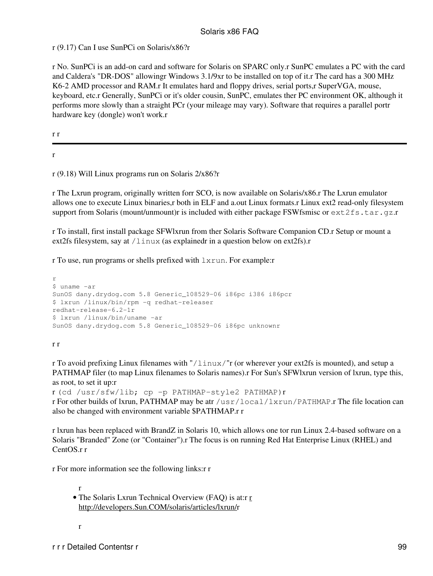r (9.17) Can I use SunPCi on Solaris/x86?r

r No. SunPCi is an add-on card and software for Solaris on SPARC only.r SunPC emulates a PC with the card and Caldera's "DR-DOS" allowingr Windows 3.1/9xr to be installed on top of it.r The card has a 300 MHz K6-2 AMD processor and RAM.r It emulates hard and floppy drives, serial ports,r SuperVGA, mouse, keyboard, etc.r Generally, SunPCi or it's older cousin, SunPC, emulates ther PC environment OK, although it performs more slowly than a straight PCr (your mileage may vary). Software that requires a parallel portr hardware key (dongle) won't work.r

r r

r

r (9.18) Will Linux programs run on Solaris 2/x86?r

r The Lxrun program, originally written forr SCO, is now available on Solaris/x86.r The Lxrun emulator allows one to execute Linux binaries,r both in ELF and a.out Linux formats.r Linux ext2 read-only filesystem support from Solaris (mount/unmount)r is included with either package FSWfsmisc or ext2fs.tar.gz.r

r To install, first install package SFWlxrun from ther Solaris Software Companion CD.r Setup or mount a ext2fs filesystem, say at  $/$ linux (as explainedr in a question below on ext2fs).r

r To use, run programs or shells prefixed with lxrun. For example:r

```
r
$ uname -ar
SunOS dany.drydog.com 5.8 Generic_108529-06 i86pc i386 i86pcr
$ lxrun /linux/bin/rpm -q redhat-releaser
redhat-release-6.2-1r
$ lxrun /linux/bin/uname -ar
SunOS dany.drydog.com 5.8 Generic_108529-06 i86pc unknownr
```
r r

r To avoid prefixing Linux filenames with "/linux/"r (or wherever your ext2fs is mounted), and setup a PATHMAP filer (to map Linux filenames to Solaris names).r For Sun's SFWlxrun version of lxrun, type this, as root, to set it up:r

```
r (cd /usr/sfw/lib; cp -p PATHMAP-style2 PATHMAP)r
r For other builds of lxrun, PATHMAP may be atr /usr/local/lxrun/PATHMAP.r The file location can
also be changed with environment variable $PATHMAP.r r
```
r lxrun has been replaced with BrandZ in Solaris 10, which allows one tor run Linux 2.4-based software on a Solaris "Branded" Zone (or "Container").r The focus is on running Red Hat Enterprise Linux (RHEL) and CentOS.r r

r For more information see the following links:r r

r • The Sola[r](http://developers.Sun.COM/solaris/articles/lxrun/)is Lxrun Technical Overview (FAQ) is at:r *r* [http://developers.Sun.COM/solaris/articles/lxrun/r](http://developers.Sun.COM/solaris/articles/lxrun/)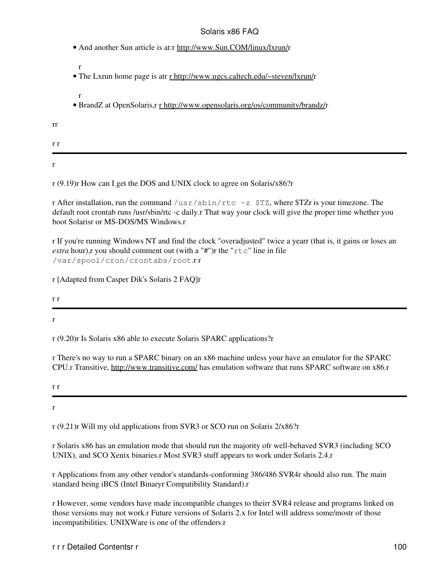• And another Sun article is at:r [http://www.Sun.COM/linux/lxrun/r](http://www.Sun.COM/linux/lxrun/)

r

r

- The Lxrun home page is atr [r http://www.ugcs.caltech.edu/~steven/lxrun/](http://www.ugcs.caltech.edu/~steven/lxrun/)r
- BrandZ at OpenSolaris,r [r http://www.opensolaris.org/os/community/brandz/](http://www.opensolaris.org/os/community/brandz/)r

rr

r r

r

r (9.19)r How can I get the DOS and UNIX clock to agree on Solaris/x86?r

r After installation, run the command /usr/sbin/rtc  $-z$  \$TZ, where \$TZr is your timezone. The default root crontab runs /usr/sbin/rtc -c daily.r That way your clock will give the proper time whether you boot Solarisr or MS-DOS/MS Windows.r

r If you're running Windows NT and find the clock "overadjusted" twice a yearr (that is, it gains or loses an *extra* hour), r you should comment out (with a "#")r the " $r \text{t}c$ " line in file /var/spool/cron/crontabs/root.r r

r [Adapted from Casper Dik's Solaris 2 FAQ]r

r r

r

r (9.20)r Is Solaris x86 able to execute Solaris SPARC applications?r

r There's no way to run a SPARC binary on an x86 machine unless your have an emulator for the SPARC CPU.r Transitive, <http://www.transitive.com/> has emulation software that runs SPARC software on x86.r

r r

r

r (9.21)r Will my old applications from SVR3 or SCO run on Solaris 2/x86?r

r Solaris x86 has an emulation mode that should run the majority ofr well-behaved SVR3 (including SCO UNIX), and SCO Xenix binaries.r Most SVR3 stuff appears to work under Solaris 2.4.r

r Applications from any other vendor's standards-conforming 386/486 SVR4r should also run. The main standard being iBCS (Intel Binaryr Compatibility Standard).r

r However, some vendors have made incompatible changes to theirr SVR4 release and programs linked on those versions may not work.r Future versions of Solaris 2.x for Intel will address some/mostr of those incompatibilities. UNIXWare is one of the offenders.r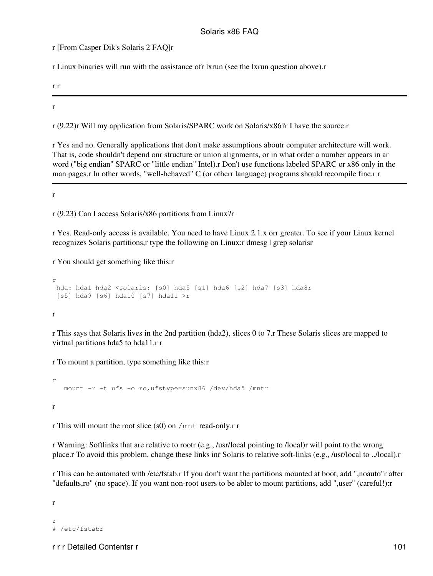r [From Casper Dik's Solaris 2 FAQ]r

r Linux binaries will run with the assistance ofr lxrun (see the lxrun question above).r

r r

#### r

r (9.22)r Will my application from Solaris/SPARC work on Solaris/x86?r I have the source.r

r Yes and no. Generally applications that don't make assumptions aboutr computer architecture will work. That is, code shouldn't depend onr structure or union alignments, or in what order a number appears in ar word ("big endian" SPARC or "little endian" Intel).r Don't use functions labeled SPARC or x86 only in the man pages.r In other words, "well-behaved" C (or otherr language) programs should recompile fine.r r

r

r (9.23) Can I access Solaris/x86 partitions from Linux?r

r Yes. Read-only access is available. You need to have Linux 2.1.x orr greater. To see if your Linux kernel recognizes Solaris partitions,r type the following on Linux:r dmesg | grep solarisr

r You should get something like this:r

```
r
 hda: hda1 hda2 <solaris: [s0] hda5 [s1] hda6 [s2] hda7 [s3] hda8r
 [s5] hda9 [s6] hda10 [s7] hda11 >r
```
r

r This says that Solaris lives in the 2nd partition (hda2), slices 0 to 7.r These Solaris slices are mapped to virtual partitions hda5 to hda11.r r

r To mount a partition, type something like this:r

```
r
    mount -r -t ufs -o ro,ufstype=sunx86 /dev/hda5 /mntr
r
```
r This will mount the root slice (s0) on /mnt read-only.r r

r Warning: Softlinks that are relative to rootr (e.g., /usr/local pointing to /local)r will point to the wrong place.r To avoid this problem, change these links inr Solaris to relative soft-links (e.g., /usr/local to ../local).r

r This can be automated with /etc/fstab.r If you don't want the partitions mounted at boot, add ",noauto"r after "defaults,ro" (no space). If you want non-root users to be abler to mount partitions, add ",user" (careful!):r

r

r # /etc/fstabr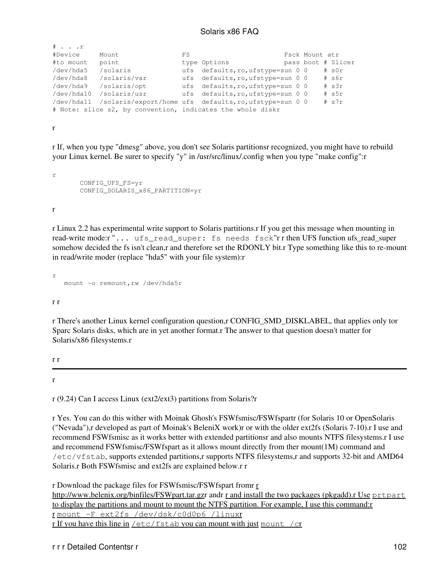| # r        |                                                            |    |                                   |  |                |                    |
|------------|------------------------------------------------------------|----|-----------------------------------|--|----------------|--------------------|
| #Device    | Mount                                                      | FS |                                   |  | Fsck Mount atr |                    |
| #to mount  | point                                                      |    | type Options                      |  |                | pass boot # Slicer |
| /dev/hda5  | /solaris                                                   |    | ufs defaults, ro, ufstype=sun 0 0 |  |                | $#$ s $0r$         |
| /dev/hda8  | /solaris/var                                               |    | ufs defaults, ro, ufstype=sun 0 0 |  |                | # s6r              |
| /dev/hda9  | /solaris/opt                                               |    | ufs defaults, ro, ufstype=sun 0 0 |  |                | $#$ s3r            |
| /dev/hda10 | /solaris/usr                                               |    | ufs defaults, ro, ufstype=sun 0 0 |  |                | $#$ s5r            |
| /dev/hda11 | /solaris/export/home ufs defaults, ro, ufstype=sun 0 0     |    |                                   |  |                | $#$ s7r            |
|            | # Note: slice s2, by convention, indicates the whole diskr |    |                                   |  |                |                    |

r

r If, when you type "dmesg" above, you don't see Solaris partitionsr recognized, you might have to rebuild your Linux kernel. Be surer to specify "y" in /usr/src/linux/.config when you type "make config":r

r CONFIG\_UFS\_FS=yr CONFIG\_SOLARIS\_x86\_PARTITION=yr

r

r Linux 2.2 has experimental write support to Solaris partitions.r If you get this message when mounting in read-write mode:r "... ufs\_read\_super: fs needs fsck"r r then UFS function ufs\_read\_super somehow decided the fs isn't clean,r and therefore set the RDONLY bit.r Type something like this to re-mount in read/write moder (replace "hda5" with your file system):r

r mount -o remount, rw /dev/hda5r

r r

r There's another Linux kernel configuration question,r CONFIG\_SMD\_DISKLABEL, that applies only tor Sparc Solaris disks, which are in yet another format.r The answer to that question doesn't matter for Solaris/x86 filesystems.r

r r

r

r (9.24) Can I access Linux (ext2/ext3) partitions from Solaris?r

r Yes. You can do this wither with Moinak Ghosh's FSWfsmisc/FSWfspartr (for Solaris 10 or OpenSolaris ("Nevada"),r developed as part of Moinak's BeleniX work)r or with the older ext2fs (Solaris 7-10).r I use and recommend FSWfsmisc as it works better with extended partitionsr and also mounts NTFS filesystems.r I use and recommend FSWfsmisc/FSWfspart as it allows mount directly from ther mount(1M) command and /etc/vfstab, supports extended partitions,r supports NTFS filesystems,r and supports 32-bit and AMD64 Solaris.r Both FSWfsmisc and ext2fs are explained below.r r

[r](http://www.belenix.org/binfiles/FSWpart.tar.gz) Download the package files for FSWfsmisc/FSWfspart from r [http://www.belenix.org/binfiles/FSWpart.tar.gzr](http://www.belenix.org/binfiles/FSWpart.tar.gz) andr [r and install the two packages \(pkgadd\).r Use](http://www.belenix.org/binfiles/FSWfsmisc.tar.gz) [prtpart](http://www.belenix.org/binfiles/FSWfsmisc.tar.gz) [to display the partitions and mount to mount the NTFS partition. For example, I use this command:r](http://www.belenix.org/binfiles/FSWfsmisc.tar.gz)

[r](http://www.belenix.org/binfiles/FSWfsmisc.tar.gz) [mount -F ext2fs /dev/dsk/c0d0p6 /linux](http://www.belenix.org/binfiles/FSWfsmisc.tar.gz)r

[r If you have this line in](http://www.belenix.org/binfiles/FSWfsmisc.tar.gz)  $/etc/fstab$  [you can mount with just](http://www.belenix.org/binfiles/FSWfsmisc.tar.gz) [mount /c](http://www.belenix.org/binfiles/FSWfsmisc.tar.gz)r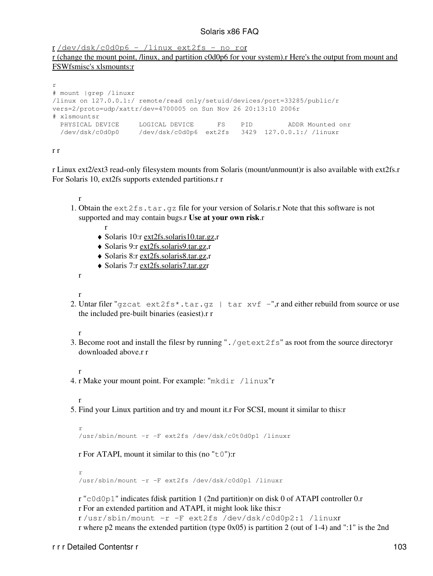[r](http://www.belenix.org/binfiles/FSWfsmisc.tar.gz) [/dev/dsk/c0d0p6 - /linux ext2fs - no ro](http://www.belenix.org/binfiles/FSWfsmisc.tar.gz)r

[r \(change the mount point, /linux, and partition c0d0p6 for your system\).r Here's the output from mount and](http://www.belenix.org/binfiles/FSWfsmisc.tar.gz) [FSWfsmisc's xlsmounts:r](http://www.belenix.org/binfiles/FSWfsmisc.tar.gz)

```
r
# mount |grep /linuxr
/linux on 127.0.0.1:/ remote/read only/setuid/devices/port=33285/public/r
vers=2/proto=udp/xattr/dev=4700005 on Sun Nov 26 20:13:10 2006r
# xlsmountsr
 PHYSICAL DEVICE LOGICAL DEVICE FS PID ADDR Mounted onr
 /dev/dsk/c0d0p0 /dev/dsk/c0d0p6 ext2fs 3429 127.0.0.1:/ /linuxr
```
r r

r Linux ext2/ext3 read-only filesystem mounts from Solaris (mount/unmount)r is also available with ext2fs.r For Solaris 10, ext2fs supports extended partitions.r r

r

r

- 1. Obtain the ext 2fs.tar.gz file for your version of Solaris.r Note that this software is not supported and may contain bugs.r **Use at your own risk**.r
	- ♦ Solaris 10:r [ext2fs.solaris10.tar.gz,](ftp://ftp.sun.drydog.com/pub/solaris/ext2fs.solaris10.tar.gz)r
	- ♦ Solaris 9:r [ext2fs.solaris9.tar.gz,](ftp://ftp.sun.drydog.com/pub/solaris/ext2fs.solaris9.tar.gz)r
	- ♦ Solaris 8:r [ext2fs.solaris8.tar.gz,](ftp://ftp.sun.drydog.com/pub/solaris/ext2fs.solaris8.tar.gz)r
	- ♦ Solaris 7:r [ext2fs.solaris7.tar.gzr](ftp://ftp.sun.drydog.com/pub/solaris/ext2fs.solaris7.tar.gz)

r

- r
- 2. Untar filer "gzcat ext2fs\*.tar.gz | tar xvf -",r and either rebuild from source or use the included pre-built binaries (easiest).r r

r

Become root and install the filesr by running "./getext2fs" as root from the source directoryr 3. downloaded above.r r

r

4. r Make your mount point. For example: "mkdir /linux"r

r

Find your Linux partition and try and mount it.r For SCSI, mount it similar to this:r 5.

r /usr/sbin/mount -r -F ext2fs /dev/dsk/c0t0d0p1 /linuxr

r For ATAPI, mount it similar to this (no " $\pm 0$ "):

r /usr/sbin/mount -r -F ext2fs /dev/dsk/c0d0p1 /linuxr

r "c0d0p1" indicates fdisk partition 1 (2nd partition)r on disk 0 of ATAPI controller 0.r r For an extended partition and ATAPI, it might look like this:r r /usr/sbin/mount -r -F ext2fs /dev/dsk/c0d0p2:1 /linuxr r where p2 means the extended partition (type 0x05) is partition 2 (out of 1-4) and ":1" is the 2nd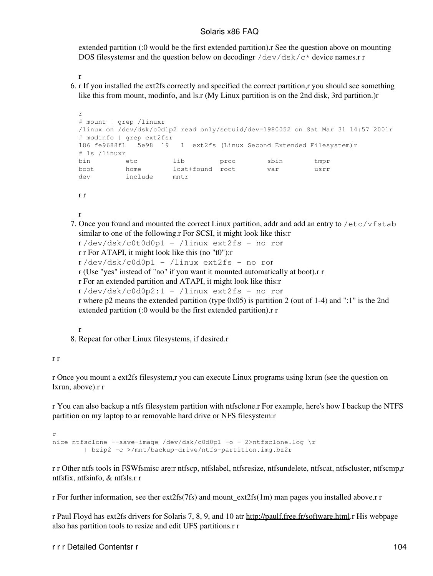extended partition (:0 would be the first extended partition).r See the question above on mounting DOS filesystemsr and the question below on decodingr  $/$ dev $/$ dsk $/$ c\* device names.r r

```
r
```
6. r If you installed the ext2fs correctly and specified the correct partition,r you should see something like this from mount, modinfo, and ls.r (My Linux partition is on the 2nd disk, 3rd partition.)r

```
r
# mount | grep /linuxr
/linux on /dev/dsk/c0d1p2 read only/setuid/dev=1980052 on Sat Mar 31 14:57 2001r
# modinfo | grep ext2fsr
186 fe9688f1 5e98 19 1 ext2fs (Linux Second Extended Filesystem)r
# ls /linuxr
bin etc lib proc sbin tmpr
boot home lost+found root var usrr
boot home lost-<br>dev include mntr
```
r r

```
r
```
7. Once you found and mounted the correct Linux partition, addr and add an entry to /etc/vfstab similar to one of the following.r For SCSI, it might look like this:r

```
r /dev/dsk/c0t0d0p1 - /linux ext2fs - no ror
r r For ATAPI, it might look like this (no "t0"):r
```

```
r /dev/dsk/c0d0p1 - /linux ext2fs - no ror
```
r (Use "yes" instead of "no" if you want it mounted automatically at boot).r r

```
r For an extended partition and ATAPI, it might look like this:r
```

```
r /dev/dsk/c0d0p2:1 - /linux ext2fs - no ror
```

```
r where p2 means the extended partition (type 0x05) is partition 2 (out of 1-4) and ":1" is the 2nd
extended partition (:0 would be the first extended partition).r r
```
r

8. Repeat for other Linux filesystems, if desired.r

#### r r

r Once you mount a ext2fs filesystem,r you can execute Linux programs using lxrun (see the question on lxrun, above).r r

r You can also backup a ntfs filesystem partition with ntfsclone.r For example, here's how I backup the NTFS partition on my laptop to ar removable hard drive or NFS filesystem:r

```
r
nice ntfsclone --save-image /dev/dsk/c0d0p1 -o - 2>ntfsclone.log \r
        | bzip2 -c >/mnt/backup-drive/ntfs-partition.img.bz2r
```
r r Other ntfs tools in FSWfsmisc are:r ntfscp, ntfslabel, ntfsresize, ntfsundelete, ntfscat, ntfscluster, ntfscmp,r ntfsfix, ntfsinfo, & ntfsls.r r

r For further information, see ther  $ext2fs(7fs)$  and mount  $ext2fs(1m)$  man pages you installed above.r r

r Paul Floyd has ext2fs drivers for Solaris 7, 8, 9, and 10 atr [http://paulf.free.fr/software.html.](http://paulf.free.fr/software.html)r His webpage also has partition tools to resize and edit UFS partitions.r r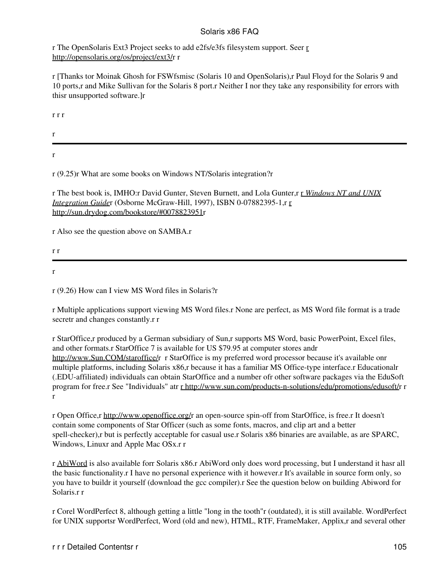r The OpenSolaris Ext3 Project seeks to add e2fs/e3fs filesystem support. Seer [r](http://opensolaris.org/os/project/ext3/) <http://opensolaris.org/os/project/ext3/>r r

r [Thanks tor Moinak Ghosh for FSWfsmisc (Solaris 10 and OpenSolaris),r Paul Floyd for the Solaris 9 and 10 ports,r and Mike Sullivan for the Solaris 8 port.r Neither I nor they take any responsibility for errors with thisr unsupported software.]r

r r r

r

r

r (9.25)r What are some books on Windows NT/Solaris integration?r

r The best book is, IMHO:r David Gunter, Steven Burnett, and Lola Gunter,r r *[Windows NT and UNIX](http://sun.drydog.com/bookstore/#0078823951) [Integration Guide](http://sun.drydog.com/bookstore/#0078823951)*r (Osborne McGraw-Hill, 1997), ISBN 0-07882395-1,r [r](http://sun.drydog.com/bookstore/#0078823951) <http://sun.drydog.com/bookstore/#0078823951>r

r Also see the question above on SAMBA.r

r r

r

r (9.26) How can I view MS Word files in Solaris?r

r Multiple applications support viewing MS Word files.r None are perfect, as MS Word file format is a trade secretr and changes constantly.r r

r StarOffice,r produced by a German subsidiary of Sun,r supports MS Word, basic PowerPoint, Excel files, and other formats.r StarOffice 7 is available for US \$79.95 at computer stores andr <http://www.Sun.COM/staroffice/>r r StarOffice is my preferred word processor because it's available onr multiple platforms, including Solaris x86,r because it has a familiar MS Office-type interface.r Educationalr (.EDU-affiliated) individuals can obtain StarOffice and a number ofr other software packages via the EduSoft program for free.r See "Individuals" atr [r http://www.sun.com/products-n-solutions/edu/promotions/edusoft/](http://www.sun.com/products-n-solutions/edu/promotions/edusoft/)r r r

r Open Office,r [http://www.openoffice.org/r](http://www.openoffice.org/) an open-source spin-off from StarOffice, is free.r It doesn't contain some components of Star Officer (such as some fonts, macros, and clip art and a better spell-checker),r but is perfectly acceptable for casual use.r Solaris x86 binaries are available, as are SPARC, Windows, Linuxr and Apple Mac OSx.r r

r [AbiWord](http://www.abisource.com/) is also available forr Solaris x86.r AbiWord only does word processing, but I understand it hasr all the basic functionality.r I have no personal experience with it however.r It's available in source form only, so you have to buildr it yourself (download the gcc compiler).r See the question below on building Abiword for Solaris.r r

r Corel WordPerfect 8, although getting a little "long in the tooth"r (outdated), it is still available. WordPerfect for UNIX supportsr WordPerfect, Word (old and new), HTML, RTF, FrameMaker, Applix,r and several other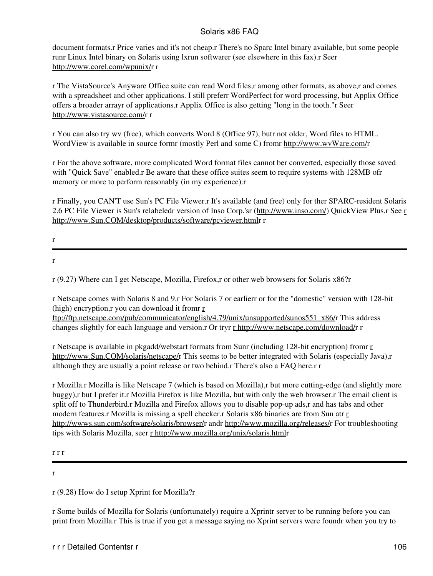document formats.r Price varies and it's not cheap.r There's no Sparc Intel binary available, but some people runr Linux Intel binary on Solaris using lxrun softwarer (see elsewhere in this fax).r Seer [http://www.corel.com/wpunix/r](http://www.corel.com/wpunix/) r

r The VistaSource's Anyware Office suite can read Word files,r among other formats, as above,r and comes with a spreadsheet and other applications. I still preferr WordPerfect for word processing, but Applix Office offers a broader arrayr of applications.r Applix Office is also getting "long in the tooth."r Seer <http://www.vistasource.com/>r r

r You can also try wv (free), which converts Word 8 (Office 97), butr not older, Word files to HTML. WordView is available in source formr (mostly Perl and some C) fromr [http://www.wvWare.com/r](http://www.wvWare.com/)

r For the above software, more complicated Word format files cannot ber converted, especially those saved with "Quick Save" enabled.r Be aware that these office suites seem to require systems with 128MB ofr memory or more to perform reasonably (in my experience).r

r Finally, you CAN'T use Sun's PC File Viewer.r It's available (and free) only for ther SPARC-resident Solaris 2.6 PC File Viewer is Sun's relabeledr version of Inso Corp.'sr [\(http://www.inso.com/](http://www.inso.com/)) QuickView Plus.r See [r](http://www.Sun.COM/desktop/products/software/pcviewer.html) <http://www.Sun.COM/desktop/products/software/pcviewer.html>r r

- r
- r

r (9.27) Where can I get Netscape, Mozilla, Firefox,r or other web browsers for Solaris x86?r

r Netscape comes with Solaris 8 and 9.r For Solaris 7 or earlierr or for the "domestic" version with 128-bit (high) encryption,r you can download it fromr [r](ftp://ftp.netscape.com/pub/communicator/english/4.79/unix/unsupported/sunos551_x86/)

[ftp://ftp.netscape.com/pub/communicator/english/4.79/unix/unsupported/sunos551\\_x86/r](ftp://ftp.netscape.com/pub/communicator/english/4.79/unix/unsupported/sunos551_x86/) This address changes slightly for each language and version.r Or tryr [r http://www.netscape.com/download/](http://www.netscape.com/download/)r r

r Netscape is available in pkgadd/webstart formats from Sunr (including 128-bit encryption) fromr [r](http://www.Sun.COM/solaris/netscape/) [http://www.Sun.COM/solaris/netscape/r](http://www.Sun.COM/solaris/netscape/) This seems to be better integrated with Solaris (especially Java),r although they are usually a point release or two behind.r There's also a FAQ here.r r

r Mozilla.r Mozilla is like Netscape 7 (which is based on Mozilla),r but more cutting-edge (and slightly more buggy),r but I prefer it.r Mozilla Firefox is like Mozilla, but with only the web browser.r The email client is split off to Thunderbird.r Mozilla and Firefox allows you to disable pop-up ads,r and has tabs and other modern features.r Mozilla is missing a spell checker.r Solaris x86 binaries are from Sun atr [r](http://wwws.sun.com/software/solaris/browser/) <http://wwws.sun.com/software/solaris/browser/>r andr<http://www.mozilla.org/releases/>r For troubleshooting tips with Solaris Mozilla, seer [r http://www.mozilla.org/unix/solaris.htmlr](http://www.mozilla.org/unix/solaris.html)

r r r

r

r (9.28) How do I setup Xprint for Mozilla?r

r Some builds of Mozilla for Solaris (unfortunately) require a Xprintr server to be running before you can print from Mozilla.r This is true if you get a message saying no Xprint servers were foundr when you try to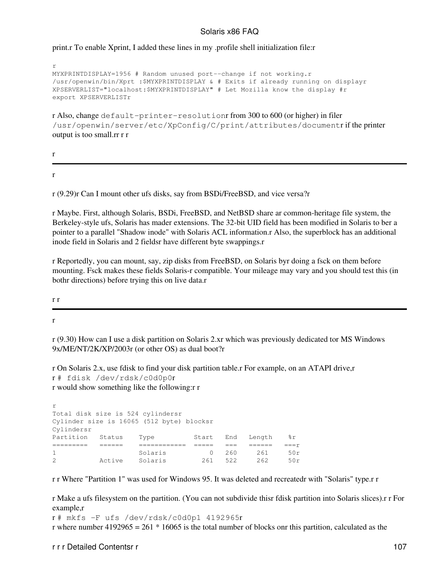print.r To enable Xprint, I added these lines in my .profile shell initialization file:r

```
r
MYXPRINTDISPLAY=1956 # Random unused port--change if not working.r
/usr/openwin/bin/Xprt :$MYXPRINTDISPLAY & # Exits if already running on displayr
XPSERVERLIST="localhost:$MYXPRINTDISPLAY" # Let Mozilla know the display #r
export XPSERVERLISTr
```
r Also, change default-printer-resolutionr from 300 to 600 (or higher) in filer /usr/openwin/server/etc/XpConfig/C/print/attributes/documentr if the printer output is too small.rr r r

r

r

r (9.29)r Can I mount other ufs disks, say from BSDi/FreeBSD, and vice versa?r

r Maybe. First, although Solaris, BSDi, FreeBSD, and NetBSD share ar common-heritage file system, the Berkeley-style ufs, Solaris has mader extensions. The 32-bit UID field has been modified in Solaris to ber a pointer to a parallel "Shadow inode" with Solaris ACL information.r Also, the superblock has an additional inode field in Solaris and 2 fieldsr have different byte swappings.r

r Reportedly, you can mount, say, zip disks from FreeBSD, on Solaris byr doing a fsck on them before mounting. Fsck makes these fields Solaris-r compatible. Your mileage may vary and you should test this (in bothr directions) before trying this on live data.r

r r

r

r (9.30) How can I use a disk partition on Solaris 2.xr which was previously dedicated tor MS Windows 9x/ME/NT/2K/XP/2003r (or other OS) as dual boot?r

r On Solaris 2.x, use fdisk to find your disk partition table.r For example, on an ATAPI drive,r r # fdisk /dev/rdsk/c0d0p0r r would show something like the following:r r

| r                                         |        |         |       |     |        |       |  |  |
|-------------------------------------------|--------|---------|-------|-----|--------|-------|--|--|
| Total disk size is 524 cylindersr         |        |         |       |     |        |       |  |  |
| Cylinder size is 16065 (512 byte) blocksr |        |         |       |     |        |       |  |  |
| Cylindersr                                |        |         |       |     |        |       |  |  |
| Partition                                 | Status | Type    | Start | End | Length | %r    |  |  |
|                                           |        |         |       |     |        | $==r$ |  |  |
| $\mathbf{1}$                              |        | Solaris |       | 260 | 261    | 50r   |  |  |
| $\mathcal{L}$                             | Active | Solaris | 261   | 522 | 262    | 50r   |  |  |

r r Where "Partition 1" was used for Windows 95. It was deleted and recreatedr with "Solaris" type.r r

r Make a ufs filesystem on the partition. (You can not subdivide thisr fdisk partition into Solaris slices).r r For example,r

r # mkfs -F ufs /dev/rdsk/c0d0p1 4192965r r where number  $4192965 = 261 * 16065$  is the total number of blocks onr this partition, calculated as the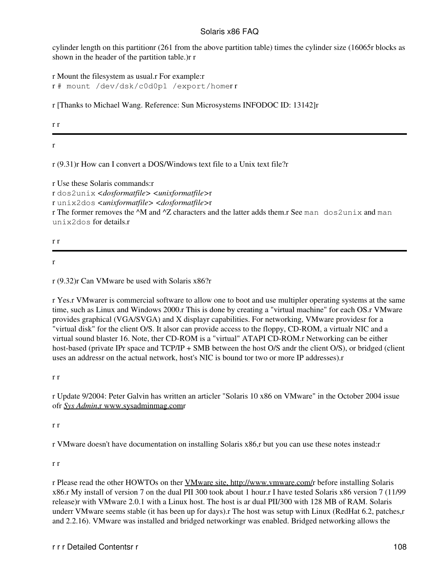cylinder length on this partitionr (261 from the above partition table) times the cylinder size (16065r blocks as shown in the header of the partition table.)r r

r Mount the filesystem as usual.r For example:r r # mount /dev/dsk/c0d0p1 /export/homer r

r [Thanks to Michael Wang. Reference: Sun Microsystems INFODOC ID: 13142]r

r r

r

r (9.31)r How can I convert a DOS/Windows text file to a Unix text file?r

r Use these Solaris commands:r r dos2unix *<dosformatfile> <unixformatfile>*r r unix2dos *<unixformatfile> <dosformatfile>*r r The former removes the  $^{\wedge}M$  and  $^{\wedge}Z$  characters and the latter adds them.r See man dos2unix and man unix2dos for details.r

r r

r

r (9.32)r Can VMware be used with Solaris x86?r

r Yes.r VMwarer is commercial software to allow one to boot and use multipler operating systems at the same time, such as Linux and Windows 2000.r This is done by creating a "virtual machine" for each OS.r VMware provides graphical (VGA/SVGA) and X displayr capabilities. For networking, VMware providesr for a "virtual disk" for the client O/S. It alsor can provide access to the floppy, CD-ROM, a virtualr NIC and a virtual sound blaster 16. Note, ther CD-ROM is a "virtual" ATAPI CD-ROM.r Networking can be either host-based (private IPr space and TCP/IP + SMB between the host O/S andr the client O/S), or bridged (client uses an addressr on the actual network, host's NIC is bound tor two or more IP addresses).r

r r

r Update 9/2004: Peter Galvin has written an articler "Solaris 10 x86 on VMware" in the October 2004 issue ofr *Sys Admin*[,r www.sysadminmag.comr](http://www.sysadminmag.com/)

r r

r VMware doesn't have documentation on installing Solaris x86,r but you can use these notes instead:r

r r

r Please read the other HOWTOs on ther [VMware site, http://www.vmware.com/r](http://www.vmware.com/) before installing Solaris x86.r My install of version 7 on the dual PII 300 took about 1 hour.r I have tested Solaris x86 version 7 (11/99 release)r with VMware 2.0.1 with a Linux host. The host is ar dual PII/300 with 128 MB of RAM. Solaris underr VMware seems stable (it has been up for days). The host was setup with Linux (RedHat 6.2, patches, r and 2.2.16). VMware was installed and bridged networkingr was enabled. Bridged networking allows the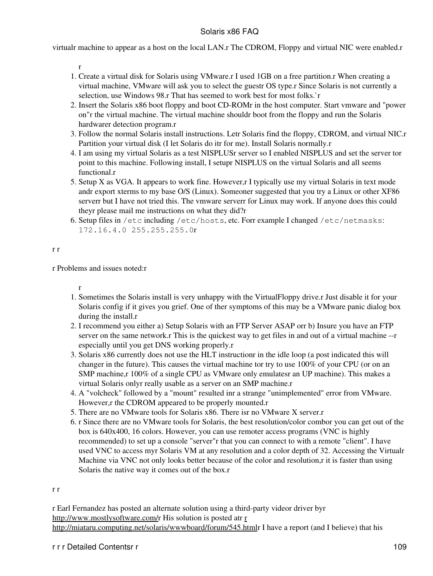virtualr machine to appear as a host on the local LAN.r The CDROM, Floppy and virtual NIC were enabled.r

r

- 1. Create a virtual disk for Solaris using VMware.r I used 1GB on a free partition.r When creating a virtual machine, VMware will ask you to select the guestr OS type.r Since Solaris is not currently a selection, use Windows 98.r That has seemed to work best for most folks.`r
- 2. Insert the Solaris x86 boot floppy and boot CD-ROMr in the host computer. Start vmware and "power on"r the virtual machine. The virtual machine shouldr boot from the floppy and run the Solaris hardwarer detection program.r
- Follow the normal Solaris install instructions. Letr Solaris find the floppy, CDROM, and virtual NIC.r 3. Partition your virtual disk (I let Solaris do itr for me). Install Solaris normally.r
- 4. I am using my virtual Solaris as a test NISPLUSr server so I enabled NISPLUS and set the server tor point to this machine. Following install, I setupr NISPLUS on the virtual Solaris and all seems functional.r
- 5. Setup X as VGA. It appears to work fine. However, I typically use my virtual Solaris in text mode andr export xterms to my base O/S (Linux). Someoner suggested that you try a Linux or other XF86 serverr but I have not tried this. The vmware serverr for Linux may work. If anyone does this could theyr please mail me instructions on what they did?r
- 6. Setup files in /etc including /etc/hosts, etc. Forr example I changed /etc/netmasks: 172.16.4.0 255.255.255.0r

#### r r

r Problems and issues noted:r

r

- 1. Sometimes the Solaris install is very unhappy with the VirtualFloppy drive.r Just disable it for your Solaris config if it gives you grief. One of ther symptoms of this may be a VMware panic dialog box during the install.r
- 2. I recommend you either a) Setup Solaris with an FTP Server ASAP orr b) Insure you have an FTP server on the same network.r This is the quickest way to get files in and out of a virtual machine --r especially until you get DNS working properly.r
- Solaris x86 currently does not use the HLT instructionr in the idle loop (a post indicated this will 3. changer in the future). This causes the virtual machine tor try to use 100% of your CPU (or on an SMP machine,r 100% of a single CPU as VMware only emulatesr an UP machine). This makes a virtual Solaris onlyr really usable as a server on an SMP machine.r
- A "volcheck" followed by a "mount" resulted inr a strange "unimplemented" error from VMware. 4. However,r the CDROM appeared to be properly mounted.r
- 5. There are no VMware tools for Solaris x86. There isr no VMware X server.r
- r Since there are no VMware tools for Solaris, the best resolution/color combor you can get out of the 6. box is 640x400, 16 colors. However, you can use remoter access programs (VNC is highly recommended) to set up a console "server"r that you can connect to with a remote "client". I have used VNC to access myr Solaris VM at any resolution and a color depth of 32. Accessing the Virtualr Machine via VNC not only looks better because of the color and resolution, r it is faster than using Solaris the native way it comes out of the box.r

r r

r Earl Fernandez has posted an alternate solution using a third-party videor driver byr <http://www.mostlysoftware.com/>r His solution is posted atr [r](http://miataru.computing.net/solaris/wwwboard/forum/545.html) <http://miataru.computing.net/solaris/wwwboard/forum/545.html>r I have a report (and I believe) that his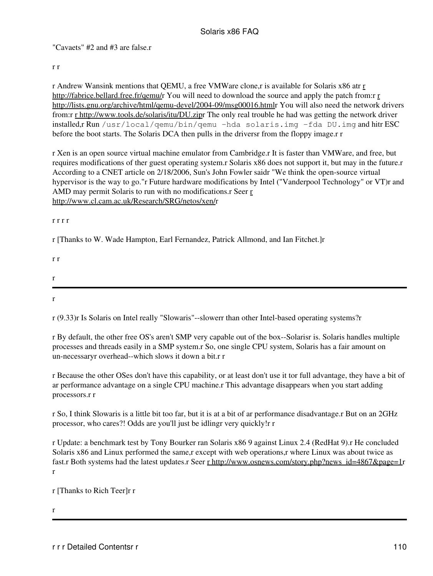"Cavaets" #2 and #3 are false.r

#### r r

r Andrew Wansink mentions that QEMU, a free VMWare clone,r is available for Solaris x86 atr [r](http://fabrice.bellard.free.fr/qemu/) [http://fabrice.bellard.free.fr/qemu/r](http://fabrice.bellard.free.fr/qemu/) You will need to download the sou[r](http://lists.gnu.org/archive/html/qemu-devel/2004-09/msg00016.html)ce and apply the patch from:r r [http://lists.gnu.org/archive/html/qemu-devel/2004-09/msg00016.htmlr](http://lists.gnu.org/archive/html/qemu-devel/2004-09/msg00016.html) You will also need the network drivers from:r [r http://www.tools.de/solaris/itu/DU.zip](http://www.tools.de/solaris/itu/DU.zip)r The only real trouble he had was getting the network driver installed,r Run /usr/local/qemu/bin/qemu -hda solaris.img -fda DU.img and hitr ESC before the boot starts. The Solaris DCA then pulls in the driversr from the floppy image.r r

r Xen is an open source virtual machine emulator from Cambridge.r It is faster than VMWare, and free, but requires modifications of ther guest operating system.r Solaris x86 does not support it, but may in the future.r According to a CNET article on 2/18/2006, Sun's John Fowler saidr "We think the open-source virtual hypervisor is the way to go."r Future hardware modifications by Intel ("Vanderpool Technology" or VT)r and AMD may permit Solaris to run with no modifications.r Seer [r](http://www.cl.cam.ac.uk/Research/SRG/netos/xen/) <http://www.cl.cam.ac.uk/Research/SRG/netos/xen/>r

#### r r r r

r [Thanks to W. Wade Hampton, Earl Fernandez, Patrick Allmond, and Ian Fitchet.]r

r (9.33)r Is Solaris on Intel really "Slowaris"--slowerr than other Intel-based operating systems?r

r By default, the other free OS's aren't SMP very capable out of the box--Solarisr is. Solaris handles multiple processes and threads easily in a SMP system.r So, one single CPU system, Solaris has a fair amount on un-necessaryr overhead--which slows it down a bit.r r

r Because the other OSes don't have this capability, or at least don't use it tor full advantage, they have a bit of ar performance advantage on a single CPU machine.r This advantage disappears when you start adding processors.r r

r So, I think Slowaris is a little bit too far, but it is at a bit of ar performance disadvantage.r But on an 2GHz processor, who cares?! Odds are you'll just be idlingr very quickly!r r

r Update: a benchmark test by Tony Bourker ran Solaris x86 9 against Linux 2.4 (RedHat 9).r He concluded Solaris x86 and Linux performed the same,r except with web operations,r where Linux was about twice as fast.r Both systems had the latest updates.r Seer [r http://www.osnews.com/story.php?news\\_id=4867&page=1](http://www.osnews.com/story.php?news_id=4867&page=1)r r

r [Thanks to Rich Teer]r r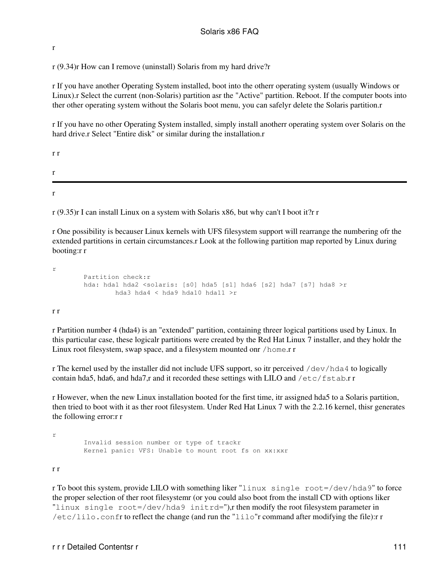r

r (9.34)r How can I remove (uninstall) Solaris from my hard drive?r

r If you have another Operating System installed, boot into the otherr operating system (usually Windows or Linux).r Select the current (non-Solaris) partition asr the "Active" partition. Reboot. If the computer boots into ther other operating system without the Solaris boot menu, you can safelyr delete the Solaris partition.r

r If you have no other Operating System installed, simply install anotherr operating system over Solaris on the hard drive.r Select "Entire disk" or similar during the installation.r

r r r r

r (9.35)r I can install Linux on a system with Solaris x86, but why can't I boot it?r r

r One possibility is becauser Linux kernels with UFS filesystem support will rearrange the numbering ofr the extended partitions in certain circumstances.r Look at the following partition map reported by Linux during booting:r r

```
r
         Partition check:r
        hda: hda1 hda2 <solaris: [s0] hda5 [s1] hda6 [s2] hda7 [s7] hda8 >r
                 hda3 hda4 < hda9 hda10 hda11 >r
```
r r

r Partition number 4 (hda4) is an "extended" partition, containing threer logical partitions used by Linux. In this particular case, these logicalr partitions were created by the Red Hat Linux 7 installer, and they holdr the Linux root filesystem, swap space, and a filesystem mounted onr /home.r r

r The kernel used by the installer did not include UFS support, so itr perceived /dev/hda4 to logically contain hda5, hda6, and hda7,r and it recorded these settings with LILO and  $/etc/fstab.r$  r

r However, when the new Linux installation booted for the first time, itr assigned hda5 to a Solaris partition, then tried to boot with it as ther root filesystem. Under Red Hat Linux 7 with the 2.2.16 kernel, thisr generates the following error:r r

r

 Invalid session number or type of trackr Kernel panic: VFS: Unable to mount root fs on xx:xxr

r r

r To boot this system, provide LILO with something liker "linux single root=/dev/hda9" to force the proper selection of ther root filesystemr (or you could also boot from the install CD with options liker "linux single  $root = /dev/hda9$  initrd="),r then modify the root filesystem parameter in  $/etc/Lilo$ . confr to reflect the change (and run the "lilo"r command after modifying the file): r r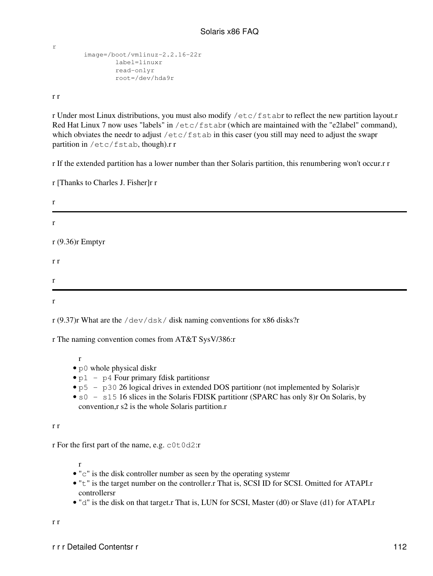```
 image=/boot/vmlinuz-2.2.16-22r
         label=linuxr
         read-onlyr
         root=/dev/hda9r
```
r r

r

r Under most Linux distributions, you must also modify /etc/fstabr to reflect the new partition layout.r Red Hat Linux 7 now uses "labels" in /etc/fstabr (which are maintained with the "e2label" command), which obviates the needr to adjust /etc/fstab in this caser (you still may need to adjust the swapr partition in /etc/fstab, though).r r

r If the extended partition has a lower number than ther Solaris partition, this renumbering won't occur.r r

r [Thanks to Charles J. Fisher]r r

| r                |  |
|------------------|--|
| $\bf r$          |  |
| r (9.36)r Emptyr |  |
| r r              |  |
| $\bf r$          |  |
| $\bf r$          |  |

r (9.37)r What are the  $/$ dev $/$ dsk $/$  disk naming conventions for x86 disks?r

r The naming convention comes from AT&T SysV/386:r

- r
- p0 whole physical diskr
- $p1 p4$  Four primary fdisk partitionsr
- p5 p30 26 logical drives in extended DOS partitionr (not implemented by Solaris)r
- s0 s15 16 slices in the Solaris FDISK partitionr (SPARC has only 8)r On Solaris, by convention,r s2 is the whole Solaris partition.r

r r

r For the first part of the name, e.g.  $c0t0d2:r$ 

- $\bullet$  " $\circ$ " is the disk controller number as seen by the operating system  $\bullet$
- "t" is the target number on the controller.r That is, SCSI ID for SCSI. Omitted for ATAPI.r controllersr
- "d" is the disk on that target.r That is, LUN for SCSI, Master (d0) or Slave (d1) for ATAPI.r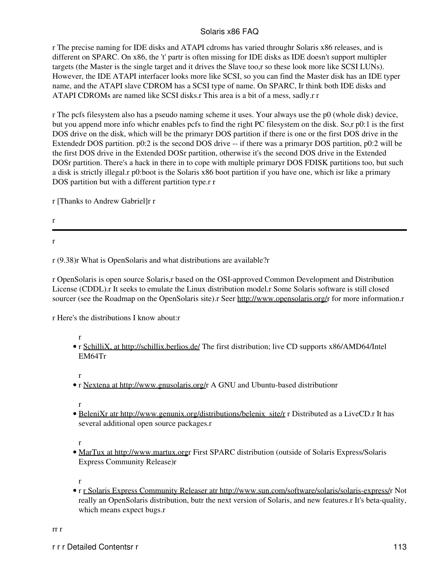r The precise naming for IDE disks and ATAPI cdroms has varied throughr Solaris x86 releases, and is different on SPARC. On x86, the 't' partr is often missing for IDE disks as IDE doesn't support multipler targets (the Master is the single target and it drives the Slave too,r so these look more like SCSI LUNs). However, the IDE ATAPI interfacer looks more like SCSI, so you can find the Master disk has an IDE typer name, and the ATAPI slave CDROM has a SCSI type of name. On SPARC, Ir think both IDE disks and ATAPI CDROMs are named like SCSI disks.r This area is a bit of a mess, sadly.r r

r The pcfs filesystem also has a pseudo naming scheme it uses. Your always use the p0 (whole disk) device, but you append more info whichr enables pcfs to find the right PC filesystem on the disk. So,r p0:1 is the first DOS drive on the disk, which will be the primaryr DOS partition if there is one or the first DOS drive in the Extendedr DOS partition. p0:2 is the second DOS drive -- if there was a primaryr DOS partition, p0:2 will be the first DOS drive in the Extended DOSr partition, otherwise it's the second DOS drive in the Extended DOSr partition. There's a hack in there in to cope with multiple primaryr DOS FDISK partitions too, but such a disk is strictly illegal.r p0:boot is the Solaris x86 boot partition if you have one, which isr like a primary DOS partition but with a different partition type.r r

r [Thanks to Andrew Gabriel]r r

r

r

r (9.38)r What is OpenSolaris and what distributions are available?r

r OpenSolaris is open source Solaris,r based on the OSI-approved Common Development and Distribution License (CDDL).r It seeks to emulate the Linux distribution model.r Some Solaris software is still closed sourcer (see the Roadmap on the OpenSolaris site).r Seer [http://www.opensolaris.org/r](http://www.opensolaris.org/) for more information.r

r Here's the distributions I know about:r

r

- r [SchilliX, at http://schillix.berlios.de/](http://schillix.berlios.de/) The first distribution; live CD supports x86/AMD64/Intel EM64Tr
- r
- r [Nextena at http://www.gnusolaris.org/](http://www.gnusolaris.org/)r A GNU and Ubuntu-based distributionr

r

• BeleniXr atr http://www.genunix.org/distributions/belenix site/r r Distributed as a LiveCD.r It has several additional open source packages.r

r

• [MarTux at http://www.martux.orgr](http://www.martux.org/) First SPARC distribution (outside of Solaris Express/Solaris Express Community Release)r

r

• r [r Solaris Express Community Releaser atr http://www.sun.com/software/solaris/solaris-express/](http://www.sun.com/software/solaris/solaris-express/)r Not really an OpenSolaris distribution, butr the next version of Solaris, and new features.r It's beta-quality, which means expect bugs.r

rr r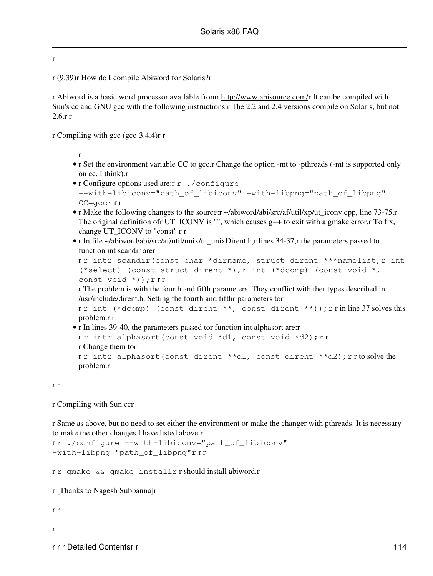r

r (9.39)r How do I compile Abiword for Solaris?r

r Abiword is a basic word processor available fromr [http://www.abisource.com/r](http://www.abisource.com/) It can be compiled with Sun's cc and GNU gcc with the following instructions.r The 2.2 and 2.4 versions compile on Solaris, but not 2.6.r r

r Compiling with gcc (gcc-3.4.4)r r

r

- r Set the environment variable CC to gcc.r Change the option -mt to -pthreads (-mt is supported only on cc, I think).r
- r Configure options used are:r r ./configure --with-libiconv="path\_of\_libiconv" -with-libpng="path\_of\_libpng" CC=gccr r r
- r Make the following changes to the source: r ~/abiword/abi/src/af/util/xp/ut\_iconv.cpp, line 73-75.r The original definition of  $UT\_ICONV$  is "", which causes g++ to exit with a gmake error. To fix, change UT\_ICONV to "const".r r
- r In file ~/abiword/abi/src/af/util/unix/ut\_unixDirent.h,r lines 34-37,r the parameters passed to function int scandir arer

```
rr intr scandir(const char *dirname, struct dirent ***namelist, r int
(*select) (const struct dirent *), r int (*dcomp) (const void *,
const void *)); rrr
```
r The problem is with the fourth and fifth parameters. They conflict with ther types described in /usr/include/dirent.h. Setting the fourth and fifthr parameters tor

rr int (\*dcomp) (const dirent \*\*, const dirent \*\*)); r r in line 37 solves this problem.r r

• r In lines 39-40, the parameters passed tor function int alphasort are:r rr intr alphasort(const void \*d1, const void \*d2); rr r Change them tor rr intr alphasort(const dirent \*\*d1, const dirent \*\*d2); rrto solve the problem.r

r r

r Compiling with Sun ccr

r Same as above, but no need to set either the environment or make the changer with pthreads. It is necessary to make the other changes I have listed above.r

```
r r ./configure --with-libiconv="path_of_libiconv"
-with-libpng="path_of_libpng"r r r
```
r r gmake && gmake installr r should install abiword.r

r [Thanks to Nagesh Subbanna]r

r r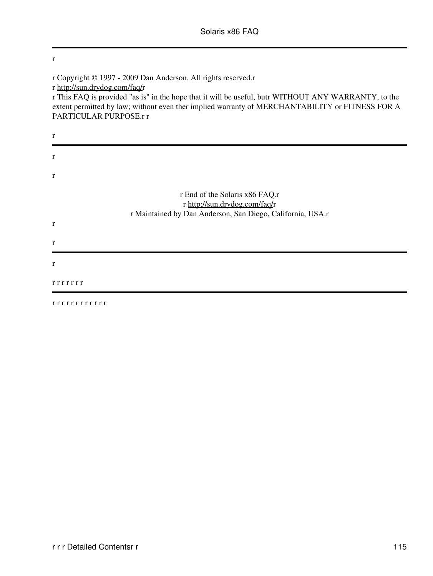r r Copyright © 1997 - 2009 Dan Anderson. All rights reserved.r r [http://sun.drydog.com/faq/r](http://sun.drydog.com/faq/) r This FAQ is provided "as is" in the hope that it will be useful, butr WITHOUT ANY WARRANTY, to the extent permitted by law; without even ther implied warranty of MERCHANTABILITY or FITNESS FOR A PARTICULAR PURPOSE.r r r r r r End of the Solaris x86 FAQ.r r [http://sun.drydog.com/faq/r](http://sun.drydog.com/faq/) r Maintained by Dan Anderson, San Diego, California, USA.r r r r r r r r r r r

r r r r r r r r r r r r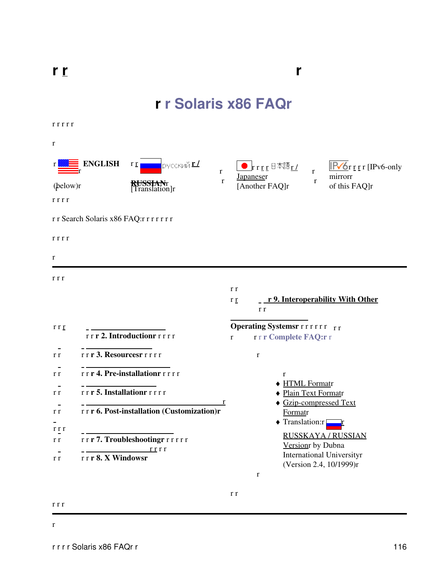**r**

# **r r Solaris x86 FAQr**

r r r r r

| 1 1 1 1 1    |                                          |                                             |              |                                                                |                                        |                                                             |
|--------------|------------------------------------------|---------------------------------------------|--------------|----------------------------------------------------------------|----------------------------------------|-------------------------------------------------------------|
| $\bf r$      |                                          |                                             |              |                                                                |                                        |                                                             |
| r            | <b>ENGLISH</b>                           | русский <u>г./</u><br>r r                   | $\mathbf r$  | $\bullet$ rrgg $\theta$ $\overline{a}$ rgg $\theta$            | r                                      | $IPV6r$ r r [IPv6-only<br>mirrorr                           |
| (below)r     |                                          | KUSSIANT<br>[Translation]r                  | $\bf r$      | <b>Japaneser</b><br>[Another FAQ]r                             | r                                      | of this FAQ]r                                               |
| rrrr         | r r Search Solaris x86 FAQ:r r r r r r r |                                             |              |                                                                |                                        |                                                             |
| rrrr         |                                          |                                             |              |                                                                |                                        |                                                             |
| r            |                                          |                                             |              |                                                                |                                        |                                                             |
| r r r        |                                          |                                             |              | r r<br>r <sub>r</sub><br>r r                                   |                                        | <u>- r 9. Interoperability With Other</u>                   |
| r r r        |                                          | rrr 2. Introductionrrrrr                    | $\mathbf{r}$ | <b>Operating Systemsr</b> r r r r r r r<br>rrr Complete FAQ:rr |                                        |                                                             |
| r r          | rrr 3. Resourcesrrrrr                    |                                             |              | $\bf r$                                                        |                                        |                                                             |
| r r<br>r r   | rrr 5. Installationrrrrr                 | rrr 4. Pre-installationrrrrr                | r            | $\mathbf{r}$                                                   | ◆ HTML Formatr<br>◆ Plain Text Formatr | ◆ Gzip-compressed Text                                      |
| r r<br>r r r |                                          | rrr 6. Post-installation (Customization)r   |              |                                                                | Formatr<br>◆ Translation:r             |                                                             |
| r r          |                                          | rrr7. Troubleshootingrrrrrr<br><u>rr</u> rr |              |                                                                | Version by Dubna                       | <b>RUSSKAYA / RUSSIAN</b>                                   |
| r r          | rrr 8. X Windowsr                        |                                             |              | $\bf r$                                                        |                                        | <b>International Universityr</b><br>(Version 2.4, 10/1999)r |

r r

r r r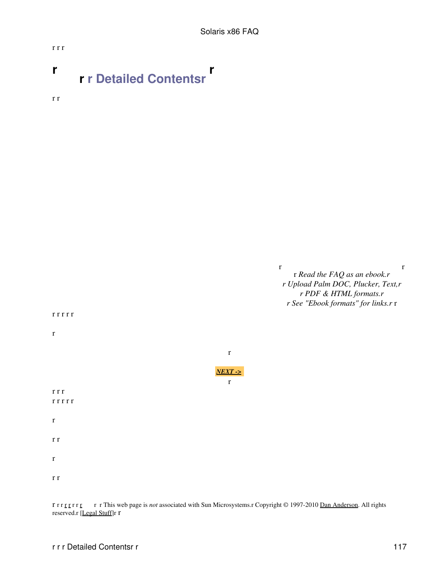## **r r r Detailed Contentsr r**

r r

r r r



r r r [r r](http://www.opensolaris.org) r r [r r](http://www.cdt.org/speech/) r This web page is *not* associated with Sun Microsystems.r Copyright © 1997-2010 [Dan Anderson](http://dan.drydog.com/). All rights reserved.r [[Legal Stuff\]](http://www.yosemite.ca.us/legal.html)r r